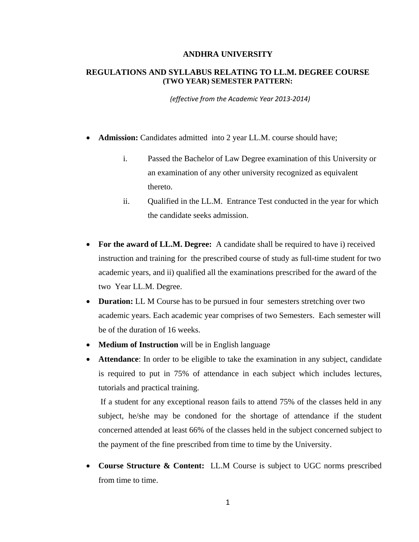#### **ANDHRA UNIVERSITY**

## **REGULATIONS AND SYLLABUS RELATING TO LL.M. DEGREE COURSE (TWO YEAR) SEMESTER PATTERN:**

*(effective from the Academic Year 2013‐2014)*

- **Admission:** Candidates admitted into 2 year LL.M. course should have;
	- i. Passed the Bachelor of Law Degree examination of this University or an examination of any other university recognized as equivalent thereto.
	- ii. Qualified in the LL.M. Entrance Test conducted in the year for which the candidate seeks admission.
- **For the award of LL.M. Degree:** A candidate shall be required to have i) received instruction and training for the prescribed course of study as full-time student for two academic years, and ii) qualified all the examinations prescribed for the award of the two Year LL.M. Degree.
- **Duration:** LL M Course has to be pursued in four semesters stretching over two academic years. Each academic year comprises of two Semesters. Each semester will be of the duration of 16 weeks.
- **Medium of Instruction** will be in English language
- **Attendance**: In order to be eligible to take the examination in any subject, candidate is required to put in 75% of attendance in each subject which includes lectures, tutorials and practical training.

 If a student for any exceptional reason fails to attend 75% of the classes held in any subject, he/she may be condoned for the shortage of attendance if the student concerned attended at least 66% of the classes held in the subject concerned subject to the payment of the fine prescribed from time to time by the University.

• **Course Structure & Content:** LL.M Course is subject to UGC norms prescribed from time to time.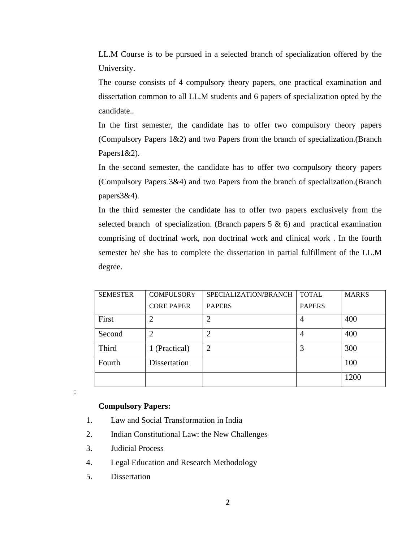LL.M Course is to be pursued in a selected branch of specialization offered by the University.

The course consists of 4 compulsory theory papers, one practical examination and dissertation common to all LL.M students and 6 papers of specialization opted by the candidate..

In the first semester, the candidate has to offer two compulsory theory papers (Compulsory Papers 1&2) and two Papers from the branch of specialization.(Branch Papers1&2).

In the second semester, the candidate has to offer two compulsory theory papers (Compulsory Papers 3&4) and two Papers from the branch of specialization.(Branch papers3&4).

In the third semester the candidate has to offer two papers exclusively from the selected branch of specialization. (Branch papers  $5 \& 6$ ) and practical examination comprising of doctrinal work, non doctrinal work and clinical work . In the fourth semester he/ she has to complete the dissertation in partial fulfillment of the LL.M degree.

| <b>SEMESTER</b> | <b>COMPULSORY</b> | SPECIALIZATION/BRANCH | <b>TOTAL</b>   | <b>MARKS</b> |
|-----------------|-------------------|-----------------------|----------------|--------------|
|                 | <b>CORE PAPER</b> | <b>PAPERS</b>         | <b>PAPERS</b>  |              |
| First           | ↑                 | $\overline{2}$        | $\overline{4}$ | 400          |
| Second          |                   | $\overline{2}$        | 4              | 400          |
| Third           | 1 (Practical)     | $\overline{2}$        | 3              | 300          |
| Fourth          | Dissertation      |                       |                | 100          |
|                 |                   |                       |                | 1200         |

### **Compulsory Papers:**

- 1. Law and Social Transformation in India
- 2. Indian Constitutional Law: the New Challenges
- 3. Judicial Process
- 4. Legal Education and Research Methodology
- 5. Dissertation

: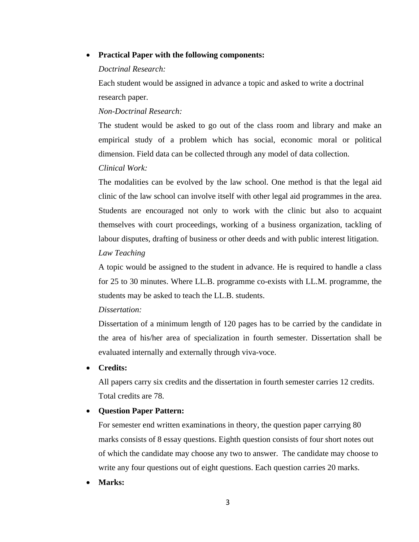## • **Practical Paper with the following components:**

### *Doctrinal Research:*

Each student would be assigned in advance a topic and asked to write a doctrinal research paper.

#### *Non-Doctrinal Research:*

The student would be asked to go out of the class room and library and make an empirical study of a problem which has social, economic moral or political dimension. Field data can be collected through any model of data collection.

### *Clinical Work:*

The modalities can be evolved by the law school. One method is that the legal aid clinic of the law school can involve itself with other legal aid programmes in the area. Students are encouraged not only to work with the clinic but also to acquaint themselves with court proceedings, working of a business organization, tackling of labour disputes, drafting of business or other deeds and with public interest litigation.

## *Law Teaching*

A topic would be assigned to the student in advance. He is required to handle a class for 25 to 30 minutes. Where LL.B. programme co-exists with LL.M. programme, the students may be asked to teach the LL.B. students.

# *Dissertation:*

Dissertation of a minimum length of 120 pages has to be carried by the candidate in the area of his/her area of specialization in fourth semester. Dissertation shall be evaluated internally and externally through viva-voce.

#### • **Credits:**

All papers carry six credits and the dissertation in fourth semester carries 12 credits. Total credits are 78.

## • **Question Paper Pattern:**

For semester end written examinations in theory, the question paper carrying 80 marks consists of 8 essay questions. Eighth question consists of four short notes out of which the candidate may choose any two to answer. The candidate may choose to write any four questions out of eight questions. Each question carries 20 marks.

• **Marks:**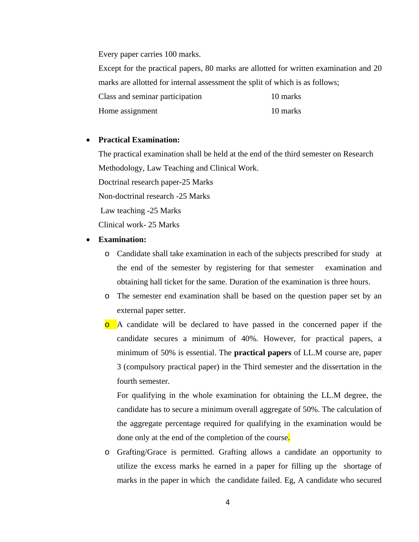Every paper carries 100 marks.

Except for the practical papers, 80 marks are allotted for written examination and 20 marks are allotted for internal assessment the split of which is as follows; Class and seminar participation 10 marks

Home assignment 10 marks

## • **Practical Examination:**

The practical examination shall be held at the end of the third semester on Research Methodology, Law Teaching and Clinical Work.

Doctrinal research paper-25 Marks

Non-doctrinal research -25 Marks

Law teaching -25 Marks

Clinical work- 25 Marks

#### • **Examination:**

- o Candidate shall take examination in each of the subjects prescribed for study at the end of the semester by registering for that semester examination and obtaining hall ticket for the same. Duration of the examination is three hours.
- o The semester end examination shall be based on the question paper set by an external paper setter.
- <sup>o</sup> A candidate will be declared to have passed in the concerned paper if the candidate secures a minimum of 40%. However, for practical papers, a minimum of 50% is essential. The **practical papers** of LL.M course are, paper 3 (compulsory practical paper) in the Third semester and the dissertation in the fourth semester.

For qualifying in the whole examination for obtaining the LL.M degree, the candidate has to secure a minimum overall aggregate of 50%. The calculation of the aggregate percentage required for qualifying in the examination would be done only at the end of the completion of the course.

o Grafting/Grace is permitted. Grafting allows a candidate an opportunity to utilize the excess marks he earned in a paper for filling up the shortage of marks in the paper in which the candidate failed. Eg, A candidate who secured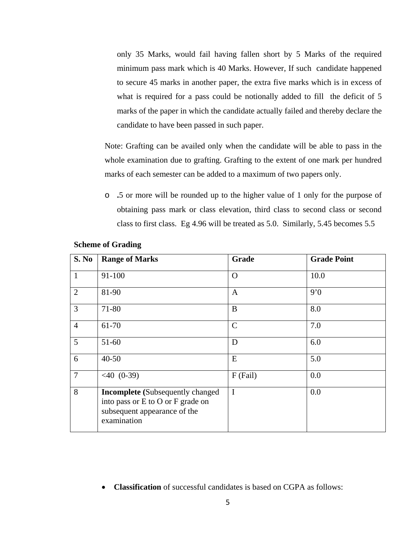only 35 Marks, would fail having fallen short by 5 Marks of the required minimum pass mark which is 40 Marks. However, If such candidate happened to secure 45 marks in another paper, the extra five marks which is in excess of what is required for a pass could be notionally added to fill the deficit of 5 marks of the paper in which the candidate actually failed and thereby declare the candidate to have been passed in such paper.

Note: Grafting can be availed only when the candidate will be able to pass in the whole examination due to grafting. Grafting to the extent of one mark per hundred marks of each semester can be added to a maximum of two papers only.

o **.**5 or more will be rounded up to the higher value of 1 only for the purpose of obtaining pass mark or class elevation, third class to second class or second class to first class. Eg 4.96 will be treated as 5.0. Similarly, 5.45 becomes 5.5

| S. No          | <b>Range of Marks</b>                                                                                                       | Grade       | <b>Grade Point</b> |
|----------------|-----------------------------------------------------------------------------------------------------------------------------|-------------|--------------------|
| $\mathbf{1}$   | 91-100                                                                                                                      | $\Omega$    | 10.0               |
| 2              | 81-90                                                                                                                       | A           | 9'0                |
| 3              | 71-80                                                                                                                       | B           | 8.0                |
| $\overline{4}$ | 61-70                                                                                                                       | $\mathbf C$ | 7.0                |
| 5              | 51-60                                                                                                                       | D           | 6.0                |
| 6              | $40 - 50$                                                                                                                   | E           | 5.0                |
| $\overline{7}$ | $< 40$ (0-39)                                                                                                               | F (Fail)    | 0.0                |
| 8              | <b>Incomplete</b> (Subsequently changed<br>into pass or E to O or F grade on<br>subsequent appearance of the<br>examination | $\mathbf I$ | 0.0                |

## **Scheme of Grading**

• **Classification** of successful candidates is based on CGPA as follows: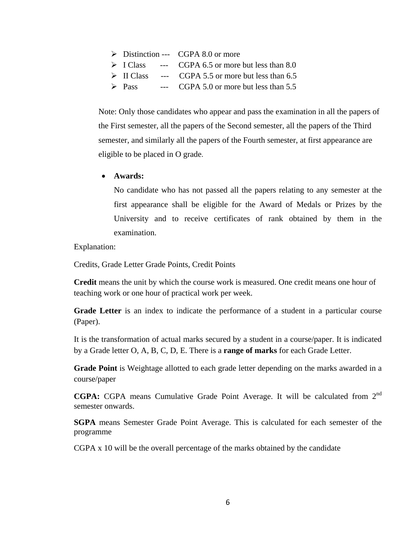$\triangleright$  Distinction --- CGPA 8.0 or more  $\triangleright$  I Class --- CGPA 6.5 or more but less than 8.0  $\triangleright$  II Class --- CGPA 5.5 or more but less than 6.5  $\triangleright$  Pass --- CGPA 5.0 or more but less than 5.5

Note: Only those candidates who appear and pass the examination in all the papers of the First semester, all the papers of the Second semester, all the papers of the Third semester, and similarly all the papers of the Fourth semester, at first appearance are eligible to be placed in O grade.

• **Awards:** 

No candidate who has not passed all the papers relating to any semester at the first appearance shall be eligible for the Award of Medals or Prizes by the University and to receive certificates of rank obtained by them in the examination.

Explanation:

Credits, Grade Letter Grade Points, Credit Points

**Credit** means the unit by which the course work is measured. One credit means one hour of teaching work or one hour of practical work per week.

**Grade Letter** is an index to indicate the performance of a student in a particular course (Paper).

It is the transformation of actual marks secured by a student in a course/paper. It is indicated by a Grade letter O, A, B, C, D, E. There is a **range of marks** for each Grade Letter.

**Grade Point** is Weightage allotted to each grade letter depending on the marks awarded in a course/paper

**CGPA:** CGPA means Cumulative Grade Point Average. It will be calculated from 2nd semester onwards.

**SGPA** means Semester Grade Point Average. This is calculated for each semester of the programme

CGPA x 10 will be the overall percentage of the marks obtained by the candidate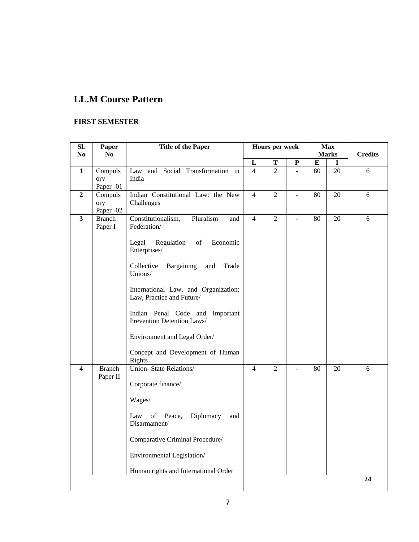# **LL.M Course Pattern**

# **FIRST SEMESTER**

| SI.                     | Paper            | <b>Title of the Paper</b>                                     |                     | <b>Hours per week</b> |                          |                 | <b>Max</b>   |                |  |
|-------------------------|------------------|---------------------------------------------------------------|---------------------|-----------------------|--------------------------|-----------------|--------------|----------------|--|
| No                      | No               |                                                               |                     |                       |                          |                 | <b>Marks</b> | <b>Credits</b> |  |
| $\mathbf{1}$            | Compuls          | and Social Transformation in<br>Law                           | L<br>$\overline{4}$ | Т<br>$\overline{2}$   | P<br>$\bar{\phantom{a}}$ | ${\bf E}$<br>80 | L<br>20      | 6              |  |
|                         | ory              | India                                                         |                     |                       |                          |                 |              |                |  |
|                         | Paper -01        |                                                               |                     |                       |                          |                 |              |                |  |
| $\overline{2}$          | Compuls          | Indian Constitutional Law: the New                            | $\overline{4}$      | $\overline{2}$        | $\mathbf{r}$             | 80              | 20           | 6              |  |
|                         | ory<br>Paper -02 | Challenges                                                    |                     |                       |                          |                 |              |                |  |
| 3                       | <b>Branch</b>    | Pluralism<br>Constitutionalism,<br>and                        | $\overline{4}$      | $\overline{2}$        | $\overline{a}$           | 80              | 20           | 6              |  |
|                         | Paper I          | Federation/                                                   |                     |                       |                          |                 |              |                |  |
|                         |                  |                                                               |                     |                       |                          |                 |              |                |  |
|                         |                  | Regulation<br>Legal<br>of<br>Economic<br>Enterprises/         |                     |                       |                          |                 |              |                |  |
|                         |                  |                                                               |                     |                       |                          |                 |              |                |  |
|                         |                  | Bargaining<br>Collective<br>and<br>Trade                      |                     |                       |                          |                 |              |                |  |
|                         |                  | Unions/                                                       |                     |                       |                          |                 |              |                |  |
|                         |                  | International Law, and Organization;                          |                     |                       |                          |                 |              |                |  |
|                         |                  | Law, Practice and Future/                                     |                     |                       |                          |                 |              |                |  |
|                         |                  |                                                               |                     |                       |                          |                 |              |                |  |
|                         |                  | Indian Penal Code and Important<br>Prevention Detention Laws/ |                     |                       |                          |                 |              |                |  |
|                         |                  |                                                               |                     |                       |                          |                 |              |                |  |
|                         |                  | Environment and Legal Order/                                  |                     |                       |                          |                 |              |                |  |
|                         |                  | Concept and Development of Human                              |                     |                       |                          |                 |              |                |  |
|                         |                  | Rights                                                        |                     |                       |                          |                 |              |                |  |
| $\overline{\mathbf{4}}$ | <b>Branch</b>    | <b>Union-State Relations/</b>                                 | $\overline{4}$      | $\overline{2}$        | $\overline{a}$           | 80              | 20           | 6              |  |
|                         | Paper II         |                                                               |                     |                       |                          |                 |              |                |  |
|                         |                  | Corporate finance/                                            |                     |                       |                          |                 |              |                |  |
|                         |                  | Wages/                                                        |                     |                       |                          |                 |              |                |  |
|                         |                  | Law<br>and                                                    |                     |                       |                          |                 |              |                |  |
|                         |                  | of Peace,<br>Diplomacy<br>Disarmament/                        |                     |                       |                          |                 |              |                |  |
|                         |                  |                                                               |                     |                       |                          |                 |              |                |  |
|                         |                  | Comparative Criminal Procedure/                               |                     |                       |                          |                 |              |                |  |
|                         |                  | Environmental Legislation/                                    |                     |                       |                          |                 |              |                |  |
|                         |                  | Human rights and International Order                          |                     |                       |                          |                 |              |                |  |
|                         |                  |                                                               |                     |                       |                          |                 |              | 24             |  |
|                         |                  |                                                               |                     |                       |                          |                 |              |                |  |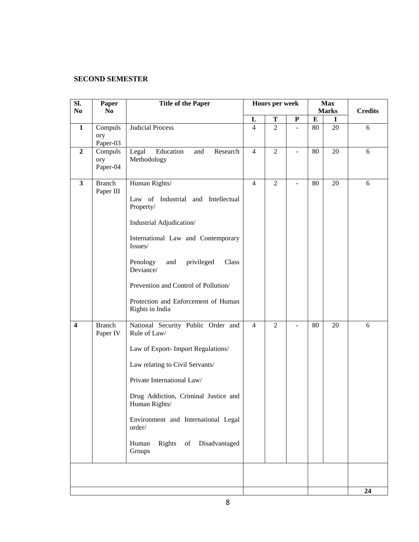## **SECOND SEMESTER**

| SI.                     | Paper          | <b>Title of the Paper</b>                     |                     | Hours per week |    | <b>Max</b>   |    |                |
|-------------------------|----------------|-----------------------------------------------|---------------------|----------------|----|--------------|----|----------------|
| N <sub>0</sub>          | No.            |                                               |                     |                |    | <b>Marks</b> |    | <b>Credits</b> |
|                         |                |                                               | L<br>$\overline{4}$ | T              | P  | ${\bf E}$    | 1  |                |
| $\mathbf{1}$            | Compuls<br>ory | <b>Judicial Process</b>                       |                     | $\overline{2}$ |    | 80           | 20 | 6              |
|                         | Paper-03       |                                               |                     |                |    |              |    |                |
| $\boldsymbol{2}$        | Compuls        | Education<br>Research<br>Legal<br>and         | $\overline{4}$      | $\overline{2}$ | ÷. | 80           | 20 | 6              |
|                         | ory            | Methodology                                   |                     |                |    |              |    |                |
|                         | Paper-04       |                                               |                     |                |    |              |    |                |
| $\overline{\mathbf{3}}$ | <b>Branch</b>  | Human Rights/                                 | $\overline{4}$      | $\overline{2}$ | ÷, | 80           | 20 | 6              |
|                         | Paper III      |                                               |                     |                |    |              |    |                |
|                         |                | Law of Industrial and Intellectual            |                     |                |    |              |    |                |
|                         |                | Property/                                     |                     |                |    |              |    |                |
|                         |                | Industrial Adjudication/                      |                     |                |    |              |    |                |
|                         |                |                                               |                     |                |    |              |    |                |
|                         |                | International Law and Contemporary            |                     |                |    |              |    |                |
|                         |                | Issues/                                       |                     |                |    |              |    |                |
|                         |                | Penology<br>privileged<br>and<br>Class        |                     |                |    |              |    |                |
|                         |                | Deviance/                                     |                     |                |    |              |    |                |
|                         |                | Prevention and Control of Pollution/          |                     |                |    |              |    |                |
|                         |                |                                               |                     |                |    |              |    |                |
|                         |                | Protection and Enforcement of Human           |                     |                |    |              |    |                |
|                         |                | Rights in India                               |                     |                |    |              |    |                |
| $\overline{\mathbf{4}}$ | <b>Branch</b>  | National Security Public Order and            | $\overline{4}$      | $\overline{2}$ |    | 80           | 20 | 6              |
|                         | Paper IV       | Rule of Law/                                  |                     |                |    |              |    |                |
|                         |                |                                               |                     |                |    |              |    |                |
|                         |                | Law of Export- Import Regulations/            |                     |                |    |              |    |                |
|                         |                | Law relating to Civil Servants/               |                     |                |    |              |    |                |
|                         |                | Private International Law/                    |                     |                |    |              |    |                |
|                         |                | Drug Addiction, Criminal Justice and          |                     |                |    |              |    |                |
|                         |                | Human Rights/                                 |                     |                |    |              |    |                |
|                         |                |                                               |                     |                |    |              |    |                |
|                         |                | Environment and International Legal<br>order/ |                     |                |    |              |    |                |
|                         |                |                                               |                     |                |    |              |    |                |
|                         |                | Rights of<br>Disadvantaged<br>Human           |                     |                |    |              |    |                |
|                         |                | Groups                                        |                     |                |    |              |    |                |
|                         |                |                                               |                     |                |    |              |    |                |
|                         |                |                                               |                     |                |    |              |    |                |
|                         |                |                                               |                     |                |    |              |    | 24             |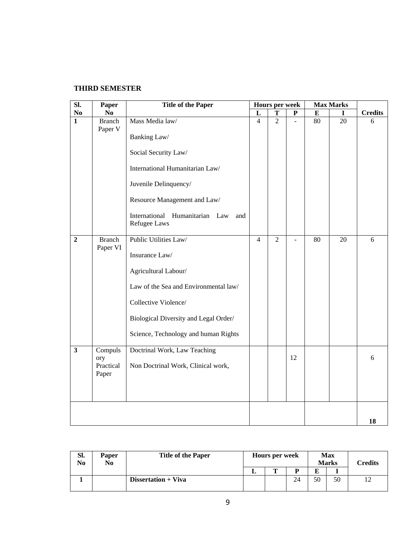# **THIRD SEMESTER**

| $\overline{\text{SL}}$  | Paper                     | <b>Title of the Paper</b>                             |                | Hours per week |                | <b>Max Marks</b> |    |                |
|-------------------------|---------------------------|-------------------------------------------------------|----------------|----------------|----------------|------------------|----|----------------|
| $\bf No$                | N <sub>0</sub>            |                                                       | L              | T              | ${\bf P}$      | $\bf{E}$         |    | <b>Credits</b> |
| $\overline{1}$          | <b>Branch</b><br>Paper V  | Mass Media law/                                       | $\overline{4}$ | $\overline{2}$ | $\overline{a}$ | 80               | 20 | 6              |
|                         |                           | Banking Law/<br>Social Security Law/                  |                |                |                |                  |    |                |
|                         |                           | International Humanitarian Law/                       |                |                |                |                  |    |                |
|                         |                           | Juvenile Delinquency/                                 |                |                |                |                  |    |                |
|                         |                           | Resource Management and Law/                          |                |                |                |                  |    |                |
|                         |                           | International Humanitarian Law<br>and<br>Refugee Laws |                |                |                |                  |    |                |
| $\overline{2}$          | <b>Branch</b><br>Paper VI | Public Utilities Law/                                 | $\overline{4}$ | $\overline{2}$ | ä,             | 80               | 20 | 6              |
|                         |                           | Insurance Law/                                        |                |                |                |                  |    |                |
|                         |                           | Agricultural Labour/                                  |                |                |                |                  |    |                |
|                         |                           | Law of the Sea and Environmental law/                 |                |                |                |                  |    |                |
|                         |                           | Collective Violence/                                  |                |                |                |                  |    |                |
|                         |                           | Biological Diversity and Legal Order/                 |                |                |                |                  |    |                |
|                         |                           | Science, Technology and human Rights                  |                |                |                |                  |    |                |
| $\overline{\mathbf{3}}$ | Compuls<br>ory            | Doctrinal Work, Law Teaching                          |                |                | 12             |                  |    | 6              |
|                         | Practical<br>Paper        | Non Doctrinal Work, Clinical work,                    |                |                |                |                  |    |                |
|                         |                           |                                                       |                |                |                |                  |    |                |
|                         |                           |                                                       |                |                |                |                  |    |                |
|                         |                           |                                                       |                |                |                |                  |    | 18             |

| Sl.<br>No | <b>Paper</b><br>No | <b>Title of the Paper</b> |  | Hours per week |    |    | <b>Max</b><br><b>Marks</b> | Credits |
|-----------|--------------------|---------------------------|--|----------------|----|----|----------------------------|---------|
|           |                    |                           |  |                | D  | E  |                            |         |
|           |                    | Dissertation + Viva       |  |                | 24 | 50 | 50                         |         |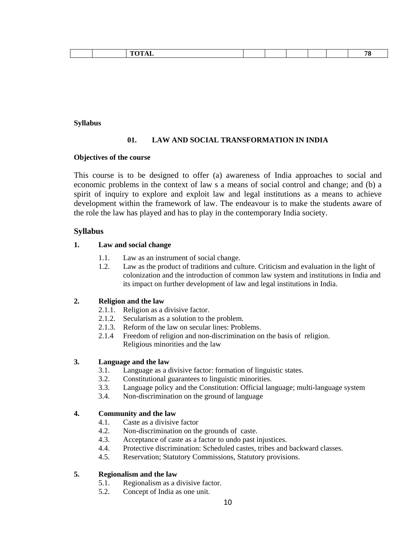|  |  |  |  |  |  |  |  |  | $\frac{1}{2} \left( \frac{1}{2} \right) \left( \frac{1}{2} \right) \left( \frac{1}{2} \right) \left( \frac{1}{2} \right) \left( \frac{1}{2} \right) \left( \frac{1}{2} \right) \left( \frac{1}{2} \right) \left( \frac{1}{2} \right) \left( \frac{1}{2} \right) \left( \frac{1}{2} \right) \left( \frac{1}{2} \right) \left( \frac{1}{2} \right) \left( \frac{1}{2} \right) \left( \frac{1}{2} \right) \left( \frac{1}{2} \right) \left( \frac{1}{2} \right) \left( \frac$ |
|--|--|--|--|--|--|--|--|--|----------------------------------------------------------------------------------------------------------------------------------------------------------------------------------------------------------------------------------------------------------------------------------------------------------------------------------------------------------------------------------------------------------------------------------------------------------------------------|
|--|--|--|--|--|--|--|--|--|----------------------------------------------------------------------------------------------------------------------------------------------------------------------------------------------------------------------------------------------------------------------------------------------------------------------------------------------------------------------------------------------------------------------------------------------------------------------------|

#### **Syllabus**

## **01. LAW AND SOCIAL TRANSFORMATION IN INDIA**

#### **Objectives of the course**

This course is to be designed to offer (a) awareness of India approaches to social and economic problems in the context of law s a means of social control and change; and (b) a spirit of inquiry to explore and exploit law and legal institutions as a means to achieve development within the framework of law. The endeavour is to make the students aware of the role the law has played and has to play in the contemporary India society.

## **Syllabus**

## **1. Law and social change**

- 1.1. Law as an instrument of social change.
- 1.2. Law as the product of traditions and culture. Criticism and evaluation in the light of colonization and the introduction of common law system and institutions in India and its impact on further development of law and legal institutions in India.

## **2. Religion and the law**

- 2.1.1. Religion as a divisive factor.
- 2.1.2. Secularism as a solution to the problem.
- 2.1.3. Reform of the law on secular lines: Problems.
- 2.1.4 Freedom of religion and non-discrimination on the basis of religion. Religious minorities and the law

## **3. Language and the law**

- 3.1. Language as a divisive factor: formation of linguistic states.
- 3.2. Constitutional guarantees to linguistic minorities.
- 3.3. Language policy and the Constitution: Official language; multi-language system
- 3.4. Non-discrimination on the ground of language

### **4. Community and the law**

- 4.1. Caste as a divisive factor
- 4.2. Non-discrimination on the grounds of caste.
- 4.3. Acceptance of caste as a factor to undo past injustices.
- 4.4. Protective discrimination: Scheduled castes, tribes and backward classes.
- 4.5. Reservation; Statutory Commissions, Statutory provisions.

## **5. Regionalism and the law**

- 5.1. Regionalism as a divisive factor.
- 5.2. Concept of India as one unit.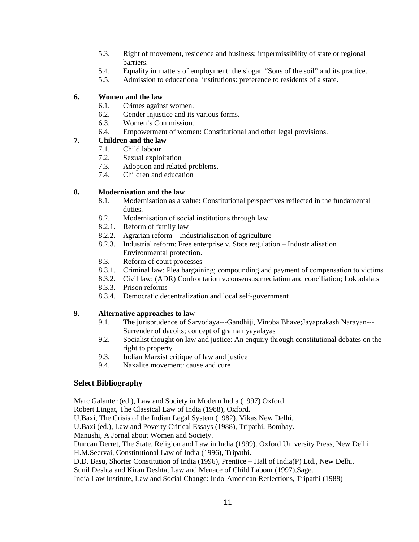- 5.3. Right of movement, residence and business; impermissibility of state or regional barriers.
- 5.4. Equality in matters of employment: the slogan "Sons of the soil" and its practice.
- 5.5. Admission to educational institutions: preference to residents of a state.

### **6. Women and the law**

- 6.1. Crimes against women.
- 6.2. Gender injustice and its various forms.
- 6.3. Women's Commission.
- 6.4. Empowerment of women: Constitutional and other legal provisions.

## **7. Children and the law**

- 7.1. Child labour
- 7.2. Sexual exploitation
- 7.3. Adoption and related problems.
- 7.4. Children and education

## **8. Modernisation and the law**

- 8.1. Modernisation as a value: Constitutional perspectives reflected in the fundamental duties.
- 8.2. Modernisation of social institutions through law
- 8.2.1. Reform of family law
- 8.2.2. Agrarian reform Industrialisation of agriculture
- 8.2.3. Industrial reform: Free enterprise v. State regulation Industrialisation Environmental protection.
- 8.3. Reform of court processes
- 8.3.1. Criminal law: Plea bargaining; compounding and payment of compensation to victims
- 8.3.2. Civil law: (ADR) Confrontation v.consensus;mediation and conciliation; Lok adalats
- 8.3.3. Prison reforms
- 8.3.4. Democratic decentralization and local self-government

## **9. Alternative approaches to law**

- 9.1. The jurisprudence of Sarvodaya---Gandhiji, Vinoba Bhave;Jayaprakash Narayan--- Surrender of dacoits; concept of grama nyayalayas
- 9.2. Socialist thought on law and justice: An enquiry through constitutional debates on the right to property
- 9.3. Indian Marxist critique of law and justice
- 9.4. Naxalite movement: cause and cure

## **Select Bibliography**

Marc Galanter (ed.), Law and Society in Modern India (1997) Oxford.

Robert Lingat, The Classical Law of India (1988), Oxford.

U.Baxi, The Crisis of the Indian Legal System (1982). Vikas, New Delhi.

U.Baxi (ed.), Law and Poverty Critical Essays (1988), Tripathi, Bombay.

Manushi, A Jornal about Women and Society.

Duncan Derret, The State, Religion and Law in India (1999). Oxford University Press, New Delhi. H.M.Seervai, Constitutional Law of India (1996), Tripathi.

D.D. Basu, Shorter Constitution of India (1996), Prentice – Hall of India(P) Ltd., New Delhi.

Sunil Deshta and Kiran Deshta, Law and Menace of Child Labour (1997),Sage.

India Law Institute, Law and Social Change: Indo-American Reflections, Tripathi (1988)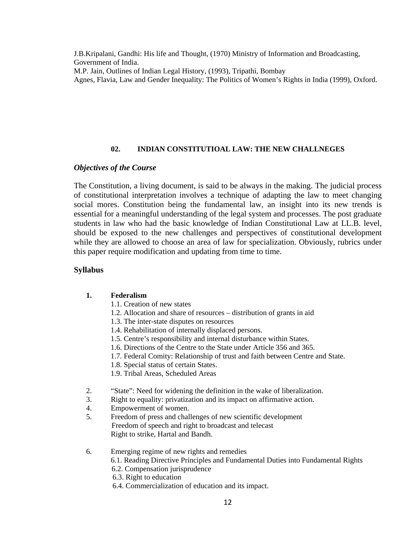J.B.Kripalani, Gandhi: His life and Thought, (1970) Ministry of Information and Broadcasting, Government of India. M.P. Jain, Outlines of Indian Legal History, (1993), Tripathi, Bombay

Agnes, Flavia, Law and Gender Inequality: The Politics of Women's Rights in India (1999), Oxford.

## **02. INDIAN CONSTITUTIOAL LAW: THE NEW CHALLNEGES**

# *Objectives of the Course*

The Constitution, a living document, is said to be always in the making. The judicial process of constitutional interpretation involves a technique of adapting the law to meet changing social mores. Constitution being the fundamental law, an insight into its new trends is essential for a meaningful understanding of the legal system and processes. The post graduate students in law who had the basic knowledge of Indian Constitutional Law at LL.B. level, should be exposed to the new challenges and perspectives of constitutional development while they are allowed to choose an area of law for specialization. Obviously, rubrics under this paper require modification and updating from time to time.

## **Syllabus**

## **1. Federalism**

- 1.1. Creation of new states
- 1.2. Allocation and share of resources distribution of grants in aid
- 1.3. The inter-state disputes on resources
- 1.4. Rehabilitation of internally displaced persons.
- 1.5. Centre's responsibility and internal disturbance within States.
- 1.6. Directions of the Centre to the State under Article 356 and 365.
- 1.7. Federal Comity: Relationship of trust and faith between Centre and State.
- 1.8. Special status of certain States.
- 1.9. Tribal Areas, Scheduled Areas
- 2. "State": Need for widening the definition in the wake of liberalization.
- 3. Right to equality: privatization and its impact on affirmative action.
- 4. Empowerment of women.
- 5. Freedom of press and challenges of new scientific development Freedom of speech and right to broadcast and telecast Right to strike, Hartal and Bandh.
- 6. Emerging regime of new rights and remedies
	- 6.1. Reading Directive Principles and Fundamental Duties into Fundamental Rights
	- 6.2. Compensation jurisprudence
	- 6.3. Right to education
	- 6.4. Commercialization of education and its impact.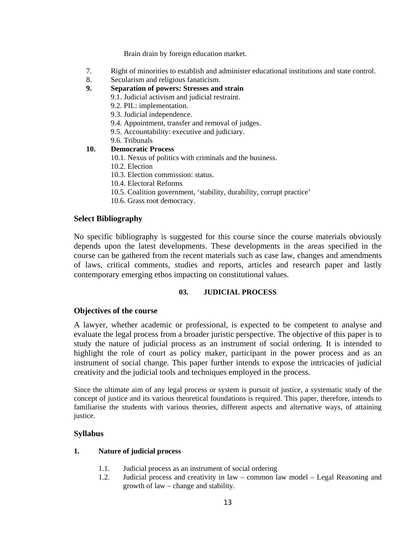Brain drain by foreign education market.

- 7. Right of minorities to establish and administer educational institutions and state control.
- 8. Secularism and religious fanaticism.
- **9. Separation of powers: Stresses and strain** 
	- 9.1. Judicial activism and judicial restraint.
	- 9.2. PIL: implementation.
	- 9.3. Judicial independence.
	- 9.4. Appointment, transfer and removal of judges.
	- 9.5. Accountability: executive and judiciary.
	- 9.6. Tribunals

#### **10. Democratic Process**

- 10.1. Nexus of politics with criminals and the business.
- 10.2. Election
- 10.3. Election commission: status.
- 10.4. Electoral Reforms
- 10.5. Coalition government, 'stability, durability, corrupt practice'
- 10.6. Grass root democracy.

#### **Select Bibliography**

No specific bibliography is suggested for this course since the course materials obviously depends upon the latest developments. These developments in the areas specified in the course can be gathered from the recent materials such as case law, changes and amendments of laws, critical comments, studies and reports, articles and research paper and lastly contemporary emerging ethos impacting on constitutional values.

#### **03. JUDICIAL PROCESS**

#### **Objectives of the course**

A lawyer, whether academic or professional, is expected to be competent to analyse and evaluate the legal process from a broader juristic perspective. The objective of this paper is to study the nature of judicial process as an instrument of social ordering. It is intended to highlight the role of court as policy maker, participant in the power process and as an instrument of social change. This paper further intends to expose the intricacies of judicial creativity and the judicial tools and techniques employed in the process.

Since the ultimate aim of any legal process or system is pursuit of justice, a systematic study of the concept of justice and its various theoretical foundations is required. This paper, therefore, intends to familiarise the students with various theories, different aspects and alternative ways, of attaining justice.

#### **Syllabus**

## **1. Nature of judicial process**

- 1.1. Judicial process as an instrument of social ordering
- 1.2. Judicial process and creativity in law common law model Legal Reasoning and growth of law – change and stability.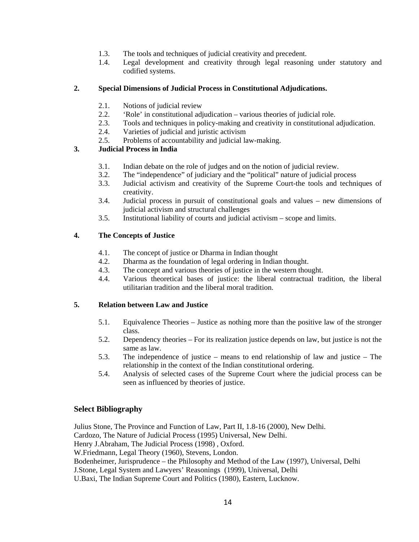- 1.3. The tools and techniques of judicial creativity and precedent.
- 1.4. Legal development and creativity through legal reasoning under statutory and codified systems.

## **2. Special Dimensions of Judicial Process in Constitutional Adjudications.**

- 2.1. Notions of judicial review
- 2.2. 'Role' in constitutional adjudication various theories of judicial role.
- 2.3. Tools and techniques in policy-making and creativity in constitutional adjudication.
- 2.4. Varieties of judicial and juristic activism
- 2.5. Problems of accountability and judicial law-making.

## **3. Judicial Process in India**

- 3.1. Indian debate on the role of judges and on the notion of judicial review.
- 3.2. The "independence" of judiciary and the "political" nature of judicial process
- 3.3. Judicial activism and creativity of the Supreme Court-the tools and techniques of creativity.
- 3.4. Judicial process in pursuit of constitutional goals and values new dimensions of judicial activism and structural challenges
- 3.5. Institutional liability of courts and judicial activism scope and limits.

## **4. The Concepts of Justice**

- 4.1. The concept of justice or Dharma in Indian thought
- 4.2. Dharma as the foundation of legal ordering in Indian thought.
- 4.3. The concept and various theories of justice in the western thought.
- 4.4. Various theoretical bases of justice: the liberal contractual tradition, the liberal utilitarian tradition and the liberal moral tradition.

## **5. Relation between Law and Justice**

- 5.1. Equivalence Theories Justice as nothing more than the positive law of the stronger class.
- 5.2. Dependency theories For its realization justice depends on law, but justice is not the same as law.
- 5.3. The independence of justice means to end relationship of law and justice The relationship in the context of the Indian constitutional ordering.
- 5.4. Analysis of selected cases of the Supreme Court where the judicial process can be seen as influenced by theories of justice.

## **Select Bibliography**

Julius Stone, The Province and Function of Law, Part II, 1.8-16 (2000), New Delhi. Cardozo, The Nature of Judicial Process (1995) Universal, New Delhi. Henry J.Abraham, The Judicial Process (1998) , Oxford. W.Friedmann, Legal Theory (1960), Stevens, London. Bodenheimer, Jurisprudence – the Philosophy and Method of the Law (1997), Universal, Delhi J.Stone, Legal System and Lawyers' Reasonings (1999), Universal, Delhi U.Baxi, The Indian Supreme Court and Politics (1980), Eastern, Lucknow.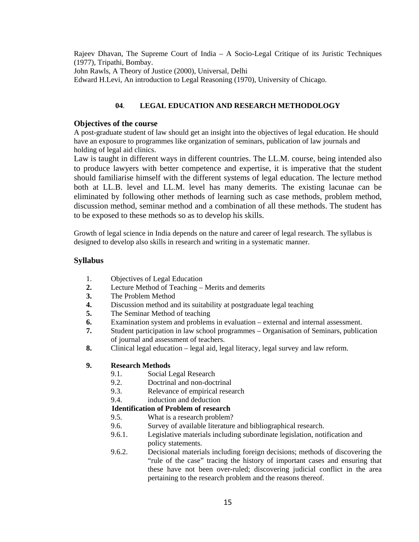Rajeev Dhavan, The Supreme Court of India – A Socio-Legal Critique of its Juristic Techniques (1977), Tripathi, Bombay.

John Rawls, A Theory of Justice (2000), Universal, Delhi

Edward H.Levi, An introduction to Legal Reasoning (1970), University of Chicago.

### **04**. **LEGAL EDUCATION AND RESEARCH METHODOLOGY**

#### **Objectives of the course**

A post-graduate student of law should get an insight into the objectives of legal education. He should have an exposure to programmes like organization of seminars, publication of law journals and holding of legal aid clinics.

Law is taught in different ways in different countries. The LL.M. course, being intended also to produce lawyers with better competence and expertise, it is imperative that the student should familiarise himself with the different systems of legal education. The lecture method both at LL.B. level and LL.M. level has many demerits. The existing lacunae can be eliminated by following other methods of learning such as case methods, problem method, discussion method, seminar method and a combination of all these methods. The student has to be exposed to these methods so as to develop his skills.

Growth of legal science in India depends on the nature and career of legal research. The syllabus is designed to develop also skills in research and writing in a systematic manner.

#### **Syllabus**

- 1. Objectives of Legal Education
- **2.** Lecture Method of Teaching Merits and demerits
- **3.** The Problem Method
- **4.** Discussion method and its suitability at postgraduate legal teaching
- **5.** The Seminar Method of teaching
- **6.** Examination system and problems in evaluation external and internal assessment.
- **7.** Student participation in law school programmes Organisation of Seminars, publication of journal and assessment of teachers.
- **8.** Clinical legal education legal aid, legal literacy, legal survey and law reform.

#### **9. Research Methods**

- 9.1. Social Legal Research
- 9.2. Doctrinal and non-doctrinal
- 9.3. Relevance of empirical research
- 9.4. induction and deduction

## **Identification of Problem of research**

- 9.5. What is a research problem?
- 9.6. Survey of available literature and bibliographical research.
- 9.6.1. Legislative materials including subordinate legislation, notification and policy statements.
- 9.6.2. Decisional materials including foreign decisions; methods of discovering the "rule of the case" tracing the history of important cases and ensuring that these have not been over-ruled; discovering judicial conflict in the area pertaining to the research problem and the reasons thereof.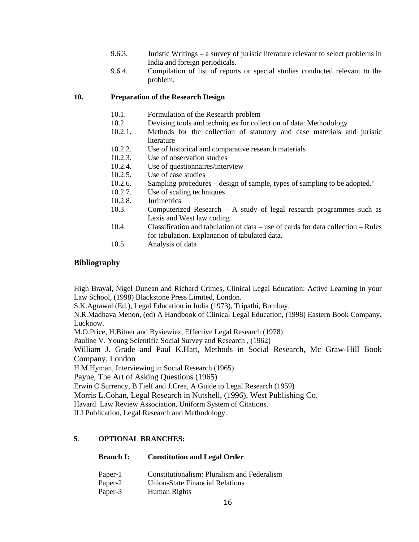- 9.6.3. Juristic Writings a survey of juristic literature relevant to select problems in India and foreign periodicals.
- 9.6.4. Compilation of list of reports or special studies conducted relevant to the problem.

#### **10. Preparation of the Research Design**

- 10.1. Formulation of the Research problem
- 10.2. Devising tools and techniques for collection of data: Methodology
- 10.2.1. Methods for the collection of statutory and case materials and juristic literature
- 10.2.2. Use of historical and comparative research materials
- 10.2.3. Use of observation studies
- 10.2.4. Use of questionnaires/interview
- 10.2.5. Use of case studies
- 10.2.6. Sampling procedures design of sample, types of sampling to be adopted.'
- 10.2.7. Use of scaling techniques
- 10.2.8. Jurimetrics
- 10.3. Computerized Research A study of legal research programmes such as Lexis and West law coding
- 10.4. Classification and tabulation of data use of cards for data collection Rules for tabulation. Explanation of tabulated data.
- 10.5. Analysis of data

#### **Bibliography**

High Brayal, Nigel Dunean and Richard Crimes, Clinical Legal Education: Active Learning in your Law School, (1998) Blackstone Press Limited, London.

S.K.Agrawal (Ed.), Legal Education in India (1973), Tripathi, Bombay.

N.R.Madhava Menon, (ed) A Handbook of Clinical Legal Education, (1998) Eastern Book Company, Lucknow.

M.O.Price, H.Bitner and Bysiewiez, Effective Legal Research (1978)

Pauline V. Young Scientific Social Survey and Research , (1962)

William J. Grade and Paul K.Hatt, Methods in Social Research, Mc Graw-Hill Book Company, London

H.M.Hyman, Interviewing in Social Research (1965)

Payne, The Art of Asking Questions (1965)

Erwin C.Surrency, B.Fielf and J.Crea, A Guide to Legal Research (1959)

Morris L.Cohan, Legal Research in Nutshell, (1996), West Publishing Co.

Havard Law Review Association, Uniform System of Citations.

ILI Publication, Legal Research and Methodology.

### **5**. **OPTIONAL BRANCHES:**

#### **Branch I: Constitution and Legal Order**

- Paper-1 Constitutionalism: Pluralism and Federalism
- Paper-2 Union-State Financial Relations
- Paper-3 Human Rights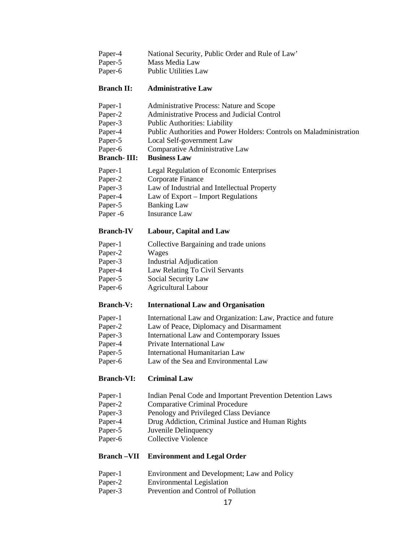- Paper-4 National Security, Public Order and Rule of Law'
- Paper-5 Mass Media Law
- Paper-6 Public Utilities Law

#### **Branch II: Administrative Law**

- Paper-1 Administrative Process: Nature and Scope
- Paper-2 Administrative Process and Judicial Control
- Paper-3 Public Authorities: Liability
- Paper-4 Public Authorities and Power Holders: Controls on Maladministration
- Paper-5 Local Self-government Law
- Paper-6 Comparative Administrative Law

#### **Branch- III: Business Law**

- Paper-1 Legal Regulation of Economic Enterprises
- Paper-2 Corporate Finance
- Paper-3 Law of Industrial and Intellectual Property
- Paper-4 Law of Export Import Regulations
- Paper-5 Banking Law
- Paper -6 Insurance Law

#### **Branch-IV Labour, Capital and Law**

- Paper-1 Collective Bargaining and trade unions
- Paper-2 Wages
- Paper-3 Industrial Adjudication
- Paper-4 Law Relating To Civil Servants
- Paper-5 Social Security Law
- Paper-6 Agricultural Labour

#### **Branch-V: International Law and Organisation**

- Paper-1 International Law and Organization: Law, Practice and future
- Paper-2 Law of Peace, Diplomacy and Disarmament
- Paper-3 International Law and Contemporary Issues
- Paper-4 Private International Law
- Paper-5 International Humanitarian Law
- Paper-6 Law of the Sea and Environmental Law

### **Branch-VI: Criminal Law**

- Paper-1 Indian Penal Code and Important Prevention Detention Laws
- Paper-2 Comparative Criminal Procedure
- Paper-3 Penology and Privileged Class Deviance
- Paper-4 Drug Addiction, Criminal Justice and Human Rights
- Paper-5 Juvenile Delinquency
- Paper-6 Collective Violence

#### **Branch –VII Environment and Legal Order**

- Paper-1 Environment and Development; Law and Policy
- Paper-2 Environmental Legislation
- Paper-3 Prevention and Control of Pollution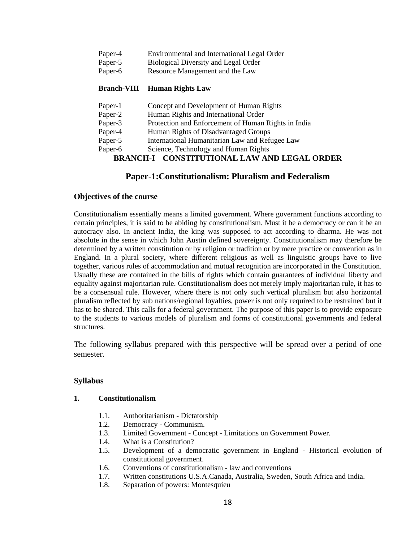- Paper-4 Environmental and International Legal Order
- Paper-5 Biological Diversity and Legal Order
- Paper-6 Resource Management and the Law

# **Branch-VIII Human Rights Law**

- Paper-1 Concept and Development of Human Rights Paper-2 Human Rights and International Order
- Paper-3 Protection and Enforcement of Human Rights in India
- Paper-4 Human Rights of Disadvantaged Groups
- Paper-5 International Humanitarian Law and Refugee Law
- Paper-6 Science, Technology and Human Rights

# **BRANCH-I CONSTITUTIONAL LAW AND LEGAL ORDER**

# **Paper-1:Constitutionalism: Pluralism and Federalism**

# **Objectives of the course**

Constitutionalism essentially means a limited government. Where government functions according to certain principles, it is said to be abiding by constitutionalism. Must it be a democracy or can it be an autocracy also. In ancient India, the king was supposed to act according to dharma. He was not absolute in the sense in which John Austin defined sovereignty. Constitutionalism may therefore be determined by a written constitution or by religion or tradition or by mere practice or convention as in England. In a plural society, where different religious as well as linguistic groups have to live together, various rules of accommodation and mutual recognition are incorporated in the Constitution. Usually these are contained in the bills of rights which contain guarantees of individual liberty and equality against majoritarian rule. Constitutionalism does not merely imply majoritarian rule, it has to be a consensual rule. However, where there is not only such vertical pluralism but also horizontal pluralism reflected by sub nations/regional loyalties, power is not only required to be restrained but it has to be shared. This calls for a federal government. The purpose of this paper is to provide exposure to the students to various models of pluralism and forms of constitutional governments and federal structures.

The following syllabus prepared with this perspective will be spread over a period of one semester.

# **Syllabus**

# **1. Constitutionalism**

- 1.1. Authoritarianism Dictatorship
- 1.2. Democracy Communism.
- 1.3. Limited Government Concept Limitations on Government Power.
- 1.4. What is a Constitution?
- 1.5. Development of a democratic government in England Historical evolution of constitutional government.
- 1.6. Conventions of constitutionalism law and conventions
- 1.7. Written constitutions U.S.A.Canada, Australia, Sweden, South Africa and India.
- 1.8. Separation of powers: Montesquieu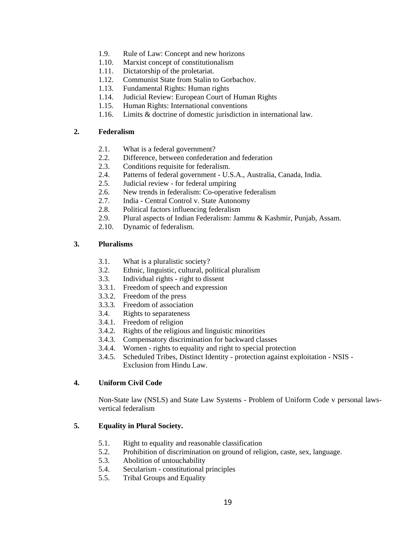- 1.9. Rule of Law: Concept and new horizons
- 1.10. Marxist concept of constitutionalism
- 1.11. Dictatorship of the proletariat.
- 1.12. Communist State from Stalin to Gorbachov.
- 1.13. Fundamental Rights: Human rights
- 1.14. Judicial Review: European Court of Human Rights
- 1.15. Human Rights: International conventions
- 1.16. Limits & doctrine of domestic jurisdiction in international law.

### **2. Federalism**

- 2.1. What is a federal government?
- 2.2. Difference, between confederation and federation
- 2.3. Conditions requisite for federalism.
- 2.4. Patterns of federal government U.S.A., Australia, Canada, India.
- 2.5. Judicial review for federal umpiring
- 2.6. New trends in federalism: Co-operative federalism
- 2.7. India Central Control v. State Autonomy
- 2.8. Political factors influencing federalism
- 2.9. Plural aspects of Indian Federalism: Jammu & Kashmir, Punjab, Assam.
- 2.10. Dynamic of federalism.

## **3. Pluralisms**

- 3.1. What is a pluralistic society?
- 3.2. Ethnic, linguistic, cultural, political pluralism
- 3.3. Individual rights right to dissent
- 3.3.1. Freedom of speech and expression
- 3.3.2. Freedom of the press
- 3.3.3. Freedom of association
- 3.4. Rights to separateness
- 3.4.1. Freedom of religion
- 3.4.2. Rights of the religious and linguistic minorities
- 3.4.3. Compensatory discrimination for backward classes
- 3.4.4. Women rights to equality and right to special protection
- 3.4.5. Scheduled Tribes, Distinct Identity protection against exploitation NSIS Exclusion from Hindu Law.

## **4. Uniform Civil Code**

Non-State law (NSLS) and State Law Systems - Problem of Uniform Code v personal lawsvertical federalism

## **5. Equality in Plural Society.**

- 5.1. Right to equality and reasonable classification
- 5.2. Prohibition of discrimination on ground of religion, caste, sex, language.
- 5.3. Abolition of untouchability
- 5.4. Secularism constitutional principles
- 5.5. Tribal Groups and Equality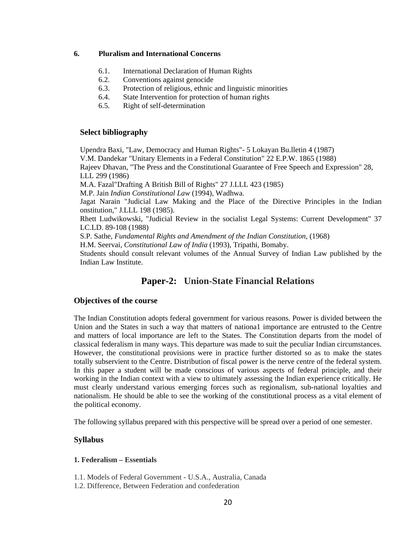#### **6. Pluralism and International Concerns**

- 6.1. International Declaration of Human Rights
- 6.2. Conventions against genocide
- 6.3. Protection of religious, ethnic and linguistic minorities
- 6.4. State Intervention for protection of human rights
- 6.5. Right of self-determination

#### **Select bibliography**

Upendra Baxi, "Law, Democracy and Human Rights"- 5 Lokayan Bu.lletin 4 (1987) V.M. Dandekar "Unitary Elements in a Federal Constitution" 22 E.P.W. 1865 (1988) Rajeev Dhavan, "The Press and the Constitutional Guarantee of Free Speech and Expression" 28, LLL 299 (1986) M.A. Fazal"Drafting A British Bill of Rights" 27 J.LLL 423 (1985) M.P. Jain *Indian Constitutional Law* (1994), Wadhwa. Jagat Narain "Judicial Law Making and the Place of the Directive Principles in the Indian onstitution," J.LLL 198 (1985). Rhett Ludwikowski, "Judicial Review in the socialist Legal Systems: Current Development" 37 LC.LD. 89-108 (1988) S.P. Sathe, *Fundamental Rights and Amendment of the Indian Constitution,* (1968)

H.M. Seervai, *Constitutional Law of India* (1993), Tripathi, Bomaby.

Students should consult relevant volumes of the Annual Survey of Indian Law published by the Indian Law Institute.

# **Paper-2: Union-State Financial Relations**

#### **Objectives of the course**

The Indian Constitution adopts federal government for various reasons. Power is divided between the Union and the States in such a way that matters of nationa1 importance are entrusted to the Centre and matters of local importance are left to the States. The Constitution departs from the model of classical federalism in many ways. This departure was made to suit the peculiar Indian circumstances. However, the constitutional provisions were in practice further distorted so as to make the states totally subservient to the Centre. Distribution of fiscal power is the nerve centre of the federal system. In this paper a student will be made conscious of various aspects of federal principle, and their working in the Indian context with a view to ultimately assessing the Indian experience critically. He must clearly understand various emerging forces such as regionalism, sub-national loyalties and nationalism. He should be able to see the working of the constitutional process as a vital element of the political economy.

The following syllabus prepared with this perspective will be spread over a period of one semester.

### **Syllabus**

#### **1. Federalism – Essentials**

- 1.1. Models of Federal Government U.S.A., Australia, Canada
- 1.2. Difference, Between Federation and confederation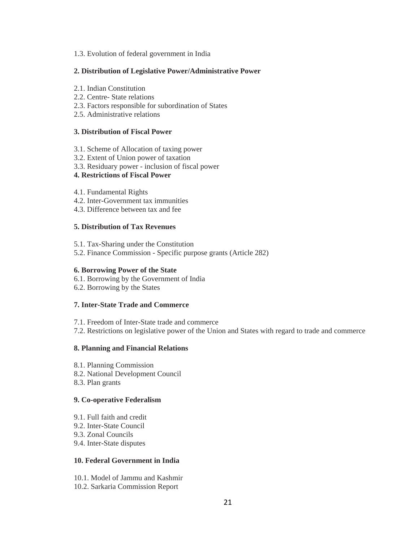1.3. Evolution of federal government in India

#### **2. Distribution of Legislative Power/Administrative Power**

- 2.1. Indian Constitution
- 2.2. Centre- State relations
- 2.3. Factors responsible for subordination of States
- 2.5. Administrative relations

#### **3. Distribution of Fiscal Power**

- 3.1. Scheme of Allocation of taxing power
- 3.2. Extent of Union power of taxation
- 3.3. Residuary power inclusion of fiscal power

#### **4. Restrictions of Fiscal Power**

- 4.1. Fundamental Rights
- 4.2. Inter-Government tax immunities
- 4.3. Difference between tax and fee

#### **5. Distribution of Tax Revenues**

- 5.1. Tax-Sharing under the Constitution
- 5.2. Finance Commission Specific purpose grants (Article 282)

#### **6. Borrowing Power of the State**

- 6.1. Borrowing by the Government of India
- 6.2. Borrowing by the States

## **7. Inter-State Trade and Commerce**

- 7.1. Freedom of Inter-State trade and commerce
- 7.2. Restrictions on legislative power of the Union and States with regard to trade and commerce

#### **8. Planning and Financial Relations**

- 8.1. Planning Commission
- 8.2. National Development Council
- 8.3. Plan grants

#### **9. Co-operative Federalism**

- 9.1. Full faith and credit
- 9.2. Inter-State Council
- 9.3. Zonal Councils
- 9.4. Inter-State disputes

#### **10. Federal Government in India**

- 10.1. Model of Jammu and Kashmir
- 10.2. Sarkaria Commission Report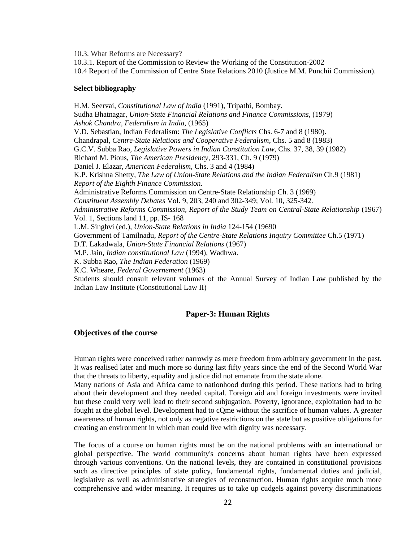10.3. What Reforms are Necessary?

10.3.1. Report of the Commission to Review the Working of the Constitution-2002

10.4 Report of the Commission of Centre State Relations 2010 (Justice M.M. Punchii Commission).

#### **Select bibliography**

H.M. Seervai, *Constitutional Law of India* (1991), Tripathi, Bombay. Sudha Bhatnagar, *Union-State Financial Relations and Finance Commissions,* (1979) *Ashok Chandra, Federalism in India,* (1965) V.D. Sebastian, Indian Federalism: *The Legislative Conflicts* Chs. 6-7 and 8 (1980). Chandrapal, *Centre-State Relations and Cooperative Federalism,* Chs. 5 and 8 (1983) G.C.V. Subba Rao, *Legislative Powers in Indian Constitution Law,* Chs. 37, 38, 39 (1982) Richard M. Pious, *The American Presidency,* 293-331, Ch. 9 (1979) Daniel J. Elazar, *American Federalism,* Chs. 3 and 4 (1984) K.P. Krishna Shetty, *The Law of Union-State Relations and the Indian Federalism* Ch.9 (1981) *Report of the Eighth Finance Commission.*  Administrative Reforms Commission on Centre-State Relationship Ch. 3 (1969) *Constituent Assembly Debates* Vol. 9, 203, 240 and 302-349; Vol. 10, 325-342. *Administrative Reforms Commission, Report of the Study Team on Central-State Relationship* (1967) Vol. 1, Sections land 11, pp. IS- 168 L.M. Singhvi (ed.), *Union-State Relations in India* 124-154 (19690 Government of Tamilnadu, *Report of the Centre-State Relations Inquiry Committee* Ch.5 (1971) D.T. Lakadwala, *Union-State Financial Relations* (1967) M.P. Jain, *Indian constitutional Law* (1994), Wadhwa. K. Subba Rao, *The Indian Federation* (1969) K.C. Wheare, *Federal Governement* (1963) Students should consult relevant volumes of the Annual Survey of Indian Law published by the Indian Law Institute (Constitutional Law II)

#### **Paper-3: Human Rights**

#### **Objectives of the course**

Human rights were conceived rather narrowly as mere freedom from arbitrary government in the past. It was realised later and much more so during last fifty years since the end of the Second World War that the threats to liberty, equality and justice did not emanate from the state alone.

Many nations of Asia and Africa came to nationhood during this period. These nations had to bring about their development and they needed capital. Foreign aid and foreign investments were invited but these could very well lead to their second subjugation. Poverty, ignorance, exploitation had to be fought at the global level. Development had to cQme without the sacrifice of human values. A greater awareness of human rights, not only as negative restrictions on the state but as positive obligations for creating an environment in which man could live with dignity was necessary.

The focus of a course on human rights must be on the national problems with an international or global perspective. The world community's concerns about human rights have been expressed through various conventions. On the national levels, they are contained in constitutional provisions such as directive principles of state policy, fundamental rights, fundamental duties and judicial, legislative as well as administrative strategies of reconstruction. Human rights acquire much more comprehensive and wider meaning. It requires us to take up cudgels against poverty discriminations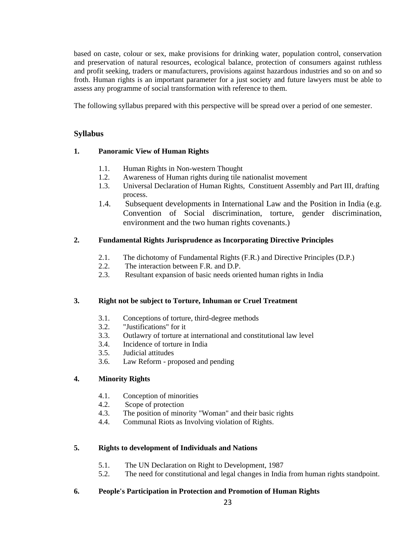based on caste, colour or sex, make provisions for drinking water, population control, conservation and preservation of natural resources, ecological balance, protection of consumers against ruthless and profit seeking, traders or manufacturers, provisions against hazardous industries and so on and so froth. Human rights is an important parameter for a just society and future lawyers must be able to assess any programme of social transformation with reference to them.

The following syllabus prepared with this perspective will be spread over a period of one semester.

## **Syllabus**

## **1. Panoramic View of Human Rights**

- 1.1. Human Rights in Non-western Thought
- 1.2. Awareness of Human rights during tile nationalist movement
- 1.3. Universal Declaration of Human Rights, Constituent Assembly and Part III, drafting process.
- 1.4. Subsequent developments in International Law and the Position in India (e.g. Convention of Social discrimination, torture, gender discrimination, environment and the two human rights covenants.)

## **2. Fundamental Rights Jurisprudence as Incorporating Directive Principles**

- 2.1. The dichotomy of Fundamental Rights (F.R.) and Directive Principles (D.P.)
- 2.2. The interaction between F.R. and D.P.
- 2.3. Resultant expansion of basic needs oriented human rights in India

#### **3. Right not be subject to Torture, Inhuman or Cruel Treatment**

- 3.1. Conceptions of torture, third-degree methods
- 3.2. "Justifications" for it
- 3.3. Outlawry of torture at international and constitutional law level
- 3.4. Incidence of torture in India
- 3.5. Judicial attitudes
- 3.6. Law Reform proposed and pending

## **4. Minority Rights**

- 4.1. Conception of minorities
- 4.2. Scope of protection
- 4.3. The position of minority "Woman" and their basic rights
- 4.4. Communal Riots as Involving violation of Rights.

#### **5. Rights to development of Individuals and Nations**

- 5.1. The UN Declaration on Right to Development, 1987
- 5.2. The need for constitutional and legal changes in India from human rights standpoint.

## **6. People's Participation in Protection and Promotion of Human Rights**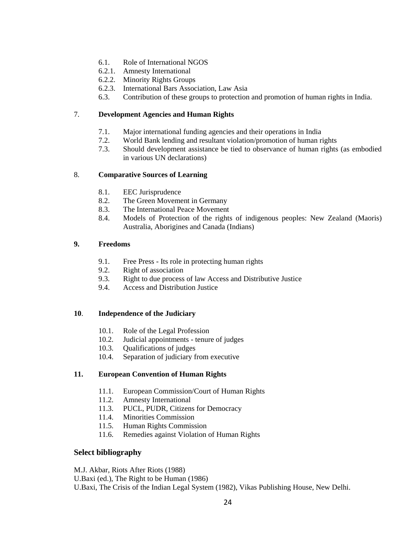- 6.1. Role of International NGOS
- 6.2.1. Amnesty International
- 6.2.2. Minority Rights Groups
- 6.2.3. International Bars Association, Law Asia
- 6.3. Contribution of these groups to protection and promotion of human rights in India.

### 7. **Development Agencies and Human Rights**

- 7.1. Major international funding agencies and their operations in India
- 7.2. World Bank lending and resultant violation/promotion of human rights
- 7.3. Should development assistance be tied to observance of human rights (as embodied in various UN declarations)

## 8. **Comparative Sources of Learning**

- 8.1. EEC Jurisprudence
- 8.2. The Green Movement in Germany
- 8.3. The International Peace Movement
- 8.4. Models of Protection of the rights of indigenous peoples: New Zealand (Maoris) Australia, Aborigines and Canada (Indians)

#### **9. Freedoms**

- 9.1. Free Press Its role in protecting human rights
- 9.2. Right of association
- 9.3. Right to due process of law Access and Distributive Justice
- 9.4. Access and Distribution Justice

### **10**. **Independence of the Judiciary**

- 10.1. Role of the Legal Profession
- 10.2. Judicial appointments tenure of judges
- 10.3. Qualifications of judges
- 10.4. Separation of judiciary from executive

#### **11. European Convention of Human Rights**

- 11.1. European Commission/Court of Human Rights
- 11.2. Amnesty International
- 11.3. PUCL, PUDR, Citizens for Democracy
- 11.4. Minorities Commission
- 11.5. Human Rights Commission
- 11.6. Remedies against Violation of Human Rights

#### **Select bibliography**

M.J. Akbar, Riots After Riots (1988)

U.Baxi (ed.), The Right to be Human (1986)

U.Baxi, The Crisis of the Indian Legal System (1982), Vikas Publishing House, New Delhi.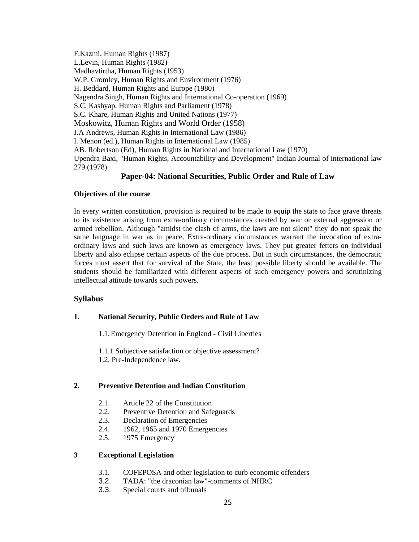F.Kazmi, Human Rights (1987) L.Levin, Human Rights (1982) Madhavtirtha, Human Rights (1953) W.P. Gromley, Human Rights and Environment (1976) H. Beddard, Human Rights and Europe (1980) Nagendra Singh, Human Rights and International Co-operation (1969) S.C. Kashyap, Human Rights and Parliament (1978) S.C. Khare, Human Rights and United Nations (1977) Moskowitz, Human Rights and World Order (1958) J.A Andrews, Human Rights in International Law (1986) I. Menon (ed.), Human Rights in International Law (1985) AB. Robertson (Ed), Human Rights in National and International Law (1970) Upendra Baxi, "Human Rights, Accountability and Development" Indian Journal of international law 279 (1978)

## **Paper-04: National Securities, Public Order and Rule of Law**

#### **Objectives of the course**

In every written constitution, provision is required to be made to equip the state to face grave threats to its existence arising from extra-ordinary circumstances created by war or external aggression or armed rebellion. Although "amidst the clash of arms, the laws are not silent" they do not speak the same language in war as in peace. Extra-ordinary circumstances warrant the invocation of extraordinary laws and such laws are known as emergency laws. They put greater fetters on individual liberty and also eclipse certain aspects of the due process. But in such circumstances, the democratic forces must assert that for survival of the State, the least possible liberty should be available. The students should be familiarized with different aspects of such emergency powers and scrutinizing intellectual attitude towards such powers.

#### **Syllabus**

#### **1. National Security, Public Orders and Rule of Law**

1.1.Emergency Detention in England - Civil Liberties

1.1.1 Subjective satisfaction or objective assessment? 1.2. Pre-Independence law.

#### **2. Preventive Detention and Indian Constitution**

- 2.1. Article 22 of the Constitution
- 2.2. Preventive Detention and Safeguards
- 2.3. Declaration of Emergencies
- 2.4. 1962, 1965 and 1970 Emergencies
- 2.5. 1975 Emergency

### **3 Exceptional Legislation**

- 3.1. COFEPOSA and other legislation to curb economic offenders
- 3.2. TADA: "the draconian law"-comments of NHRC
- 3.3. Special courts and tribunals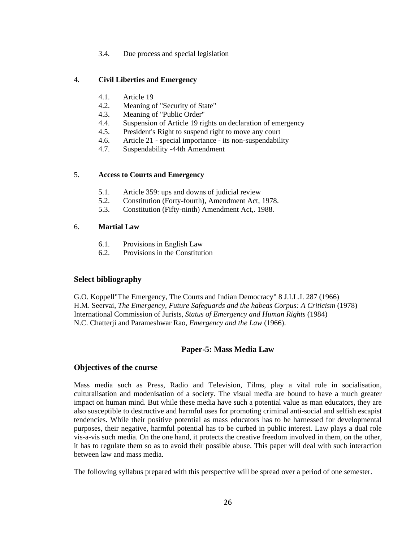3.4. Due process and special legislation

#### 4. **Civil Liberties and Emergency**

- 4.1. Article 19
- 4.2. Meaning of "Security of State"
- 4.3. Meaning of "Public Order"
- 4.4. Suspension of Article 19 rights on declaration of emergency
- 4.5. President's Right to suspend right to move any court
- 4.6. Article 21 special importance its non-suspendability
- 4.7. Suspendability -44th Amendment

#### 5. **Access to Courts and Emergency**

- 5.1. Article 359: ups and downs of judicial review
- 5.2. Constitution (Forty-fourth), Amendment Act, 1978.
- 5.3. Constitution (Fifty-ninth) Amendment Act,. 1988.

#### 6. **Martial Law**

- 6.1. Provisions in English Law
- 6.2. Provisions in the Constitution

#### **Select bibliography**

G.O. Koppell"The Emergency, The Courts and Indian Democracy" 8 J.I.L.I. 287 (1966) H.M. Seervai, *The Emergency, Future Safeguards and the habeas Corpus: A Criticism* (1978) International Commission of Jurists, *Status of Emergency and Human Rights* (1984) N.C. Chatterji and Parameshwar Rao, *Emergency and the Law* (1966).

#### **Paper-5: Mass Media Law**

#### **Objectives of the course**

Mass media such as Press, Radio and Television, Films, play a vital role in socialisation, culturalisation and modenisation of a society. The visual media are bound to have a much greater impact on human mind. But while these media have such a potential value as man educators, they are also susceptible to destructive and harmful uses for promoting criminal anti-social and selfish escapist tendencies. While their positive potential as mass educators has to be harnessed for developmental purposes, their negative, harmful potential has to be curbed in public interest. Law plays a dual role vis-a-vis such media. On the one hand, it protects the creative freedom involved in them, on the other, it has to regulate them so as to avoid their possible abuse. This paper will deal with such interaction between law and mass media.

The following syllabus prepared with this perspective will be spread over a period of one semester.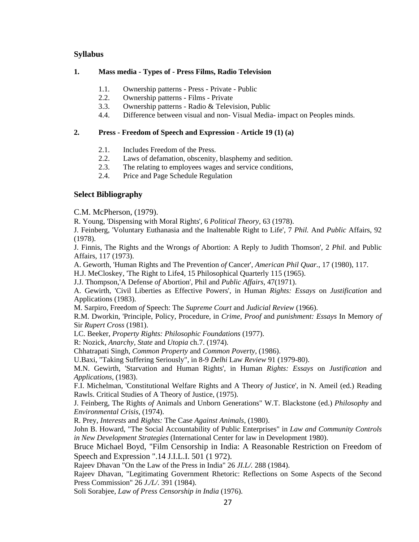## **Syllabus**

#### **1. Mass media - Types of - Press Films, Radio Television**

- 1.1. Ownership patterns Press Private Public
- 2.2. Ownership patterns Films Private
- 3.3. Ownership patterns Radio & Television, Public
- 4.4. Difference between visual and non- Visual Media- impact on Peoples minds.

#### **2. Press - Freedom of Speech and Expression - Article 19 (1) (a)**

- 2.1. Includes Freedom of the Press.
- 2.2. Laws of defamation, obscenity, blasphemy and sedition.
- 2.3. The relating to employees wages and service conditions,
- 2.4. Price and Page Schedule Regulation

## **Select Bibliography**

C.M. McPherson, (1979).

R. Young, 'Dispensing with Moral Rights', 6 *Political Theory,* 63 (1978).

J. Feinberg, 'Voluntary Euthanasia and the Inaltenable Right to Life', 7 *Phil.* And *Public* Affairs, 92 (1978).

J. Finnis, The Rights and the Wrongs *of* Abortion: A Reply to Judith Thomson', 2 *Phil.* and Public Affairs, 117 (1973).

A. Geworth, 'Human Rights and The Prevention *of* Cancer', *American Phil Quar.,* 17 (1980), 117.

H.J. MeCloskey, 'The Right to Life4, 15 Philosophical Quarterly 115 (1965).

J.J. Thompson,'A Defense *of* Abortion', Phil and *Public Affairs,* 47(1971).

A. Gewirth, 'Civil Liberties as Effective Powers', in Human *Rights: Essays* on *Justification* and Applications (1983).

M. Sarpiro, Freedom *of* Speech: The *Supreme Court* and *Judicial Review* (1966).

R.M. Dworkin, 'Principle, Policy, Procedure, in *Crime, Proof* and *punishment: Essays* In Memory *of*  Sir *Rupert Cross* (1981).

LC. Beeker, *Property Rights: Philosophic Foundations* (1977).

R: Nozick, *Anarchy, State* and *Utopia* ch.7. (1974).

Chhatrapati Singh, *Common Property* and *Common Poverty,* (1986).

U.Baxi, "Taking Suffering Seriously", in 8-9 *Delhi* Law *Review* 91 (1979-80).

M.N. Gewirth, 'Starvation and Human Rights', in Human *Rights: Essays* on *Justification* and *Applications,* (1983).

F.I. Michelman, 'Constitutional Welfare Rights and A Theory *of* Justice', in N. Ameil (ed.) Reading Rawls. Critical Studies of A Theory of Justice, (1975).

J. Feinberg, The Rights *of* Animals and Unborn Generations" W.T. Blackstone (ed.) *Philosophy* and *Environmental Crisis,* (1974).

R. Prey, *Interests* and *Rights:* The Case *Against Animals,* (1980).

John B. Howard, "The Social Accountability of Public Enterprises" in *Law and Community Controls in New Development Strategies* (International Center for law in Development 1980).

Bruce Michael Boyd, "Film Censorship in India: A Reasonable Restriction on Freedom of Speech and Expression ".14 J.I.L.I. 501 (1 972).

Rajeev Dhavan "On the Law of the Press in India" 26 *JI.L/.* 288 (1984).

Rajeev Dhavan, "Legitimating Government Rhetoric: Reflections on Some Aspects of the Second Press Commission" 26 *J./L/.* 391 (1984).

Soli Sorabjee, *Law of Press Censorship in India* (1976).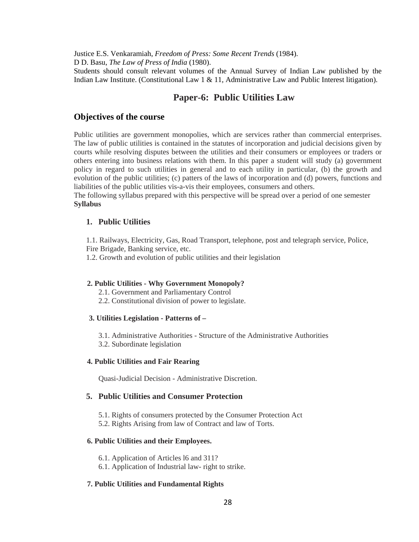Justice E.S. Venkaramiah, *Freedom of Press: Some Recent Trends* (1984).

D D. Basu, *The Law of Press of India* (1980).

Students should consult relevant volumes of the Annual Survey of Indian Law published by the Indian Law Institute. (Constitutional Law 1 & 11, Administrative Law and Public Interest litigation).

# **Paper-6: Public Utilities Law**

## **Objectives of the course**

Public utilities are government monopolies, which are services rather than commercial enterprises. The law of public utilities is contained in the statutes of incorporation and judicial decisions given by courts while resolving disputes between the utilities and their consumers or employees or traders or others entering into business relations with them. In this paper a student will study (a) government policy in regard to such utilities in general and to each utility in particular, (b) the growth and evolution of the public utilities; (c) patters of the laws of incorporation and (d) powers, functions and liabilities of the public utilities vis-a-vis their employees, consumers and others.

The following syllabus prepared with this perspective will be spread over a period of one semester **Syllabus** 

## **1. Public Utilities**

1.1. Railways, Electricity, Gas, Road Transport, telephone, post and telegraph service, Police, Fire Brigade, Banking service, etc.

1.2. Growth and evolution of public utilities and their legislation

#### **2. Public Utilities - Why Government Monopoly?**

2.1. Government and Parliamentary Control

2.2. Constitutional division of power to legislate.

#### **3. Utilities Legislation - Patterns of –**

3.1. Administrative Authorities - Structure of the Administrative Authorities 3.2. Subordinate legislation

#### **4. Public Utilities and Fair Rearing**

Quasi-Judicial Decision - Administrative Discretion.

### **5. Public Utilities and Consumer Protection**

- 5.1. Rights of consumers protected by the Consumer Protection Act
- 5.2. Rights Arising from law of Contract and law of Torts.

#### **6. Public Utilities and their Employees.**

6.1. Application of Articles l6 and 311?

6.1. Application of Industrial law- right to strike.

## **7. Public Utilities and Fundamental Rights**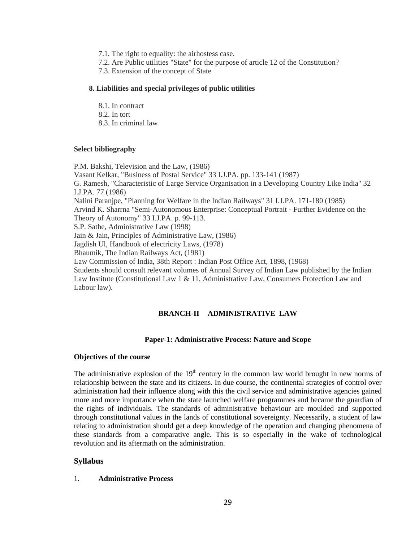- 7.1. The right to equality: the airhostess case.
- 7.2. Are Public utilities "State" for the purpose of article 12 of the Constitution?
- 7.3. Extension of the concept of State

#### **8. Liabilities and special privileges of public utilities**

- 8.1. In contract
- 8.2. In tort
- 8.3. In criminal law

#### **Select bibliography**

P.M. Bakshi, Television and the Law, (1986) Vasant Kelkar, "Business of Postal Service" 33 I.J.PA. pp. 133-141 (1987) G. Ramesh, "Characteristic of Large Service Organisation in a Developing Country Like India" 32 I.J.PA. 77 (1986) Nalini Paranjpe, "Planning for Welfare in the Indian Railways" 31 I.J.PA. 171-180 (1985) Arvind K. Sharrna "Semi-Autonomous Enterprise: Conceptual Portrait - Further Evidence on the Theory of Autonomy" 33 I.J.PA. p. 99-113. S.P. Sathe, Administrative Law (1998) Jain & Jain, Principles of Administrative Law, (1986) Jagdish Ul, Handbook of electricity Laws, (1978) Bhaumik, The Indian Railways Act, (1981) Law Commission of India, 38th Report : Indian Post Office Act, 1898, (1968) Students should consult relevant volumes of Annual Survey of Indian Law published by the Indian Law Institute (Constitutional Law 1 & 11, Administrative Law, Consumers Protection Law and Labour law).

## **BRANCH-II ADMINISTRATIVE LAW**

#### **Paper-1: Administrative Process: Nature and Scope**

#### **Objectives of the course**

The administrative explosion of the  $19<sup>th</sup>$  century in the common law world brought in new norms of relationship between the state and its citizens. In due course, the continental strategies of control over administration had their influence along with this the civil service and administrative agencies gained more and more importance when the state launched welfare programmes and became the guardian of the rights of individuals. The standards of administrative behaviour are moulded and supported through constitutional values in the lands of constitutional sovereignty. Necessarily, a student of law relating to administration should get a deep knowledge of the operation and changing phenomena of these standards from a comparative angle. This is so especially in the wake of technological revolution and its aftermath on the administration.

#### **Syllabus**

#### 1. **Administrative Process**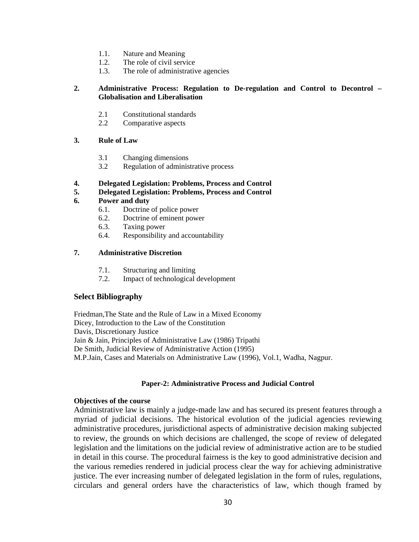- 1.1. Nature and Meaning
- 1.2. The role of civil service
- 1.3. The role of administrative agencies

#### **2. Administrative Process: Regulation to De-regulation and Control to Decontrol – Globalisation and Liberalisation**

- 2.1 Constitutional standards
- 2.2 Comparative aspects

#### **3. Rule of Law**

- 3.1 Changing dimensions
- 3.2 Regulation of administrative process

#### **4. Delegated Legislation: Problems, Process and Control**

#### **5. Delegated Legislation: Problems, Process and Control**

#### **6. Power and duty**

- 6.1. Doctrine of police power
- 6.2. Doctrine of eminent power
- 6.3. Taxing power
- 6.4. Responsibility and accountability

### **7. Administrative Discretion**

- 7.1. Structuring and limiting
- 7.2. Impact of technological development

#### **Select Bibliography**

Friedman,The State and the Rule of Law in a Mixed Economy Dicey, Introduction to the Law of the Constitution Davis, Discretionary Justice Jain & Jain, Principles of Administrative Law (1986) Tripathi De Smith, Judicial Review of Administrative Action (1995) M.P.Jain, Cases and Materials on Administrative Law (1996), Vol.1, Wadha, Nagpur.

## **Paper-2: Administrative Process and Judicial Control**

#### **Objectives of the course**

Administrative law is mainly a judge-made law and has secured its present features through a myriad of judicial decisions. The historical evolution of the judicial agencies reviewing administrative procedures, jurisdictional aspects of administrative decision making subjected to review, the grounds on which decisions are challenged, the scope of review of delegated legislation and the limitations on the judicial review of administrative action are to be studied in detail in this course. The procedural fairness is the key to good administrative decision and the various remedies rendered in judicial process clear the way for achieving administrative justice. The ever increasing number of delegated legislation in the form of rules, regulations, circulars and general orders have the characteristics of law, which though framed by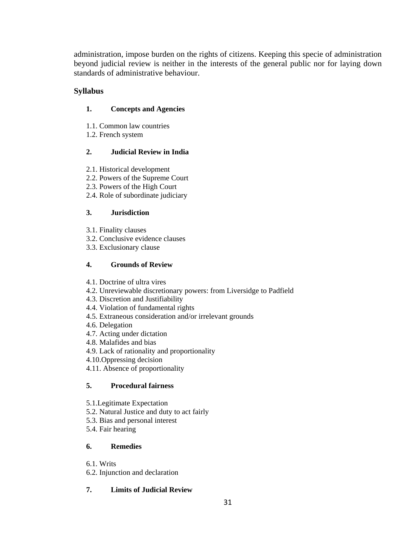administration, impose burden on the rights of citizens. Keeping this specie of administration beyond judicial review is neither in the interests of the general public nor for laying down standards of administrative behaviour.

# **Syllabus**

# **1. Concepts and Agencies**

- 1.1. Common law countries
- 1.2. French system

# **2. Judicial Review in India**

- 2.1. Historical development
- 2.2. Powers of the Supreme Court
- 2.3. Powers of the High Court
- 2.4. Role of subordinate judiciary

# **3. Jurisdiction**

- 3.1. Finality clauses
- 3.2. Conclusive evidence clauses
- 3.3. Exclusionary clause

# **4. Grounds of Review**

- 4.1. Doctrine of ultra vires
- 4.2. Unreviewable discretionary powers: from Liversidge to Padfield
- 4.3. Discretion and Justifiability
- 4.4. Violation of fundamental rights
- 4.5. Extraneous consideration and/or irrelevant grounds
- 4.6. Delegation
- 4.7. Acting under dictation
- 4.8. Malafides and bias
- 4.9. Lack of rationality and proportionality
- 4.10.Oppressing decision
- 4.11. Absence of proportionality

# **5. Procedural fairness**

- 5.1.Legitimate Expectation
- 5.2. Natural Justice and duty to act fairly
- 5.3. Bias and personal interest
- 5.4. Fair hearing

# **6. Remedies**

6.1. Writs

6.2. Injunction and declaration

# **7. Limits of Judicial Review**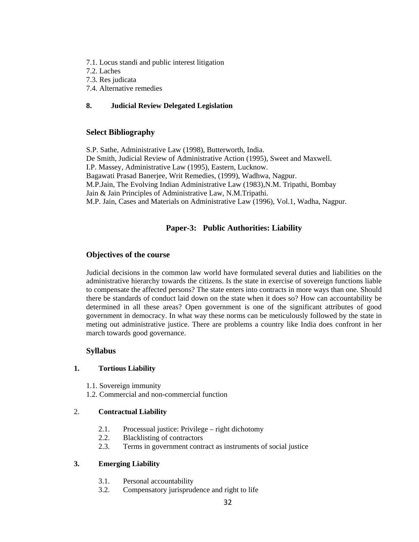- 7.1. Locus standi and public interest litigation
- 7.2. Laches
- 7.3. Res judicata
- 7.4. Alternative remedies

## **8. Judicial Review Delegated Legislation**

## **Select Bibliography**

S.P. Sathe, Administrative Law (1998), Butterworth, India. De Smith, Judicial Review of Administrative Action (1995), Sweet and Maxwell. I.P. Massey, Administrative Law (1995), Eastern, Lucknow. Bagawati Prasad Banerjee, Writ Remedies, (1999), Wadhwa, Nagpur. M.P.Jain, The Evolving Indian Administrative Law (1983),N.M. Tripathi, Bombay Jain & Jain Principles of Administrative Law, N.M.Tripathi. M.P. Jain, Cases and Materials on Administrative Law (1996), Vol.1, Wadha, Nagpur.

# **Paper-3: Public Authorities: Liability**

## **Objectives of the course**

Judicial decisions in the common law world have formulated several duties and liabilities on the administrative hierarchy towards the citizens. Is the state in exercise of sovereign functions liable to compensate the affected persons? The state enters into contracts in more ways than one. Should there be standards of conduct laid down on the state when it does so? How can accountability be determined in all these areas? Open government is one of the significant attributes of good government in democracy. In what way these norms can be meticulously followed by the state in meting out administrative justice. There are problems a country like India does confront in her march towards good governance.

#### **Syllabus**

#### **1. Tortious Liability**

- 1.1. Sovereign immunity
- 1.2. Commercial and non-commercial function

#### 2. **Contractual Liability**

- 2.1. Processual justice: Privilege right dichotomy
- 2.2. Blacklisting of contractors
- 2.3. Terms in government contract as instruments of social justice

### **3. Emerging Liability**

- 3.1. Personal accountability
- 3.2. Compensatory jurisprudence and right to life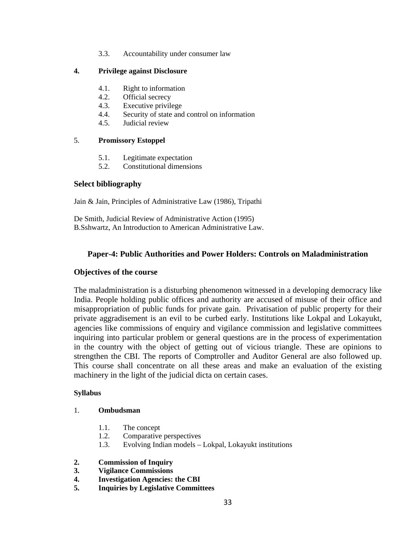3.3. Accountability under consumer law

## **4. Privilege against Disclosure**

- 4.1. Right to information
- 4.2. Official secrecy
- 4.3. Executive privilege
- 4.4. Security of state and control on information
- 4.5. Judicial review

#### 5. **Promissory Estoppel**

- 5.1. Legitimate expectation
- 5.2. Constitutional dimensions

#### **Select bibliography**

Jain & Jain, Principles of Administrative Law (1986), Tripathi

De Smith, Judicial Review of Administrative Action (1995) B.Sshwartz, An Introduction to American Administrative Law.

## **Paper-4: Public Authorities and Power Holders: Controls on Maladministration**

#### **Objectives of the course**

The maladministration is a disturbing phenomenon witnessed in a developing democracy like India. People holding public offices and authority are accused of misuse of their office and misappropriation of public funds for private gain. Privatisation of public property for their private aggradisement is an evil to be curbed early. Institutions like Lokpal and Lokayukt, agencies like commissions of enquiry and vigilance commission and legislative committees inquiring into particular problem or general questions are in the process of experimentation in the country with the object of getting out of vicious triangle. These are opinions to strengthen the CBI. The reports of Comptroller and Auditor General are also followed up. This course shall concentrate on all these areas and make an evaluation of the existing machinery in the light of the judicial dicta on certain cases.

#### **Syllabus**

#### 1. **Ombudsman**

- 1.1. The concept
- 1.2. Comparative perspectives
- 1.3. Evolving Indian models Lokpal, Lokayukt institutions

#### **2. Commission of Inquiry**

- **3. Vigilance Commissions**
- **4. Investigation Agencies: the CBI**
- **5. Inquiries by Legislative Committees**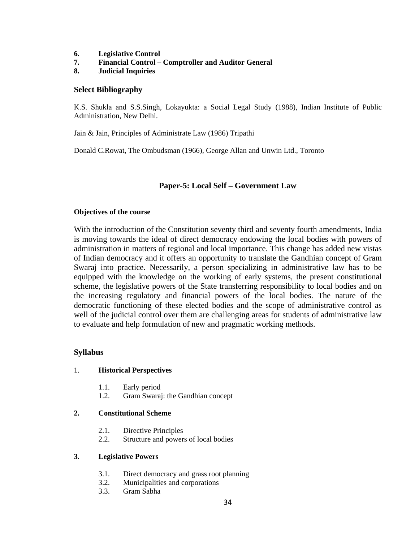- **6. Legislative Control**
- **7. Financial Control Comptroller and Auditor General**
- **8. Judicial Inquiries**

#### **Select Bibliography**

K.S. Shukla and S.S.Singh, Lokayukta: a Social Legal Study (1988), Indian Institute of Public Administration, New Delhi.

Jain & Jain, Principles of Administrate Law (1986) Tripathi

Donald C.Rowat, The Ombudsman (1966), George Allan and Unwin Ltd., Toronto

## **Paper-5: Local Self – Government Law**

#### **Objectives of the course**

With the introduction of the Constitution seventy third and seventy fourth amendments, India is moving towards the ideal of direct democracy endowing the local bodies with powers of administration in matters of regional and local importance. This change has added new vistas of Indian democracy and it offers an opportunity to translate the Gandhian concept of Gram Swaraj into practice. Necessarily, a person specializing in administrative law has to be equipped with the knowledge on the working of early systems, the present constitutional scheme, the legislative powers of the State transferring responsibility to local bodies and on the increasing regulatory and financial powers of the local bodies. The nature of the democratic functioning of these elected bodies and the scope of administrative control as well of the judicial control over them are challenging areas for students of administrative law to evaluate and help formulation of new and pragmatic working methods.

#### **Syllabus**

#### 1. **Historical Perspectives**

- 1.1. Early period
- 1.2. Gram Swaraj: the Gandhian concept

#### **2. Constitutional Scheme**

- 2.1. Directive Principles
- 2.2. Structure and powers of local bodies

#### **3. Legislative Powers**

- 3.1. Direct democracy and grass root planning
- 3.2. Municipalities and corporations
- 3.3. Gram Sabha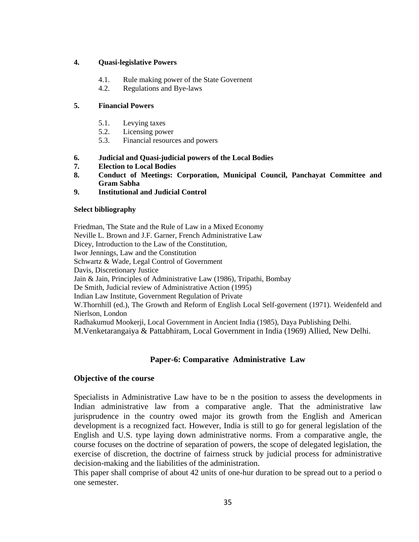### **4. Quasi-legislative Powers**

- 4.1. Rule making power of the State Governent
- 4.2. Regulations and Bye-laws

## **5. Financial Powers**

- 5.1. Levying taxes
- 5.2. Licensing power
- 5.3. Financial resources and powers
- **6. Judicial and Quasi-judicial powers of the Local Bodies**
- **7. Election to Local Bodies**
- **8. Conduct of Meetings: Corporation, Municipal Council, Panchayat Committee and Gram Sabha**
- **9. Institutional and Judicial Control**

## **Select bibliography**

Friedman, The State and the Rule of Law in a Mixed Economy Neville L. Brown and J.F. Garner, French Administrative Law Dicey, Introduction to the Law of the Constitution, Iwor Jennings, Law and the Constitution Schwartz & Wade, Legal Control of Government Davis, Discretionary Justice Jain & Jain, Principles of Administrative Law (1986), Tripathi, Bombay De Smith, Judicial review of Administrative Action (1995) Indian Law Institute, Government Regulation of Private W.Thornhill (ed.), The Growth and Reform of English Local Self-governent (1971). Weidenfeld and Nierlson, London Radhakumud Mookerji, Local Government in Ancient India (1985), Daya Publishing Delhi. M.Venketarangaiya & Pattabhiram, Local Government in India (1969) Allied, New Delhi.

# **Paper-6: Comparative Administrative Law**

## **Objective of the course**

Specialists in Administrative Law have to be n the position to assess the developments in Indian administrative law from a comparative angle. That the administrative law jurisprudence in the country owed major its growth from the English and American development is a recognized fact. However, India is still to go for general legislation of the English and U.S. type laying down administrative norms. From a comparative angle, the course focuses on the doctrine of separation of powers, the scope of delegated legislation, the exercise of discretion, the doctrine of fairness struck by judicial process for administrative decision-making and the liabilities of the administration.

This paper shall comprise of about 42 units of one-hur duration to be spread out to a period o one semester.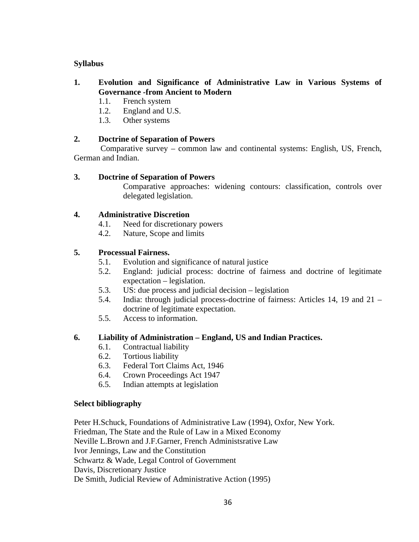# **Syllabus**

- **1. Evolution and Significance of Administrative Law in Various Systems of Governance -from Ancient to Modern** 
	- 1.1. French system
	- 1.2. England and U.S.
	- 1.3. Other systems

# **2. Doctrine of Separation of Powers**

 Comparative survey – common law and continental systems: English, US, French, German and Indian.

# **3. Doctrine of Separation of Powers**

Comparative approaches: widening contours: classification, controls over delegated legislation.

# **4. Administrative Discretion**

- 4.1. Need for discretionary powers
- 4.2. Nature, Scope and limits

# **5. Processual Fairness.**

- 5.1. Evolution and significance of natural justice
- 5.2. England: judicial process: doctrine of fairness and doctrine of legitimate expectation – legislation.
- 5.3. US: due process and judicial decision legislation
- 5.4. India: through judicial process-doctrine of fairness: Articles 14, 19 and 21 doctrine of legitimate expectation.
- 5.5. Access to information.

# **6. Liability of Administration – England, US and Indian Practices.**

- 6.1. Contractual liability
- 6.2. Tortious liability
- 6.3. Federal Tort Claims Act, 1946
- 6.4. Crown Proceedings Act 1947
- 6.5. Indian attempts at legislation

# **Select bibliography**

Peter H.Schuck, Foundations of Administrative Law (1994), Oxfor, New York. Friedman, The State and the Rule of Law in a Mixed Economy Neville L.Brown and J.F.Garner, French Administsrative Law Ivor Jennings, Law and the Constitution Schwartz & Wade, Legal Control of Government Davis, Discretionary Justice De Smith, Judicial Review of Administrative Action (1995)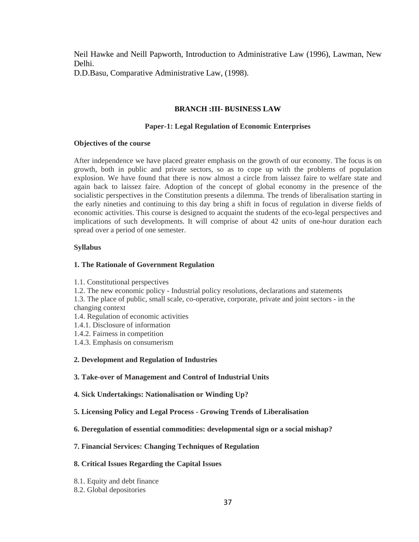Neil Hawke and Neill Papworth, Introduction to Administrative Law (1996), Lawman, New Delhi.

D.D.Basu, Comparative Administrative Law, (1998).

# **BRANCH :III- BUSINESS LAW**

### **Paper-1: Legal Regulation of Economic Enterprises**

### **Objectives of the course**

After independence we have placed greater emphasis on the growth of our economy. The focus is on growth, both in public and private sectors, so as to cope up with the problems of population explosion. We have found that there is now almost a circle from laissez faire to welfare state and again back to laissez faire. Adoption of the concept of global economy in the presence of the socialistic perspectives in the Constitution presents a dilemma. The trends of liberalisation starting in the early nineties and continuing to this day bring a shift in focus of regulation in diverse fields of economic activities. This course is designed to acquaint the students of the eco-legal perspectives and implications of such developments. It will comprise of about 42 units of one-hour duration each spread over a period of one semester.

### **Syllabus**

### **1. The Rationale of Government Regulation**

1.1. Constitutional perspectives

1.2. The new economic policy - Industrial policy resolutions, declarations and statements

1.3. The place of public, small scale, co-operative, corporate, private and joint sectors - in the changing context

- 1.4. Regulation of economic activities
- 1.4.1. Disclosure of information
- 1.4.2. Fairness in competition
- 1.4.3. Emphasis on consumerism

### **2. Development and Regulation of Industries**

**3. Take-over of Management and Control of Industrial Units** 

- **4. Sick Undertakings: Nationalisation or Winding Up?**
- **5. Licensing Policy and Legal Process Growing Trends of Liberalisation**
- **6. Deregulation of essential commodities: developmental sign or a social mishap?**

### **7. Financial Services: Changing Techniques of Regulation**

### **8. Critical Issues Regarding the Capital Issues**

- 8.1. Equity and debt finance
- 8.2. Global depositories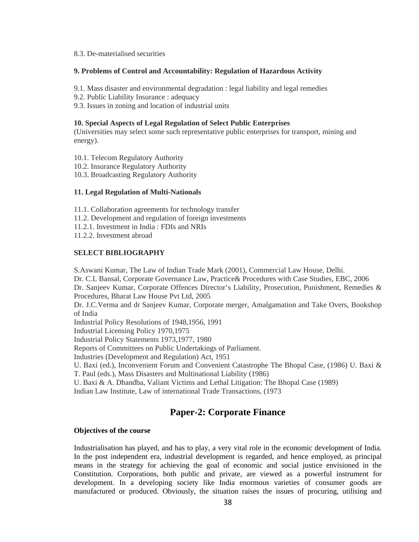#### 8.3. De-materialised securities

#### **9. Problems of Control and Accountability: Regulation of Hazardous Activity**

9.1. Mass disaster and environmental degradation : legal liability and legal remedies

- 9.2. Public Liability Insurance : adequacy
- 9.3. Issues in zoning and location of industrial units

#### **10. Special Aspects of Legal Regulation of Select Public Enterprises**

(Universities may select some such representative public enterprises for transport, mining and energy).

- 10.1. Telecom Regulatory Authority
- 10.2. Insurance Regulatory Authority
- 10.3. Broadcasting Regulatory Authority

# **11. Legal Regulation of Multi-Nationals**

11.1. Collaboration agreements for technology transfer

- 11.2. Development and regulation of foreign investments
- 11.2.1. Investment in India : FDIs and NRIs
- 11.2.2. Investment abroad

#### **SELECT BIBLIOGRAPHY**

S.Aswani Kumar, The Law of Indian Trade Mark (2001), Commercial Law House, Delhi.

Dr. C.L Bansal, Corporate Governance Law, Practice& Procedures with Case Studies, EBC, 2006 Dr. Sanjeev Kumar, Corporate Offences Director's Liability, Prosecution, Punishment, Remedies & Procedures, Bharat Law House Pvt Ltd, 2005

Dr. J.C.Verma and dr Sanjeev Kumar, Corporate merger, Amalgamation and Take Overs, Bookshop of India

Industrial Policy Resolutions of 1948,1956, 1991

Industrial Licensing Policy 1970,1975

Industrial Policy Statements 1973,1977, 1980

Reports of Committees on Public Undertakings of Parliament.

Industries (Development and Regulation) Act, 1951

U. Baxi (ed.), Inconvenient Forum and Convenient Catastrophe The Bhopal Case, (1986) U. Baxi &

T. Paul (eds.), Mass Disasters and Multinational Liability (1986)

U. Baxi & A. Dhandba, Valiant Victims and Lethal Litigation: The Bhopal Case (1989)

Indian Law Institute, Law of international Trade Transactions, (1973

# **Paper-2: Corporate Finance**

#### **Objectives of the course**

Industrialisation has played, and has to play, a very vital role in the economic development of India. In the post independent era, industrial development is regarded, and hence employed, as principal means in the strategy for achieving the goal of economic and social justice envisioned in the Constitution. Corporations, both public and private, are viewed as a powerful instrument for development. In a developing society like India enormous varieties of consumer goods are manufactured or produced. Obviously, the situation raises the issues of procuring, utilising and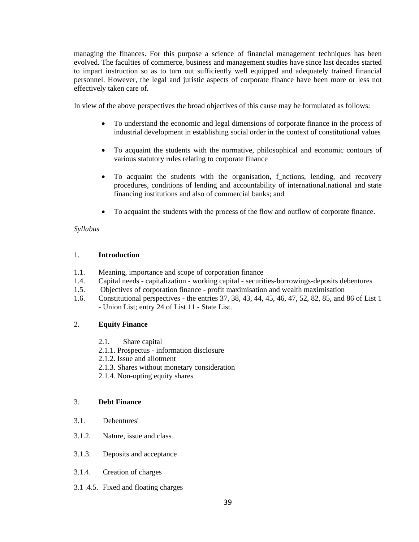managing the finances. For this purpose a science of financial management techniques has been evolved. The faculties of commerce, business and management studies have since last decades started to impart instruction so as to turn out sufficiently well equipped and adequately trained financial personnel. However, the legal and juristic aspects of corporate finance have been more or less not effectively taken care of.

In view of the above perspectives the broad objectives of this cause may be formulated as follows:

- To understand the economic and legal dimensions of corporate finance in the process of industrial development in establishing social order in the context of constitutional values
- To acquaint the students with the normative, philosophical and economic contours of various statutory rules relating to corporate finance
- To acquaint the students with the organisation, f\_nctions, lending, and recovery procedures, conditions of lending and accountability of international.national and state financing institutions and also of commercial banks; and
- To acquaint the students with the process of the flow and outflow of corporate finance.

# *Syllabus*

### 1. **Introduction**

- 1.1. Meaning, importance and scope of corporation finance
- 1.4. Capital needs capitalization working capital securities-borrowings-deposits debentures
- 1.5. Objectives of corporation finance profit maximisation and wealth maximisation
- 1.6. Constitutional perspectives the entries 37, 38, 43, 44, 45, 46, 47, 52, 82, 85, and 86 of List 1 - Union List; entry 24 of List 11 - State List.

# 2. **Equity Finance**

- 2.1. Share capital
- 2.1.1. Prospectus information disclosure
- 2.1.2. Issue and allotment
- 2.1.3. Shares without monetary consideration
- 2.1.4. Non-opting equity shares

### 3. **Debt Finance**

- 3.1. Debentures'
- 3.1.2. Nature, issue and class
- 3.1.3. Deposits and acceptance
- 3.1.4. Creation of charges
- 3.1 .4.5. Fixed and floating charges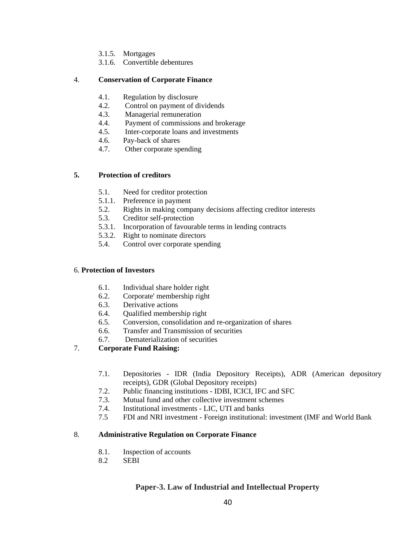- 3.1.5. Mortgages
- 3.1.6. Convertible debentures

# 4. **Conservation of Corporate Finance**

- 4.1. Regulation by disclosure
- 4.2. Control on payment of dividends
- 4.3. Managerial remuneration
- 4.4. Payment of commissions and brokerage
- 4.5. Inter-corporate loans and investments
- 4.6. Pay-back of shares
- 4.7. Other corporate spending

# **5. Protection of creditors**

- 5.1. Need for creditor protection
- 5.1.1. Preference in payment
- 5.2. Rights in making company decisions affecting creditor interests
- 5.3. Creditor self-protection
- 5.3.1. Incorporation of favourable terms in lending contracts
- 5.3.2. Right to nominate directors
- 5.4. Control over corporate spending

# 6. **Protection of Investors**

- 6.1. Individual share holder right
- 6.2. Corporate' membership right
- 6.3. Derivative actions
- 6.4. Qualified membership right
- 6.5. Conversion, consolidation and re-organization of shares
- 6.6. Transfer and Transmission of securities
- 6.7. Dematerialization of securities
- 7. **Corporate Fund Raising:** 
	- 7.1. Depositories IDR (India Depository Receipts), ADR (American depository receipts), GDR (Global Depository receipts)
	- 7.2. Public financing institutions IDBI, ICICI, IFC and SFC
	- 7.3. Mutual fund and other collective investment schemes
	- 7.4. Institutional investments LIC, UTI and banks
	- 7.5 FDI and NRI investment Foreign institutional: investment (IMF and World Bank

# 8. **Administrative Regulation on Corporate Finance**

- 8.1. Inspection of accounts
- 8.2 SEBI

# **Paper-3. Law of Industrial and Intellectual Property**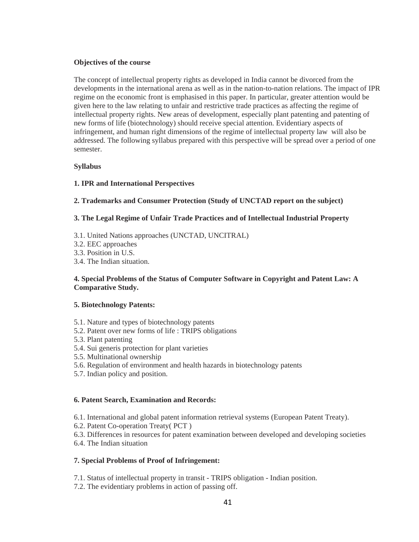### **Objectives of the course**

The concept of intellectual property rights as developed in India cannot be divorced from the developments in the international arena as well as in the nation-to-nation relations. The impact of IPR regime on the economic front is emphasised in this paper. In particular, greater attention would be given here to the law relating to unfair and restrictive trade practices as affecting the regime of intellectual property rights. New areas of development, especially plant patenting and patenting of new forms of life (biotechnology) should receive special attention. Evidentiary aspects of infringement, and human right dimensions of the regime of intellectual property law will also be addressed. The following syllabus prepared with this perspective will be spread over a period of one semester.

### **Syllabus**

# **1. IPR and International Perspectives**

### **2. Trademarks and Consumer Protection (Study of UNCTAD report on the subject)**

### **3. The Legal Regime of Unfair Trade Practices and of Intellectual Industrial Property**

- 3.1. United Nations approaches (UNCTAD, UNCITRAL)
- 3.2. EEC approaches
- 3.3. Position in U.S.
- 3.4. The Indian situation.

# **4. Special Problems of the Status of Computer Software in Copyright and Patent Law: A Comparative Study.**

### **5. Biotechnology Patents:**

- 5.1. Nature and types of biotechnology patents
- 5.2. Patent over new forms of life : TRIPS obligations
- 5.3. Plant patenting
- 5.4. Sui generis protection for plant varieties
- 5.5. Multinational ownership
- 5.6. Regulation of environment and health hazards in biotechnology patents
- 5.7. Indian policy and position.

### **6. Patent Search, Examination and Records:**

- 6.1. International and global patent information retrieval systems (European Patent Treaty).
- 6.2. Patent Co-operation Treaty( PCT )
- 6.3. Differences in resources for patent examination between developed and developing societies
- 6.4. The Indian situation

# **7. Special Problems of Proof of Infringement:**

- 7.1. Status of intellectual property in transit TRIPS obligation Indian position.
- 7.2. The evidentiary problems in action of passing off.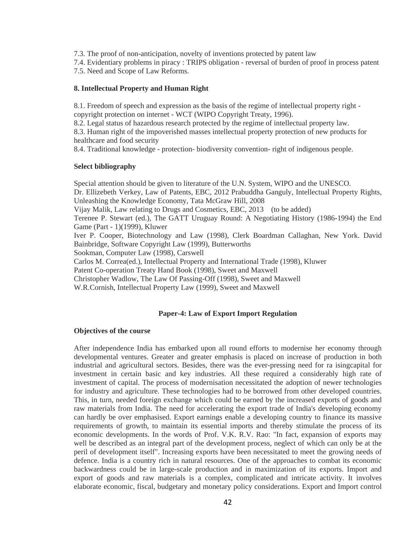7.3. The proof of non-anticipation, novelty of inventions protected by patent law

7.4. Evidentiary problems in piracy : TRIPS obligation - reversal of burden of proof in process patent 7.5. Need and Scope of Law Reforms.

### **8. Intellectual Property and Human Right**

8.1. Freedom of speech and expression as the basis of the regime of intellectual property right copyright protection on internet - WCT (WIPO Copyright Treaty, 1996).

8.2. Legal status of hazardous research protected by the regime of intellectual property law.

8.3. Human right of the impoverished masses intellectual property protection of new products for healthcare and food security

8.4. Traditional knowledge - protection- biodiversity convention- right of indigenous people.

### **Select bibliography**

Special attention should be given to literature of the U.N. System, WIPO and the UNESCO. Dr. Ellizebeth Verkey, Law of Patents, EBC, 2012 Prabuddha Ganguly, Intellectual Property Rights, Unleashing the Knowledge Economy, Tata McGraw Hill, 2008 Vijay Malik, Law relating to Drugs and Cosmetics, EBC, 2013 (to be added) Terenee P. Stewart (ed.), The GATT Uruguay Round: A Negotiating History (1986-1994) the End Game (Part - 1)(1999), Kluwer Iver P. Cooper, Biotechnology and Law (1998), Clerk Boardman Callaghan, New York. David Bainbridge, Software Copyright Law (1999), Butterworths Sookman, Computer Law (1998), Carswell Carlos M. Correa(ed.), Intellectual Property and International Trade (1998), Kluwer Patent Co-operation Treaty Hand Book (1998), Sweet and Maxwell Christopher Wadlow, The Law Of Passing-Off (1998), Sweet and Maxwell W.R.Cornish, Intellectual Property Law (1999), Sweet and Maxwell

### **Paper-4: Law of Export Import Regulation**

#### **Objectives of the course**

After independence India has embarked upon all round efforts to modernise her economy through developmental ventures. Greater and greater emphasis is placed on increase of production in both industrial and agricultural sectors. Besides, there was the ever-pressing need for ra isingcapital for investment in certain basic and key industries. All these required a considerably high rate of investment of capital. The process of modernisation necessitated the adoption of newer technologies for industry and agriculture. These technologies had to be borrowed from other developed countries. This, in turn, needed foreign exchange which could be earned by the increased exports of goods and raw materials from India. The need for accelerating the export trade of India's developing economy can hardly be over emphasised. Export earnings enable a developing country to finance its massive requirements of growth, to maintain its essential imports and thereby stimulate the process of its economic developments. In the words of Prof. V.K. R.V. Rao: "In fact, expansion of exports may well be described as an integral part of the development process, neglect of which can only be at the peril of development itself". Increasing exports have been necessitated to meet the growing needs of defence. India is a country rich in natural resources. One of the approaches to combat its economic backwardness could be in large-scale production and in maximization of its exports. Import and export of goods and raw materials is a complex, complicated and intricate activity. It involves elaborate economic, fiscal, budgetary and monetary policy considerations. Export and Import control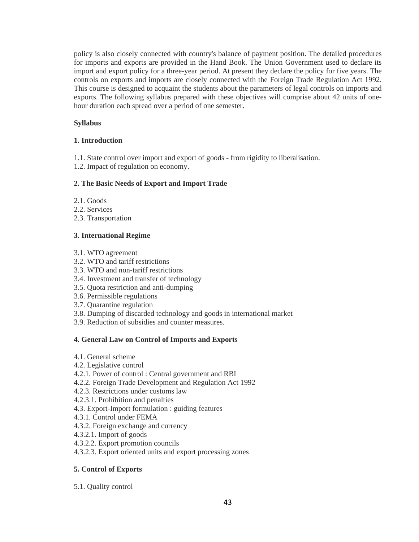policy is also closely connected with country's balance of payment position. The detailed procedures for imports and exports are provided in the Hand Book. The Union Government used to declare its import and export policy for a three-year period. At present they declare the policy for five years. The controls on exports and imports are closely connected with the Foreign Trade Regulation Act 1992. This course is designed to acquaint the students about the parameters of legal controls on imports and exports. The following syllabus prepared with these objectives will comprise about 42 units of onehour duration each spread over a period of one semester.

# **Syllabus**

# **1. Introduction**

1.1. State control over import and export of goods - from rigidity to liberalisation.

1.2. Impact of regulation on economy.

# **2. The Basic Needs of Export and Import Trade**

- 2.1. Goods
- 2.2. Services
- 2.3. Transportation

# **3. International Regime**

- 3.1. WTO agreement
- 3.2. WTO and tariff restrictions
- 3.3. WTO and non-tariff restrictions
- 3.4. Investment and transfer of technology
- 3.5. Quota restriction and anti-dumping
- 3.6. Permissible regulations
- 3.7. Quarantine regulation
- 3.8. Dumping of discarded technology and goods in international market
- 3.9. Reduction of subsidies and counter measures.

# **4. General Law on Control of Imports and Exports**

- 4.1. General scheme
- 4.2. Legislative control
- 4.2.1. Power of control : Central government and RBI
- 4.2.2. Foreign Trade Development and Regulation Act 1992
- 4.2.3. Restrictions under customs law
- 4.2.3.1. Prohibition and penalties
- 4.3. Export-Import formulation : guiding features
- 4.3.1. Control under FEMA
- 4.3.2. Foreign exchange and currency
- 4.3.2.1. Import of goods
- 4.3.2.2. Export promotion councils
- 4.3.2.3. Export oriented units and export processing zones

# **5. Control of Exports**

5.1. Quality control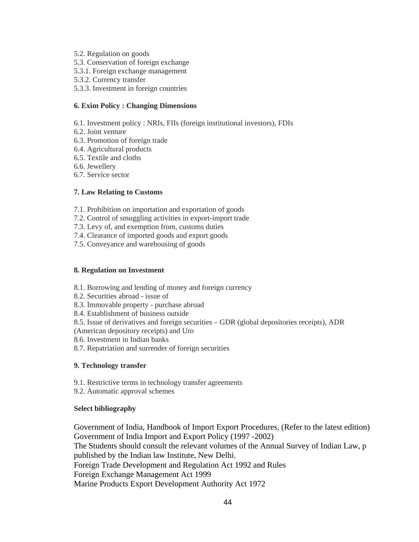- 5.2. Regulation on goods
- 5.3. Conservation of foreign exchange
- 5.3.1. Foreign exchange management
- 5.3.2. Currency transfer
- 5.3.3. Investment in foreign countries

# **6. Exim Policy : Changing Dimensions**

- 6.1. Investment policy : NRIs, FIIs (foreign institutional investors), FDIs
- 6.2. Joint venture
- 6.3. Promotion of foreign trade
- 6.4. Agricultural products
- 6.5. Textile and cloths
- 6.6. Jewellery
- 6.7. Service sector

### **7. Law Relating to Customs**

- 7.1. Prohibition on importation and exportation of goods
- 7.2. Control of smuggling activities in export-import trade
- 7.3. Levy of, and exemption from, customs duties
- 7.4. Clearance of imported goods and export goods
- 7.5. Conveyance and warehousing of goods

### **8. Regulation on Investment**

- 8.1. Borrowing and lending of money and foreign currency
- 8.2. Securities abroad issue of
- 8.3. Immovable property purchase abroad
- 8.4. Establishment of business outside
- 8.5. Issue of derivatives and foreign securities GDR (global depositories receipts), ADR
- (American depository receipts) and Uro
- 8.6. Investment in Indian banks
- 8.7. Repatriation and surrender of foreign securities

# **9. Technology transfer**

- 9.1. Restrictive terms in technology transfer agreements
- 9.2. Automatic approval schemes

# **Select bibliography**

Government of India, Handbook of Import Export Procedures, (Refer to the latest edition) Government of India Import and Export Policy (1997 -2002) The Students should consult the relevant volumes of the Annual Survey of Indian Law, p published by the Indian law Institute, New Delhi. Foreign Trade Development and Regulation Act 1992 and Rules Foreign Exchange Management Act 1999 Marine Products Export Development Authority Act 1972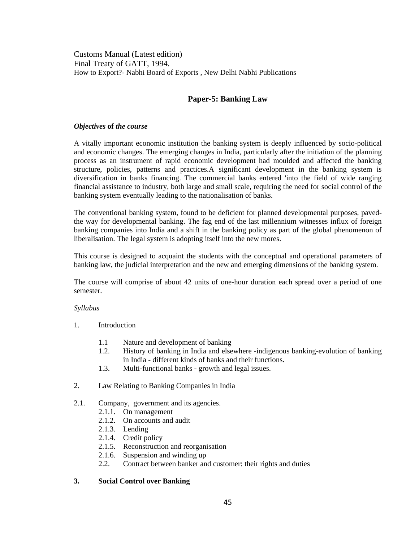Customs Manual (Latest edition) Final Treaty of GATT, 1994. How to Export?- Nabhi Board of Exports , New Delhi Nabhi Publications

# **Paper-5: Banking Law**

### *Objectives* **of** *the course*

A vitally important economic institution the banking system is deeply influenced by socio-political and economic changes. The emerging changes in India, particularly after the initiation of the planning process as an instrument of rapid economic development had moulded and affected the banking structure, policies, patterns and practices.A significant development in the banking system is diversification in banks financing. The commercial banks entered 'into the field of wide ranging financial assistance to industry, both large and small scale, requiring the need for social control of the banking system eventually leading to the nationalisation of banks.

The conventional banking system, found to be deficient for planned developmental purposes, pavedthe way for developmental banking. The fag end of the last millennium witnesses influx of foreign banking companies into India and a shift in the banking policy as part of the global phenomenon of liberalisation. The legal system is adopting itself into the new mores.

This course is designed to acquaint the students with the conceptual and operational parameters of banking law, the judicial interpretation and the new and emerging dimensions of the banking system.

The course will comprise of about 42 units of one-hour duration each spread over a period of one semester.

### *Syllabus*

- 1. Introduction
	- 1.1 Nature and development of banking
	- 1.2. History of banking in India and elsewhere -indigenous banking-evolution of banking in India - different kinds of banks and their functions.
	- 1.3. Multi-functional banks growth and legal issues.
- 2. Law Relating to Banking Companies in India
- 2.1. Company, government and its agencies.
	- 2.1.1. On management
	- 2.1.2. On accounts and audit
	- 2.1.3. Lending
	- 2.1.4. Credit policy
	- 2.1.5. Reconstruction and reorganisation
	- 2.1.6. Suspension and winding up
	- 2.2. Contract between banker and customer: their rights and duties

### **3. Social Control over Banking**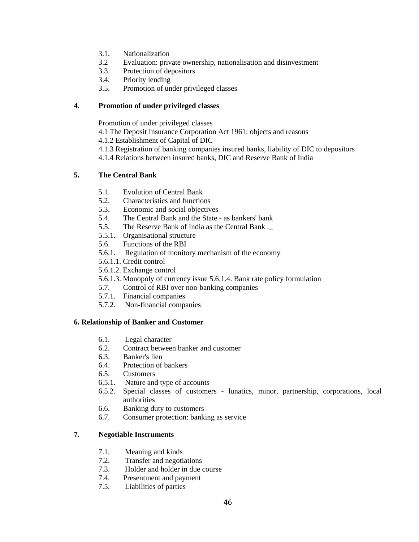- 3.1. Nationalization
- 3.2 Evaluation: private ownership, nationalisation and disinvestment
- 3.3. Protection of depositors
- 3.4. Priority lending
- 3.5. Promotion of under privileged classes

# **4. Promotion of under privileged classes**

Promotion of under privileged classes

- 4.1 The Deposit Insurance Corporation Act 1961: objects and reasons
- 4.1.2 Establishment of Capital of DIC
- 4.1.3 Registration of banking companies insured banks, liability of DIC to depositors
- 4.1.4 Relations between insured banks, DIC and Reserve Bank of India

# **5. The Central Bank**

- 5.1. Evolution of Central Bank
- 5.2. Characteristics and functions
- 5.3. Economic and social objectives
- 5.4. The Central Bank and the State as bankers' bank
- 5.5. The Reserve Bank of India as the Central Bank .\_
- 5.5.1. Organisational structure
- 5.6. Functions of the RBI
- 5.6.1. Regulation of monitory mechanism of the economy
- 5.6.1.1. Credit control
- 5.6.1.2. Exchange control
- 5.6.1.3. Monopoly of currency issue 5.6.1.4. Bank rate policy formulation
- 5.7. Control of RBI over non-banking companies
- 5.7.1. Financial companies
- 5.7.2. Non-financial companies

# **6. Relationship of Banker and Customer**

- 6.1. Legal character
- 6.2. Contract between banker and customer
- 6.3. Banker's lien
- 6.4. Protection of bankers
- 6.5. Customers
- 6.5.1. Nature and type of accounts
- 6.5.2. Special classes of customers lunatics, minor, partnership, corporations, local authorities
- 6.6. Banking duty to customers
- 6.7. Consumer protection: banking as service

# **7. Negotiable Instruments**

- 7.1. Meaning and kinds
- 7.2. Transfer and negotiations
- 7.3. Holder and holder in due course
- 7.4. Presentment and payment
- 7.5. Liabilities of parties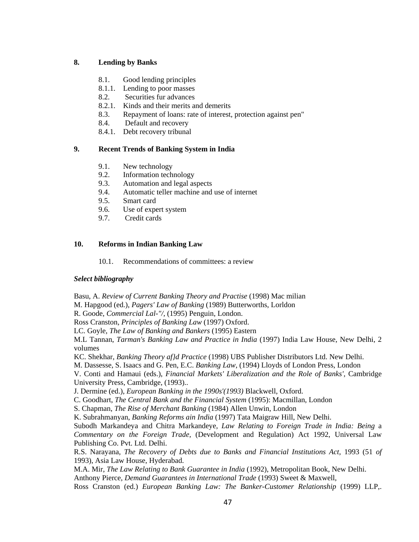# **8. Lending by Banks**

- 8.1. Good lending principles
- 8.1.1. Lending to poor masses
- 8.2. Securities fur advances
- 8.2.1. Kinds and their merits and demerits
- 8.3. Repayment of loans: rate of interest, protection against pen"
- 8.4. Default and recovery
- 8.4.1. Debt recovery tribunal

# **9. Recent Trends of Banking System in India**

- 9.1. New technology
- 9.2. Information technology
- 9.3. Automation and legal aspects
- 9.4. Automatic teller machine and use of internet
- 9.5. Smart card
- 9.6. Use of expert system
- 9.7. Credit cards

# **10. Reforms in Indian Banking Law**

10.1. Recommendations of committees: a review

# *Select bibliography*

Basu, A. *Review of Current Banking Theory and Practise* (1998) Mac milian

M. Hapgood (ed.), *Pagers' Law of Banking* (1989) Butterworths, Lorldon

R. Goode, *Commercial Lal-"/,* (1995) Penguin, London.

Ross Cranston, *Principles of Banking Law* (1997) Oxford.

LC. Goyle, *The Law of Banking and Bankers* (1995) Eastern

M.L Tannan, *Tarman's Banking Law and Practice in India* (1997) India Law House, New Delhi, 2 volumes

KC. Shekhar, *Banking Theory af}d Practice* (1998) UBS Publisher Distributors Ltd. New Delhi.

M. Dassesse, S. Isaacs and G. Pen, E.C. *Banking Law,* (1994) Lloyds of London Press, London

V. Conti and Hamaui (eds.), *Financial Markets' Liberalization and the Role of Banks',* Cambridge University Press, Cambridge, (1993)..

J. Dermine (ed.), *European Banking in the 1990s'(1993)* Blackwell, Oxford.

C. Goodhart, *The Central Bank and the Financial System* (1995): Macmillan, London

S. Chapman, *The Rise of Merchant Banking* (1984) Allen Unwin, London

K. Subrahmanyan, *Banking Reforms ain India* (1997) Tata Maigraw Hill, New Delhi.

Subodh Markandeya and Chitra Markandeye, *Law Relating to Foreign Trade in India: Being* a *Commentary on the Foreign Trade,* (Development and Regulation) Act 1992, Universal Law Publishing Co. Pvt. Ltd. Delhi.

R.S. Narayana, *The Recovery of Debts due to Banks and Financial Institutions Act,* 1993 (51 *of*  1993), Asia Law House, Hyderabad.

M.A. Mir, *The Law Relating to Bank Guarantee in India* (1992), Metropolitan Book, New Delhi.

Anthony Pierce, *Demand Guarantees in International Trade* (1993) Sweet & Maxwell,

Ross Cranston (ed.) *European Banking Law: The Banker-Customer Relationship* (1999) LLP,.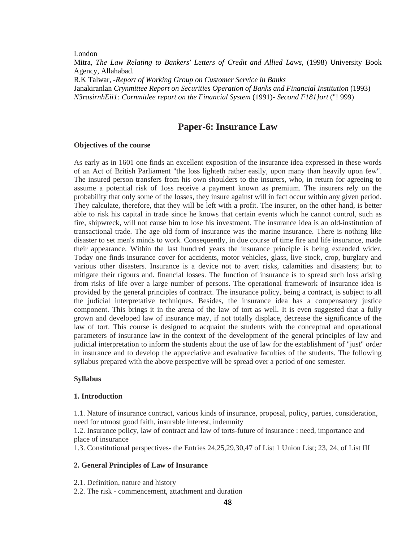London

Mitra, *The Law Relating to Bankers' Letters of Credit and Allied Laws,* (1998) University Book Agency, Allahabad. R.K Talwar, *-Report of Working Group on Customer Service in Banks*  Janakiranlan *Crynmittee Report on Securities Operation of Banks and Financial Institution* (1993) *N3rasirnhEii1: Cornmitlee report on the Financial System (1991)- Second F181}ort ("! 999)* 

# **Paper-6: Insurance Law**

### **Objectives of the course**

As early as in 1601 one finds an excellent exposition of the insurance idea expressed in these words of an Act of British Parliament "the loss lighteth rather easily, upon many than heavily upon few". The insured person transfers from his own shoulders to the insurers, who, in return for agreeing to assume a potential risk of 1oss receive a payment known as premium. The insurers rely on the probability that only some of the losses, they insure against will in fact occur within any given period. They calculate, therefore, that they will be left with a profit. The insurer, on the other hand, is better able to risk his capital in trade since he knows that certain events which he cannot control, such as fire, shipwreck, will not cause him to lose his investment. The insurance idea is an old-institution of transactional trade. The age old form of insurance was the marine insurance. There is nothing like disaster to set men's minds to work. Consequently, in due course of time fire and life insurance, made their appearance. Within the last hundred years the insurance principle is being extended wider. Today one finds insurance cover for accidents, motor vehicles, glass, live stock, crop, burglary and various other disasters. Insurance is a device not to avert risks, calamities and disasters; but to mitigate their rigours and. financial losses. The function of insurance is to spread such loss arising from risks of life over a large number of persons. The operational framework of insurance idea is provided by the general principles of contract. The insurance policy, being a contract, is subject to all the judicial interpretative techniques. Besides, the insurance idea has a compensatory justice component. This brings it in the arena of the law of tort as well. It is even suggested that a fully grown and developed law of insurance may, if not totally displace, decrease the significance of the law of tort. This course is designed to acquaint the students with the conceptual and operational parameters of insurance law in the context of the development of the general principles of law and judicial interpretation to inform the students about the use of law for the establishment of "just" order in insurance and to develop the appreciative and evaluative faculties of the students. The following syllabus prepared with the above perspective will be spread over a period of one semester.

### **Syllabus**

#### **1. Introduction**

1.1. Nature of insurance contract, various kinds of insurance, proposal, policy, parties, consideration, need for utmost good faith, insurable interest, indemnity

1.2. Insurance policy, law of contract and law of torts-future of insurance : need, importance and place of insurance

1.3. Constitutional perspectives- the Entries 24,25,29,30,47 of List 1 Union List; 23, 24, of List III

### **2. General Principles of Law of Insurance**

- 2.1. Definition, nature and history
- 2.2. The risk commencement, attachment and duration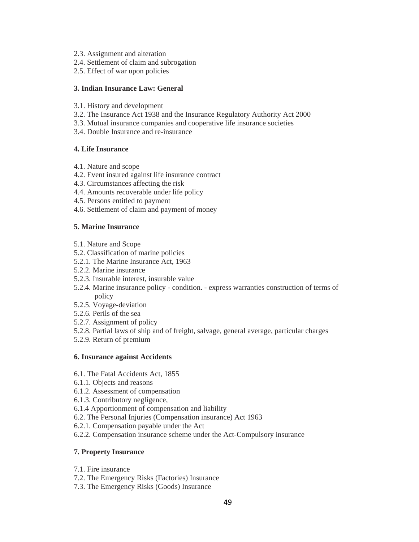- 2.3. Assignment and alteration
- 2.4. Settlement of claim and subrogation
- 2.5. Effect of war upon policies

### **3. Indian Insurance Law: General**

- 3.1. History and development
- 3.2. The Insurance Act 1938 and the Insurance Regulatory Authority Act 2000
- 3.3. Mutual insurance companies and cooperative life insurance societies
- 3.4. Double Insurance and re-insurance

# **4. Life Insurance**

- 4.1. Nature and scope
- 4.2. Event insured against life insurance contract
- 4.3. Circumstances affecting the risk
- 4.4. Amounts recoverable under life policy
- 4.5. Persons entitled to payment
- 4.6. Settlement of claim and payment of money

### **5. Marine Insurance**

- 5.1. Nature and Scope
- 5.2. Classification of marine policies
- 5.2.1. The Marine Insurance Act, 1963
- 5.2.2. Marine insurance
- 5.2.3. Insurable interest, insurable value
- 5.2.4. Marine insurance policy condition. express warranties construction of terms of policy
- 5.2.5. Voyage-deviation
- 5.2.6. Perils of the sea
- 5.2.7. Assignment of policy
- 5.2.8. Partial laws of ship and of freight, salvage, general average, particular charges
- 5.2.9. Return of premium

### **6. Insurance against Accidents**

- 6.1. The Fatal Accidents Act, 1855
- 6.1.1. Objects and reasons
- 6.1.2. Assessment of compensation
- 6.1.3. Contributory negligence,
- 6.1.4 Apportionment of compensation and liability
- 6.2. The Personal Injuries (Compensation insurance) Act 1963
- 6.2.1. Compensation payable under the Act
- 6.2.2. Compensation insurance scheme under the Act-Compulsory insurance

### **7. Property Insurance**

- 7.1. Fire insurance
- 7.2. The Emergency Risks (Factories) Insurance
- 7.3. The Emergency Risks (Goods) Insurance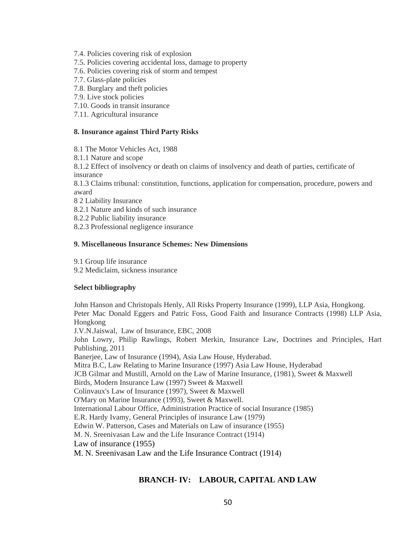- 7.4. Policies covering risk of explosion
- 7.5. Policies covering accidental loss, damage to property
- 7.6. Policies covering risk of storm and tempest
- 7.7. Glass-plate policies
- 7.8. Burglary and theft policies
- 7.9. Live stock policies
- 7.10. Goods in transit insurance
- 7.11. Agricultural insurance

### **8. Insurance against Third Party Risks**

8.1 The Motor Vehicles Act, 1988

8.1.1 Nature and scope

8.1.2 Effect of insolvency or death on claims of insolvency and death of parties, certificate of insurance

8.1.3 Claims tribunal: constitution, functions, application for compensation, procedure, powers and award

- 8 2 Liability Insurance
- 8.2.1 Nature and kinds of such insurance
- 8.2.2 Public liability insurance
- 8.2.3 Professional negligence insurance

### **9. Miscellaneous Insurance Schemes: New Dimensions**

9.1 Group life insurance

9.2 Mediclaim, sickness insurance

# **Select bibliography**

John Hanson and Christopals Henly, All Risks Property Insurance (1999), LLP Asia, Hongkong. Peter Mac Donald Eggers and Patric Foss, Good Faith and Insurance Contracts (1998) LLP Asia, Hongkong J.V.N.Jaiswal, Law of Insurance, EBC, 2008 John Lowry, Philip Rawlings, Robert Merkin, Insurance Law, Doctrines and Principles, Hart Publishing, 2011 Banerjee, Law of Insurance (1994), Asia Law House, Hyderabad. Mitra B.C, Law Relating to Marine Insurance (1997) Asia Law House, Hyderabad JCB Gilmar and Mustill, Arnold on the Law of Marine Insurance, (1981), Sweet & Maxwell Birds, Modern Insurance Law (1997) Sweet & Maxwell Colinvaux's Law of Insurance (1997), Sweet & Maxwell O'Mary on Marine Insurance (1993), Sweet & Maxwell. International Labour Office, Administration Practice of social Insurance (1985) E.R. Hardy Ivamy, General Principles of insurance Law (1979) Edwin W. Patterson, Cases and Materials on Law of insurance (1955) M. N. Sreenivasan Law and the Life Insurance Contract (1914) Law of insurance (1955) M. N. Sreenivasan Law and the Life Insurance Contract (1914)

# **BRANCH- IV: LABOUR, CAPITAL AND LAW**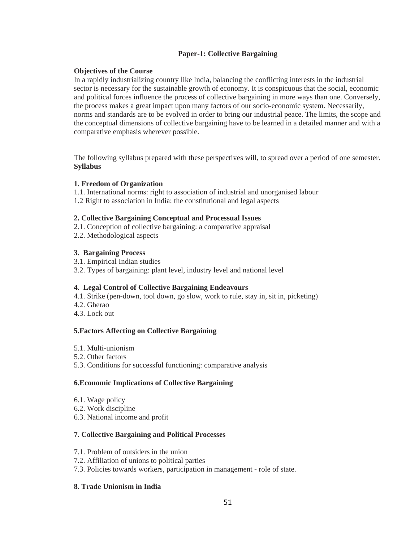# **Paper-1: Collective Bargaining**

# **Objectives of the Course**

In a rapidly industrializing country like India, balancing the conflicting interests in the industrial sector is necessary for the sustainable growth of economy. It is conspicuous that the social, economic and political forces influence the process of collective bargaining in more ways than one. Conversely, the process makes a great impact upon many factors of our socio-economic system. Necessarily, norms and standards are to be evolved in order to bring our industrial peace. The limits, the scope and the conceptual dimensions of collective bargaining have to be learned in a detailed manner and with a comparative emphasis wherever possible.

The following syllabus prepared with these perspectives will, to spread over a period of one semester. **Syllabus** 

# **1. Freedom of Organization**

- 1.1. International norms: right to association of industrial and unorganised labour
- 1.2 Right to association in India: the constitutional and legal aspects

# **2. Collective Bargaining Conceptual and Processual Issues**

- 2.1. Conception of collective bargaining: a comparative appraisal
- 2.2. Methodological aspects

# **3. Bargaining Process**

- 3.1. Empirical Indian studies
- 3.2. Types of bargaining: plant level, industry level and national level

# **4. Legal Control of Collective Bargaining Endeavours**

- 4.1. Strike (pen-down, tool down, go slow, work to rule, stay in, sit in, picketing)
- 4.2. Gherao
- 4.3. Lock out

# **5.Factors Affecting on Collective Bargaining**

- 5.1. Multi-unionism
- 5.2. Other factors
- 5.3. Conditions for successful functioning: comparative analysis

# **6.Economic Implications of Collective Bargaining**

- 6.1. Wage policy
- 6.2. Work discipline
- 6.3. National income and profit

# **7. Collective Bargaining and Political Processes**

- 7.1. Problem of outsiders in the union
- 7.2. Affiliation of unions to political parties
- 7.3. Policies towards workers, participation in management role of state.

# **8. Trade Unionism in India**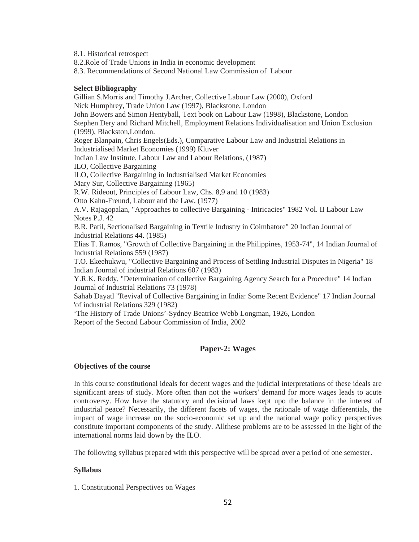8.1. Historical retrospect

8.2.Role of Trade Unions in India in economic development

8.3. Recommendations of Second National Law Commission of Labour

### **Select Bibliography**

Gillian S.Morris and Timothy J.Archer, Collective Labour Law (2000), Oxford Nick Humphrey, Trade Union Law (1997), Blackstone, London John Bowers and Simon Hentyball, Text book on Labour Law (1998), Blackstone, London Stephen Dery and Richard Mitchell, Employment Relations Individualisation and Union Exclusion (1999), Blackston,London. Roger Blanpain, Chris Engels(Eds.), Comparative Labour Law and Industrial Relations in Industrialised Market Economies (1999) Kluver Indian Law Institute, Labour Law and Labour Relations, (1987) ILO, Collective Bargaining ILO, Collective Bargaining in Industrialised Market Economies Mary Sur, Collective Bargaining (1965) R.W. Rideout, Principles of Labour Law, Chs. 8,9 and 10 (1983) Otto Kahn-Freund, Labour and the Law, (1977) A.V. Rajagopalan, "Approaches to collective Bargaining - Intricacies" 1982 Vol. II Labour Law Notes P.J. 42 B.R. Patil, Sectionalised Bargaining in Textile Industry in Coimbatore" 20 Indian Journal of Industrial Relations 44. (1985) Elias T. Ramos, "Growth of Collective Bargaining in the Philippines, 1953-74", 14 Indian Journal of Industrial Relations 559 (1987) T.O. Ekeehukwu, "Collective Bargaining and Process of Settling Industrial Disputes in Nigeria" 18 Indian Journal of industrial Relations 607 (1983) Y.R.K. Reddy, "Determination of collective Bargaining Agency Search for a Procedure" 14 Indian Journal of Industrial Relations 73 (1978)

Sahab Dayatl "Revival of Collective Bargaining in India: Some Recent Evidence" 17 Indian Journal 'of industrial Relations 329 (1982)

'The History of Trade Unions'-Sydney Beatrice Webb Longman, 1926, London

Report of the Second Labour Commission of India, 2002

# **Paper-2: Wages**

# **Objectives of the course**

In this course constitutional ideals for decent wages and the judicial interpretations of these ideals are significant areas of study. More often than not the workers' demand for more wages leads to acute controversy. How have the statutory and decisional laws kept upo the balance in the interest of industrial peace? Necessarily, the different facets of wages, the rationale of wage differentials, the impact of wage increase on the socio-economic set up and the national wage policy perspectives constitute important components of the study. Allthese problems are to be assessed in the light of the international norms laid down by the ILO.

The following syllabus prepared with this perspective will be spread over a period of one semester.

# **Syllabus**

1. Constitutional Perspectives on Wages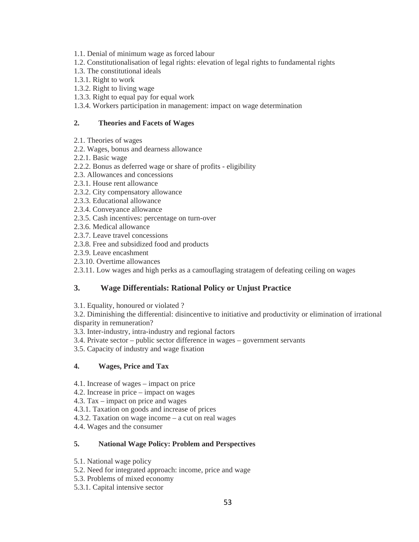- 1.1. Denial of minimum wage as forced labour
- 1.2. Constitutionalisation of legal rights: elevation of legal rights to fundamental rights
- 1.3. The constitutional ideals
- 1.3.1. Right to work
- 1.3.2. Right to living wage
- 1.3.3. Right to equal pay for equal work
- 1.3.4. Workers participation in management: impact on wage determination

### **2. Theories and Facets of Wages**

- 2.1. Theories of wages
- 2.2. Wages, bonus and dearness allowance
- 2.2.1. Basic wage
- 2.2.2. Bonus as deferred wage or share of profits eligibility
- 2.3. Allowances and concessions
- 2.3.1. House rent allowance
- 2.3.2. City compensatory allowance
- 2.3.3. Educational allowance
- 2.3.4. Conveyance allowance
- 2.3.5. Cash incentives: percentage on turn-over
- 2.3.6. Medical allowance
- 2.3.7. Leave travel concessions
- 2.3.8. Free and subsidized food and products
- 2.3.9. Leave encashment
- 2.3.10. Overtime allowances

2.3.11. Low wages and high perks as a camouflaging stratagem of defeating ceiling on wages

# **3. Wage Differentials: Rational Policy or Unjust Practice**

3.1. Equality, honoured or violated ?

3.2. Diminishing the differential: disincentive to initiative and productivity or elimination of irrational disparity in remuneration?

- 3.3. Inter-industry, intra-industry and regional factors
- 3.4. Private sector public sector difference in wages government servants
- 3.5. Capacity of industry and wage fixation

# **4. Wages, Price and Tax**

- 4.1. Increase of wages impact on price
- 4.2. Increase in price impact on wages
- 4.3. Tax impact on price and wages
- 4.3.1. Taxation on goods and increase of prices
- 4.3.2. Taxation on wage income a cut on real wages
- 4.4. Wages and the consumer

# **5. National Wage Policy: Problem and Perspectives**

- 5.1. National wage policy
- 5.2. Need for integrated approach: income, price and wage
- 5.3. Problems of mixed economy
- 5.3.1. Capital intensive sector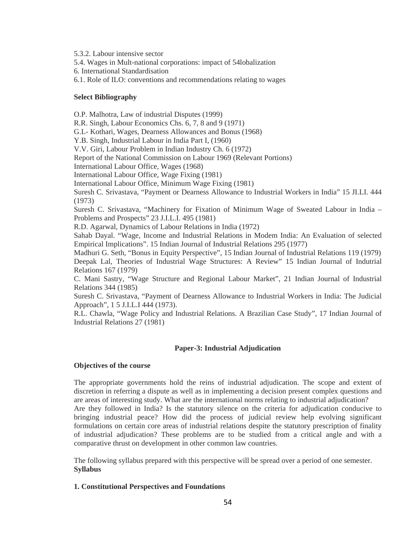5.3.2. Labour intensive sector

5.4. Wages in Mult-national corporations: impact of 54lobalization

6. International Standardisation

6.1. Role of ILO: conventions and recommendations relating to wages

### **Select Bibliography**

O.P. Malhotra, Law of industrial Disputes (1999)

R.R. Singh, Labour Economics Chs. 6, 7, 8 and 9 (1971)

G.L- Kothari, Wages, Dearness Allowances and Bonus (1968)

Y.B. Singh, Industrial Labour in India Part I, (1960)

V.V. Giri, Labour Problem in Indian Industry Ch. 6 (1972)

Report of the National Commission on Labour 1969 (Relevant Portions)

International Labour Office, Wages (1968)

International Labour Office, Wage Fixing (1981)

International Labour Office, Minimum Wage Fixing (1981)

Suresh C. Srivastava, "Payment or Dearness Allowance to Industrial Workers in India" 15 JI.LI. 444 (1973)

Suresh C. Srivastava, "Machinery for Fixation of Minimum Wage of Sweated Labour in India – Problems and Prospects" 23 J.I.L.I. 495 (1981)

R.D. Agarwal, Dynamics of Labour Relations in India (1972)

Sahab Dayal. "Wage, Income and Industrial Relations in Modem India: An Evaluation of selected Empirical Implications". 15 Indian Journal of Industrial Relations 295 (1977)

Madhuri G. Seth, "Bonus in Equity Perspective", 15 Indian Journal of Industrial Relations 119 (1979) Deepak Lal, Theories of Industrial Wage Structures: A Review" 15 Indian Journal of Indutrial Relations 167 (1979)

C. Mani Sastry, "Wage Structure and Regional Labour Market", 21 Indian Journal of Industrial Relations 344 (1985)

Suresh C. Srivastava, "Payment of Dearness Allowance to Industrial Workers in India: The Judicial Approach", 1 5 J.I.L.I 444 (1973).

R.L. Chawla, "Wage Policy and Industrial Relations. A Brazilian Case Study", 17 Indian Journal of Industrial Relations 27 (1981)

# **Paper-3: Industrial Adjudication**

### **Objectives of the course**

The appropriate governments hold the reins of industrial adjudication. The scope and extent of discretion in referring a dispute as well as in implementing a decision present complex questions and are areas of interesting study. What are the international norms relating to industrial adjudication? Are they followed in India? Is the statutory silence on the criteria for adjudication conducive to bringing industrial peace? How did the process of judicial review help evolving significant formulations on certain core areas of industrial relations despite the statutory prescription of finality of industrial adjudication? These problems are to be studied from a critical angle and with a comparative thrust on development in other common law countries.

The following syllabus prepared with this perspective will be spread over a period of one semester. **Syllabus** 

# **1. Constitutional Perspectives and Foundations**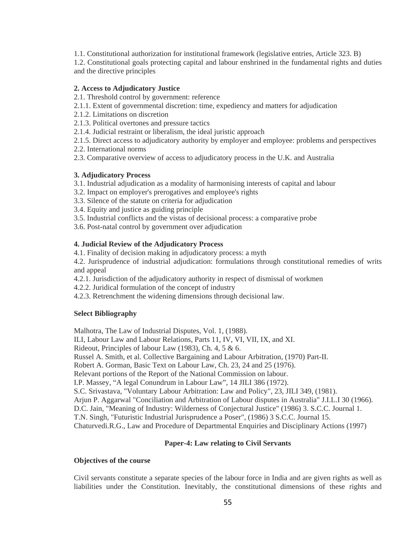1.1. Constitutional authorization for institutional framework (legislative entries, Article 323. B)

1.2. Constitutional goals protecting capital and labour enshrined in the fundamental rights and duties and the directive principles

### **2. Access to Adjudicatory Justice**

- 2.1. Threshold control by government: reference
- 2.1.1. Extent of governmental discretion: time, expediency and matters for adjudication
- 2.1.2. Limitations on discretion
- 2.1.3. Political overtones and pressure tactics
- 2.1.4. Judicial restraint or liberalism, the ideal juristic approach
- 2.1.5. Direct access to adjudicatory authority by employer and employee: problems and perspectives
- 2.2. International norms
- 2.3. Comparative overview of access to adjudicatory process in the U.K. and Australia

# **3. Adjudicatory Process**

- 3.1. Industrial adjudication as a modality of harmonising interests of capital and labour
- 3.2. Impact on employer's prerogatives and employee's rights
- 3.3. Silence of the statute on criteria for adjudication
- 3.4. Equity and justice as guiding principle
- 3.5. Industrial conflicts and the vistas of decisional process: a comparative probe
- 3.6. Post-natal control by government over adjudication

### **4. Judicial Review of the Adjudicatory Process**

4.1. Finality of decision making in adjudicatory process: a myth

4.2. Jurisprudence of industrial adjudication: formulations through constitutional remedies of writs and appeal

- 4.2.1. Jurisdiction of the adjudicatory authority in respect of dismissal of workmen
- 4.2.2. Juridical formulation of the concept of industry
- 4.2.3. Retrenchment the widening dimensions through decisional law.

# **Select Bibliography**

Malhotra, The Law of Industrial Disputes, Vol. 1, (1988).

ILI, Labour Law and Labour Relations, Parts 11, IV, VI, VII, IX, and XI.

Rideout, Principles of labour Law (1983), Ch. 4, 5 & 6.

Russel A. Smith, et al. Collective Bargaining and Labour Arbitration, (1970) Part-II.

Robert A. Gorman, Basic Text on Labour Law, Ch. 23, 24 and 25 (1976).

Relevant portions of the Report of the National Commission on labour.

I.P. Massey, "A legal Conundrum in Labour Law", 14 JILI 386 (1972).

S.C. Srivastava, "Voluntary Labour Arbitration: Law and Policy", 23, JILI 349, (1981).

Arjun P. Aggarwal "Conciliation and Arbitration of Labour disputes in Australia" J.I.L.I 30 (1966).

D.C. Jain, "Meaning of Industry: Wilderness of Conjectural Justice" (1986) 3. S.C.C. Journal 1.

T.N. Singh, "Futuristic Industrial Jurisprudence a Poser", (1986) 3 S.C.C. Journal 15.

Chaturvedi.R.G., Law and Procedure of Departmental Enquiries and Disciplinary Actions (1997)

# **Paper-4: Law relating to Civil Servants**

### **Objectives of the course**

Civil servants constitute a separate species of the labour force in India and are given rights as well as liabilities under the Constitution. Inevitably, the constitutional dimensions of these rights and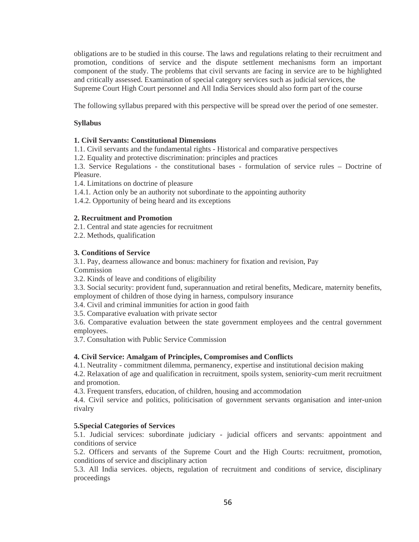obligations are to be studied in this course. The laws and regulations relating to their recruitment and promotion, conditions of service and the dispute settlement mechanisms form an important component of the study. The problems that civil servants are facing in service are to be highlighted and critically assessed. Examination of special category services such as judicial services, the Supreme Court High Court personnel and All India Services should also form part of the course

The following syllabus prepared with this perspective will be spread over the period of one semester.

### **Syllabus**

### **1. Civil Servants: Constitutional Dimensions**

1.1. Civil servants and the fundamental rights - Historical and comparative perspectives

1.2. Equality and protective discrimination: principles and practices

1.3. Service Regulations - the constitutional bases - formulation of service rules – Doctrine of Pleasure.

1.4. Limitations on doctrine of pleasure

1.4.1. Action only be an authority not subordinate to the appointing authority

1.4.2. Opportunity of being heard and its exceptions

### **2. Recruitment and Promotion**

2.1. Central and state agencies for recruitment

2.2. Methods, qualification

### **3. Conditions of Service**

3.1. Pay, dearness allowance and bonus: machinery for fixation and revision, Pay

Commission

3.2. Kinds of leave and conditions of eligibility

3.3. Social security: provident fund, superannuation and retiral benefits, Medicare, maternity benefits, employment of children of those dying in harness, compulsory insurance

3.4. Civil and criminal immunities for action in good faith

3.5. Comparative evaluation with private sector

3.6. Comparative evaluation between the state government employees and the central government employees.

3.7. Consultation with Public Service Commission

### **4. Civil Service: Amalgam of Principles, Compromises and Conflicts**

4.1. Neutrality - commitment dilemma, permanency, expertise and institutional decision making

4.2. Relaxation of age and qualification in recruitment, spoils system, seniority-cum merit recruitment and promotion.

4.3. Frequent transfers, education, of children, housing and accommodation

4.4. Civil service and politics, politicisation of government servants organisation and inter-union rivalry

# **5.Special Categories of Services**

5.1. Judicial services: subordinate judiciary - judicial officers and servants: appointment and conditions of service

5.2. Officers and servants of the Supreme Court and the High Courts: recruitment, promotion, conditions of service and disciplinary action

5.3. All India services. objects, regulation of recruitment and conditions of service, disciplinary proceedings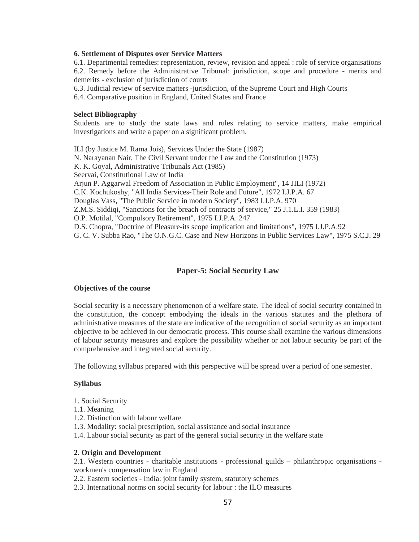#### **6. Settlement of Disputes over Service Matters**

6.1. Departmental remedies: representation, review, revision and appeal : role of service organisations 6.2. Remedy before the Administrative Tribunal: jurisdiction, scope and procedure - merits and demerits - exclusion of jurisdiction of courts

6.3. Judicial review of service matters -jurisdiction, of the Supreme Court and High Courts

6.4. Comparative position in England, United States and France

#### **Select Bibliography**

Students are to study the state laws and rules relating to service matters, make empirical investigations and write a paper on a significant problem.

ILI (by Justice M. Rama Jois), Services Under the State (1987) N. Narayanan Nair, The Civil Servant under the Law and the Constitution (1973) K. K. Goyal, Administrative Tribunals Act (1985) Seervai, Constitutional Law of India Arjun P. Aggarwal Freedom of Association in Public Employment", 14 JILI (1972) C.K. Kochukoshy, "All India Services-Their Role and Future", 1972 I.J.P.A. 67 Douglas Vass, "The Public Service in modern Society", 1983 I.J.P.A. 970 Z.M.S. Siddiqi, "Sanctions for the breach of contracts of service," 25 J.1.L.I. 359 (1983) O.P. Motilal, "Compulsory Retirement", 1975 I.J.P.A. 247 D.S. Chopra, "Doctrine of Pleasure-its scope implication and limitations", 1975 I.J.P.A.92 G. C. V. Subba Rao, "The O.N.G.C. Case and New Horizons in Public Services Law", 1975 S.C.J. 29

### **Paper-5: Social Security Law**

#### **Objectives of the course**

Social security is a necessary phenomenon of a welfare state. The ideal of social security contained in the constitution, the concept embodying the ideals in the various statutes and the plethora of administrative measures of the state are indicative of the recognition of social security as an important objective to be achieved in our democratic process. This course shall examine the various dimensions of labour security measures and explore the possibility whether or not labour security be part of the comprehensive and integrated social security.

The following syllabus prepared with this perspective will be spread over a period of one semester.

### **Syllabus**

- 1. Social Security
- 1.1. Meaning
- 1.2. Distinction with labour welfare
- 1.3. Modality: social prescription, social assistance and social insurance
- 1.4. Labour social security as part of the general social security in the welfare state

#### **2. Origin and Development**

2.1. Western countries - charitable institutions - professional guilds – philanthropic organisations workmen's compensation law in England

- 2.2. Eastern societies India: joint family system, statutory schemes
- 2.3. International norms on social security for labour : the ILO measures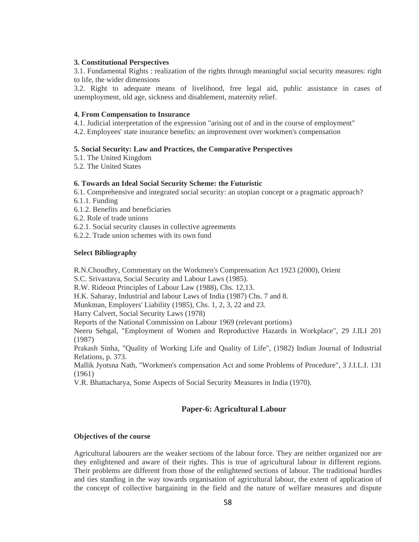### **3. Constitutional Perspectives**

3.1. Fundamental Rights : realization of the rights through meaningful social security measures: right to life, the wider dimensions

3.2. Right to adequate means of livelihood, free legal aid, public assistance in cases of unemployment, old age, sickness and disablement, maternity relief.

### **4. From Compensation to Insurance**

4.1. Judicial interpretation of the expression "arising out of and in the course of employment"

4.2. Employees' state insurance benefits: an improvement over workmen's compensation

### **5. Social Security: Law and Practices, the Comparative Perspectives**

5.1. The United Kingdom

5.2. The United States

### **6. Towards an Ideal Social Security Scheme: the Futuristic**

6.1. Comprehensive and integrated social security: an utopian concept or a pragmatic approach? 6.1.1. Funding

6.1.2. Benefits and beneficiaries

6.2. Role of trade unions

6.2.1. Social security clauses in collective agreements

6.2.2. Trade union schemes with its own fund

### **Select Bibliography**

R.N.Choudhry, Commentary on the Workmen's Comprensation Act 1923 (2000), Orient

S.C. Srivastava, Social Security and Labour Laws (1985).

R.W. Rideout Principles of Labour Law (1988), Chs. 12,13.

H.K. Saharay, Industrial and labour Laws of India (1987) Chs. 7 and 8.

Munkman, Employers' Liability (1985), Chs. 1, 2, 3, 22 and 23.

Harry Calvert, Social Security Laws (1978)

Reports of the National Commission on Labour 1969 (relevant portions)

Neeru Sehgal, "Employment of Women and Reproductive Hazards in Workplace", 29 J.ILI 201 (1987)

Prakash Sinha, "Quality of Working Life and Quality of Life", (1982) Indian Journal of Industrial Relations, p. 373.

Mallik Jyotsna Nath, "Workmen's compensation Act and some Problems of Procedure", 3 J.I.L.I. 131 (1961)

V.R. Bhattacharya, Some Aspects of Social Security Measures in India (1970).

# **Paper-6: Agricultural Labour**

# **Objectives of the course**

Agricultural labourers are the weaker sections of the labour force. They are neither organized nor are they enlightened and aware of their rights. This is true of agricultural labour in different regions. Their problems are different from those of the enlightened sections of labour. The traditional hurdles and ties standing in the way towards organisation of agricultural labour, the extent of application of the concept of collective bargaining in the field and the nature of welfare measures and dispute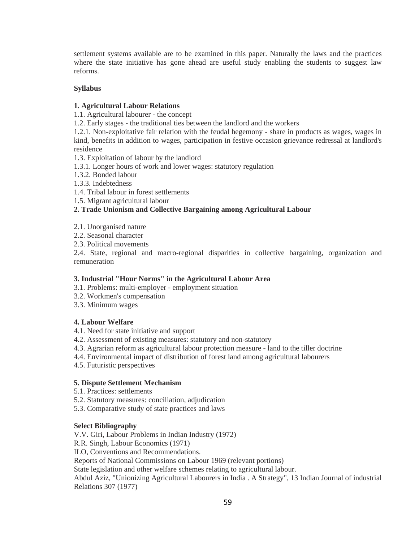settlement systems available are to be examined in this paper. Naturally the laws and the practices where the state initiative has gone ahead are useful study enabling the students to suggest law reforms.

### **Syllabus**

### **1. Agricultural Labour Relations**

1.1. Agricultural labourer - the concept

1.2. Early stages - the traditional ties between the landlord and the workers

1.2.1. Non-exploitative fair relation with the feudal hegemony - share in products as wages, wages in kind, benefits in addition to wages, participation in festive occasion grievance redressal at landlord's residence

1.3. Exploitation of labour by the landlord

- 1.3.1. Longer hours of work and lower wages: statutory regulation
- 1.3.2. Bonded labour
- 1.3.3. Indebtedness
- 1.4. Tribal labour in forest settlements
- 1.5. Migrant agricultural labour

# **2. Trade Unionism and Collective Bargaining among Agricultural Labour**

- 2.1. Unorganised nature
- 2.2. Seasonal character
- 2.3. Political movements

2.4. State, regional and macro-regional disparities in collective bargaining, organization and remuneration

# **3. Industrial "Hour Norms" in the Agricultural Labour Area**

- 3.1. Problems: multi-employer employment situation
- 3.2. Workmen's compensation
- 3.3. Minimum wages

# **4. Labour Welfare**

- 4.1. Need for state initiative and support
- 4.2. Assessment of existing measures: statutory and non-statutory
- 4.3. Agrarian reform as agricultural labour protection measure land to the tiller doctrine
- 4.4. Environmental impact of distribution of forest land among agricultural labourers
- 4.5. Futuristic perspectives

### **5. Dispute Settlement Mechanism**

- 5.1. Practices: settlements
- 5.2. Statutory measures: conciliation, adjudication
- 5.3. Comparative study of state practices and laws

### **Select Bibliography**

V.V. Giri, Labour Problems in Indian Industry (1972)

R.R. Singh, Labour Economics (1971)

ILO, Conventions and Recommendations.

Reports of National Commissions on Labour 1969 (relevant portions)

State legislation and other welfare schemes relating to agricultural labour.

Abdul Aziz, "Unionizing Agricultural Labourers in India . A Strategy", 13 Indian Journal of industrial Relations 307 (1977)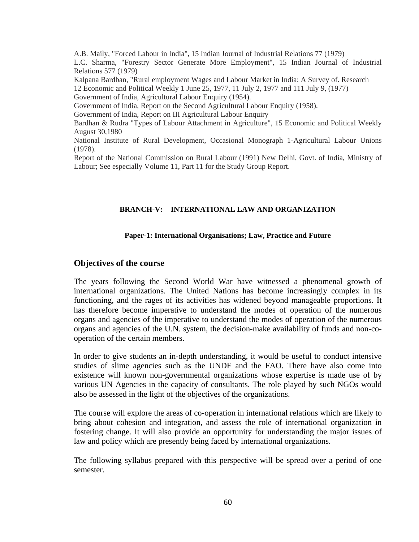A.B. Maily, "Forced Labour in India", 15 Indian Journal of Industrial Relations 77 (1979) L.C. Sharma, "Forestry Sector Generate More Employment", 15 Indian Journal of Industrial Relations 577 (1979)

Kalpana Bardban, "Rural employment Wages and Labour Market in India: A Survey of. Research 12 Economic and Political Weekly 1 June 25, 1977, 11 July 2, 1977 and 111 July 9, (1977) Government of India, Agricultural Labour Enquiry (1954).

Government of India, Report on the Second Agricultural Labour Enquiry (1958).

Government of India, Report on III Agricultural Labour Enquiry

Bardhan & Rudra "Types of Labour Attachment in Agriculture", 15 Economic and Political Weekly August 30,1980

National Institute of Rural Development, Occasional Monograph 1-Agricultural Labour Unions (1978).

Report of the National Commission on Rural Labour (1991) New Delhi, Govt. of India, Ministry of Labour; See especially Volume 11, Part 11 for the Study Group Report.

#### **BRANCH-V: INTERNATIONAL LAW AND ORGANIZATION**

### **Paper-1: International Organisations; Law, Practice and Future**

### **Objectives of the course**

The years following the Second World War have witnessed a phenomenal growth of international organizations. The United Nations has become increasingly complex in its functioning, and the rages of its activities has widened beyond manageable proportions. It has therefore become imperative to understand the modes of operation of the numerous organs and agencies of the imperative to understand the modes of operation of the numerous organs and agencies of the U.N. system, the decision-make availability of funds and non-cooperation of the certain members.

In order to give students an in-depth understanding, it would be useful to conduct intensive studies of slime agencies such as the UNDF and the FAO. There have also come into existence will known non-governmental organizations whose expertise is made use of by various UN Agencies in the capacity of consultants. The role played by such NGOs would also be assessed in the light of the objectives of the organizations.

The course will explore the areas of co-operation in international relations which are likely to bring about cohesion and integration, and assess the role of international organization in fostering change. It will also provide an opportunity for understanding the major issues of law and policy which are presently being faced by international organizations.

The following syllabus prepared with this perspective will be spread over a period of one semester.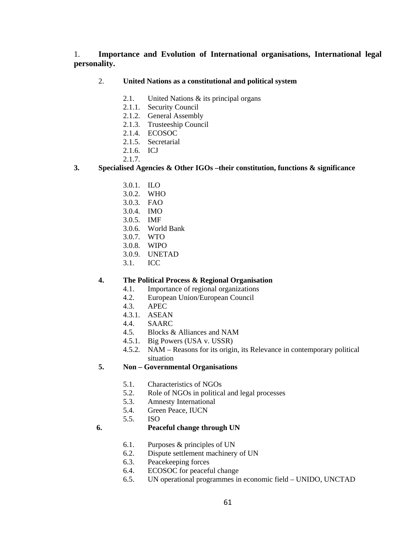# 1. **Importance and Evolution of International organisations, International legal personality.**

# 2. **United Nations as a constitutional and political system**

- 2.1. United Nations & its principal organs
- 2.1.1. Security Council
- 2.1.2. General Assembly
- 2.1.3. Trusteeship Council
- 2.1.4. ECOSOC
- 2.1.5. Secretarial
- 2.1.6. ICJ
- 2.1.7.

# **3. Specialised Agencies & Other IGOs –their constitution, functions & significance**

- 3.0.1. ILO
- 3.0.2. WHO
- 3.0.3. FAO
- 3.0.4. IMO
- 3.0.5. IMF
- 3.0.6. World Bank
- 3.0.7. WTO
- 3.0.8. WIPO
- 3.0.9. UNETAD
- 3.1. ICC

# **4. The Political Process & Regional Organisation**

- 4.1. Importance of regional organizations
- 4.2. European Union/European Council
- 4.3. APEC
- 4.3.1. ASEAN
- 4.4. SAARC
- 4.5. Blocks & Alliances and NAM
- 4.5.1. Big Powers (USA v. USSR)
- 4.5.2. NAM Reasons for its origin, its Relevance in contemporary political situation

# **5. Non – Governmental Organisations**

- 5.1. Characteristics of NGOs
- 5.2. Role of NGOs in political and legal processes
- 5.3. Amnesty International
- 5.4. Green Peace, IUCN
- 5.5. ISO

# **6. Peaceful change through UN**

- 6.1. Purposes & principles of UN
- 6.2. Dispute settlement machinery of UN
- 6.3. Peacekeeping forces
- 6.4. ECOSOC for peaceful change
- 6.5. UN operational programmes in economic field UNIDO, UNCTAD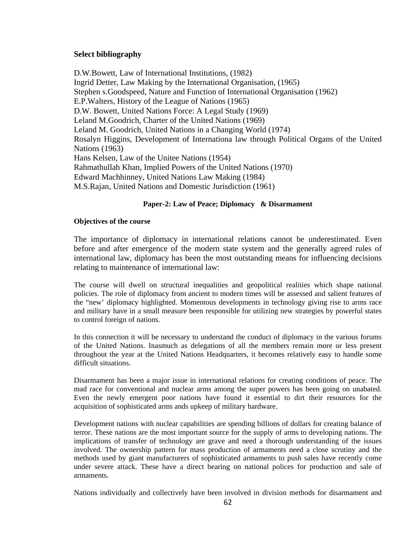# **Select bibliography**

D.W.Bowett, Law of International Institutions, (1982) Ingrid Detter, Law Making by the International Organisation, (1965) Stephen s.Goodspeed, Nature and Function of International Organisation (1962) E.P.Walters, History of the League of Nations (1965) D.W. Bowett, United Nations Force: A Legal Study (1969) Leland M.Goodrich, Charter of the United Nations (1969) Leland M. Goodrich, United Nations in a Changing World (1974) Rosalyn Higgins, Development of Internationa law through Political Organs of the United Nations (1963) Hans Kelsen, Law of the Unitee Nations (1954) Rahmathullah Khan, Implied Powers of the United Nations (1970) Edward Machhinney, United Nations Law Making (1984) M.S.Rajan, United Nations and Domestic Jurisdiction (1961)

# **Paper-2: Law of Peace; Diplomacy & Disarmament**

# **Objectives of the course**

The importance of diplomacy in international relations cannot be underestimated. Even before and after emergence of the modern state system and the generally agreed rules of international law, diplomacy has been the most outstanding means for influencing decisions relating to maintenance of international law:

The course will dwell on structural inequalities and geopolitical realities which shape national policies. The role of diplomacy from ancient to modern times will be assessed and salient features of the "new' diplomacy highlighted. Momentous developments in technology giving rise to arms race and military have in a small measure been responsible for utilizing new strategies by powerful states to control foreign of nations.

In this connection it will be necessary to understand the conduct of diplomacy in the various forums of the United Nations. Inasmuch as delegations of all the members remain more or less present throughout the year at the United Nations Headquarters, it becomes relatively easy to handle some difficult situations.

Disarmament has been a major issue in international relations for creating conditions of peace. The mad race for conventional and nuclear arms among the super powers has been going on unabated. Even the newly emergent poor nations have found it essential to dirt their resources for the acquisition of sophisticated arms ands upkeep of military hardware.

Development nations with nuclear capabilities are spending billions of dollars for creating balance of terror. These nations are the most important source for the supply of arms to developing nations. The implications of transfer of technology are grave and need a thorough understanding of the issues involved. The ownership pattern for mass production of armaments need a close scrutiny and the methods used by giant manufacturers of sophisticated armaments to push sales have recently come under severe attack. These have a direct bearing on national polices for production and sale of armaments.

Nations individually and collectively have been involved in division methods for disarmament and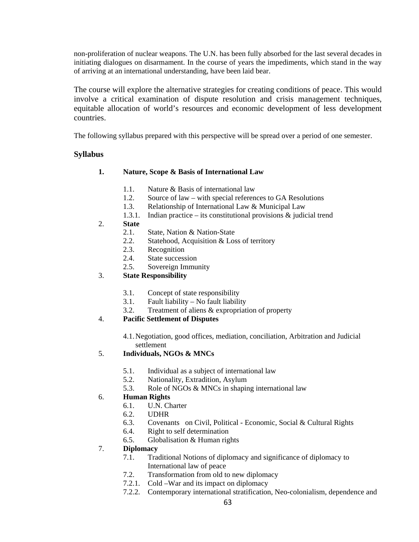non-proliferation of nuclear weapons. The U.N. has been fully absorbed for the last several decades in initiating dialogues on disarmament. In the course of years the impediments, which stand in the way of arriving at an international understanding, have been laid bear.

The course will explore the alternative strategies for creating conditions of peace. This would involve a critical examination of dispute resolution and crisis management techniques, equitable allocation of world's resources and economic development of less development countries.

The following syllabus prepared with this perspective will be spread over a period of one semester.

# **Syllabus**

# **1. Nature, Scope & Basis of International Law**

- 1.1. Nature & Basis of international law
- 1.2. Source of law with special references to GA Resolutions
- 1.3. Relationship of International Law & Municipal Law
- 1.3.1. Indian practice its constitutional provisions & judicial trend
- 2. **State** 
	- 2.1. State, Nation & Nation-State
	- 2.2. Statehood, Acquisition & Loss of territory
	- 2.3. Recognition
	- 2.4. State succession
	- 2.5. Sovereign Immunity

# 3. **State Responsibility**

- 3.1. Concept of state responsibility
- 3.1. Fault liability No fault liability
- 3.2. Treatment of aliens & expropriation of property

# 4. **Pacific Settlement of Disputes**

4.1.Negotiation, good offices, mediation, conciliation, Arbitration and Judicial settlement

# 5. **Individuals, NGOs & MNCs**

- 5.1. Individual as a subject of international law
- 5.2. Nationality, Extradition, Asylum
- 5.3. Role of NGOs & MNCs in shaping international law

# 6. **Human Rights**

- 6.1. U.N. Charter
- 6.2. UDHR
- 6.3. Covenants on Civil, Political Economic, Social & Cultural Rights
- 6.4. Right to self determination
- 6.5. Globalisation & Human rights

# 7. **Diplomacy**

- 7.1. Traditional Notions of diplomacy and significance of diplomacy to International law of peace
- 7.2. Transformation from old to new diplomacy
- 7.2.1. Cold –War and its impact on diplomacy
- 7.2.2. Contemporary international stratification, Neo-colonialism, dependence and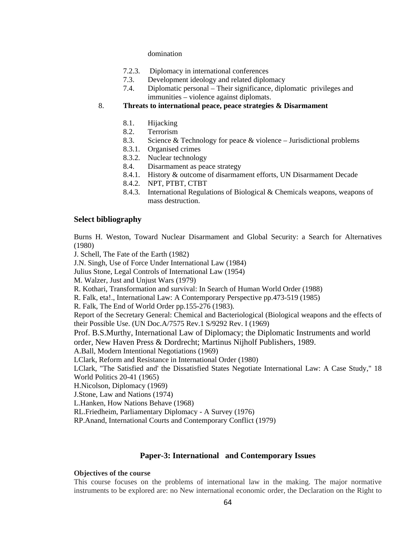#### domination

- 7.2.3. Diplomacy in international conferences
- 7.3. Development ideology and related diplomacy
- 7.4. Diplomatic personal Their significance, diplomatic privileges and immunities – violence against diplomats.

# 8. **Threats to international peace, peace strategies & Disarmament**

- 8.1. Hijacking
- 8.2. Terrorism
- 8.3. Science  $&$  Technology for peace  $&$  violence Jurisdictional problems
- 8.3.1. Organised crimes
- 8.3.2. Nuclear technology
- 8.4. Disarmament as peace strategy
- 8.4.1. History & outcome of disarmament efforts, UN Disarmament Decade
- 8.4.2. NPT, PTBT, CTBT
- 8.4.3. International Regulations of Biological & Chemicals weapons, weapons of mass destruction.

### **Select bibliography**

Burns H. Weston, Toward Nuclear Disarmament and Global Security: a Search for Alternatives (1980)

J. Schell, The Fate of the Earth (1982)

J.N. Singh, Use of Force Under International Law (1984)

Julius Stone, Legal Controls of International Law (1954)

M. Walzer, Just and Unjust Wars (1979)

R. Kothari, Transformation and survival: In Search of Human World Order (1988)

R. Falk, eta!., International Law: A Contemporary Perspective pp.473-519 (1985)

R. Falk, The End of World Order pp.155-276 (1983).

Report of the Secretary General: Chemical and Bacteriological (Biological weapons and the effects of their Possible Use. (UN Doc.A/7575 Rev.1 S/9292 Rev. I (1969)

Prof. B.S.Murthy, International Law of Diplomacy; the Diplomatic Instruments and world order, New Haven Press & Dordrecht; Martinus Nijholf Publishers, 1989.

A.Ball, Modern Intentional Negotiations (1969)

LClark, Reform and Resistance in International Order (1980)

LClark, "The Satisfied and' the Dissatisfied States Negotiate International Law: A Case Study," 18 World Politics 20-41 (1965)

H.Nicolson, Diplomacy (1969)

J.Stone, Law and Nations (1974)

L.Hanken, How Nations Behave (1968)

RL.Friedheim, Parliamentary Diplomacy - A Survey (1976)

RP.Anand, International Courts and Contemporary Conflict (1979)

# **Paper-3: International and Contemporary Issues**

### **Objectives of the course**

This course focuses on the problems of international law in the making. The major normative instruments to be explored are: no New international economic order, the Declaration on the Right to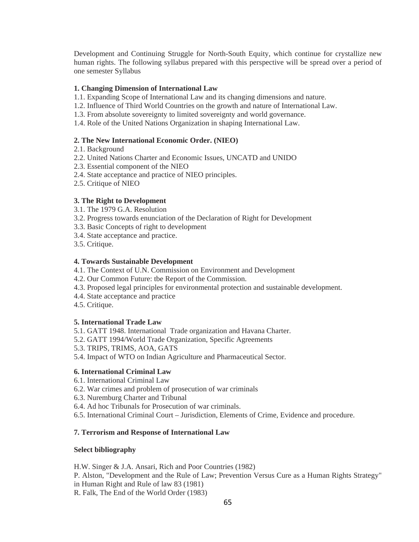Development and Continuing Struggle for North-South Equity, which continue for crystallize new human rights. The following syllabus prepared with this perspective will be spread over a period of one semester Syllabus

### **1. Changing Dimension of International Law**

- 1.1. Expanding Scope of International Law and its changing dimensions and nature.
- 1.2. Influence of Third World Countries on the growth and nature of International Law.
- 1.3. From absolute sovereignty to limited sovereignty and world governance.
- 1.4. Role of the United Nations Organization in shaping International Law.

### **2. The New International Economic Order. (NIEO)**

- 2.1. Background
- 2.2. United Nations Charter and Economic Issues, UNCATD and UNIDO
- 2.3. Essential component of the NIEO
- 2.4. State acceptance and practice of NIEO principles.
- 2.5. Critique of NIEO

### **3. The Right to Development**

- 3.1. The 1979 G.A. Resolution
- 3.2. Progress towards enunciation of the Declaration of Right for Development
- 3.3. Basic Concepts of right to development
- 3.4. State acceptance and practice.
- 3.5. Critique.

### **4. Towards Sustainable Development**

- 4.1. The Context of U.N. Commission on Environment and Development
- 4.2. Our Common Future: tbe Report of the Commission.
- 4.3. Proposed legal principles for environmental protection and sustainable development.
- 4.4. State acceptance and practice
- 4.5. Critique.

### **5. International Trade Law**

- 5.1. GATT 1948. International Trade organization and Havana Charter.
- 5.2. GATT 1994/World Trade Organization, Specific Agreements
- 5.3. TRIPS, TRIMS, AOA, GATS
- 5.4. Impact of WTO on Indian Agriculture and Pharmaceutical Sector.

### **6. International Criminal Law**

- 6.1. International Criminal Law
- 6.2. War crimes and problem of prosecution of war criminals
- 6.3. Nuremburg Charter and Tribunal
- 6.4. Ad hoc Tribunals for Prosecution of war criminals.
- 6.5. International Criminal Court Jurisdiction, Elements of Crime, Evidence and procedure.

### **7. Terrorism and Response of International Law**

### **Select bibliography**

H.W. Singer & J.A. Ansari, Rich and Poor Countries (1982)

- P. Alston, "Development and the Rule of Law; Prevention Versus Cure as a Human Rights Strategy" in Human Right and Rule of law 83 (1981)
- R. Falk, The End of the World Order (1983)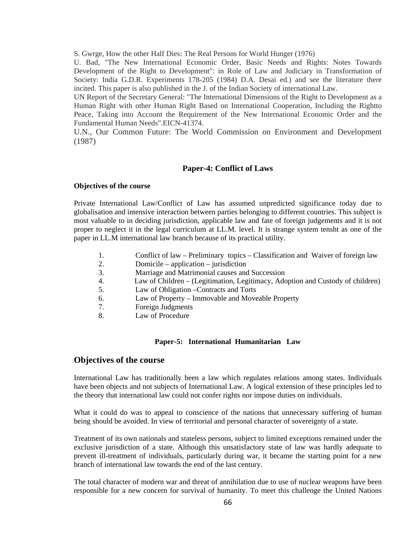S. Gwrge, How the other Half Dies: The Real Persons for World Hunger (1976)

U. Bad, "The New International Economic Order, Basic Needs and Rights: Notes Towards Development of the Right to Development": in Role of Law and Judiciary in Transformation of Society: India G.D.R. Experiments 178-205 (1984) D.A. Desai ed.) and see the literature there incited. This paper is also published in the J. of the Indian Society of international Law.

UN Report of the Secretary General: "The International Dimensions of the Right to Development as a Human Right with other Human Right Based on International Cooperation, Including the Rightto Peace, Taking into Account the Requirement of the New International Economic Order and the Fundamental Human Needs".EICN-41374.

U.N., Our Common Future: The World Commission on Environment and Development (1987)

### **Paper-4: Conflict of Laws**

#### **Objectives of the course**

Private International Law/Conflict of Law has assumed unpredicted significance today due to globalisation and intensive interaction between parties belonging to different countries. This subject is most valuable to in deciding jurisdiction, applicable law and fate of foreign judgements and it is not proper to neglect it in the legal curriculum at LL.M. level. It is strange system tensht as one of the paper in LL.M international law branch because of its practical utility.

- 1. Conflict of law Preliminary topics Classification and Waiver of foreign law
- 2. Domicile application jurisdiction
- 3. Marriage and Matrimonial causes and Succession
- 4. Law of Children (Legitimation, Legitimacy, Adoption and Custody of children)
- 5. Law of Obligation –Contracts and Torts
- 6. Law of Property Immovable and Moveable Property
- 7. Foreign Judgments
- 8. Law of Procedure

#### **Paper-5: International Humanitarian Law**

### **Objectives of the course**

International Law has traditionally been a law which regulates relations among states. Individuals have been objects and not subjects of International Law. A logical extension of these principles led to the theory that international law could not confer rights nor impose duties on individuals.

What it could do was to appeal to conscience of the nations that unnecessary suffering of human being should be avoided. In view of territorial and personal character of sovereignty of a state.

Treatment of its own nationals and stateless persons, subject to limited exceptions remained under the exclusive jurisdiction of a state. Although this unsatisfactory state of law was hardly adequate to prevent ill-treatment of individuals, particularly during war, it became the starting point for a new branch of international law towards the end of the last century.

The total character of modern war and threat of annihilation due to use of nuclear weapons have been responsible for a new concern for survival of humanity. To meet this challenge the United Nations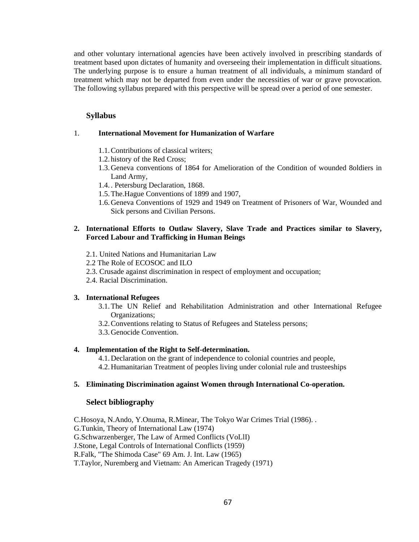and other voluntary international agencies have been actively involved in prescribing standards of treatment based upon dictates of humanity and overseeing their implementation in difficult situations. The underlying purpose is to ensure a human treatment of all individuals, a minimum standard of treatment which may not be departed from even under the necessities of war or grave provocation. The following syllabus prepared with this perspective will be spread over a period of one semester.

# **Syllabus**

### 1. **International Movement for Humanization of Warfare**

- 1.1.Contributions of classical writers;
- 1.2. history of the Red Cross;
- 1.3.Geneva conventions of 1864 for Amelioration of the Condition of wounded 8oldiers in Land Army,
- 1.4. . Petersburg Declaration, 1868.
- 1.5.The.Hague Conventions of 1899 and 1907,
- 1.6.Geneva Conventions of 1929 and 1949 on Treatment of Prisoners of War, Wounded and Sick persons and Civilian Persons.

# **2. International Efforts to Outlaw Slavery, Slave Trade and Practices similar to Slavery, Forced Labour and Trafficking in Human Beings**

- 2.1. United Nations and Humanitarian Law
- 2.2 The Role of ECOSOC and ILO
- 2.3. Crusade against discrimination in respect of employment and occupation;
- 2.4. Racial Discrimination.

### **3. International Refugees**

- 3.1.The UN Relief and Rehabilitation Administration and other International Refugee Organizations;
- 3.2.Conventions relating to Status of Refugees and Stateless persons;
- 3.3.Genocide Convention.

### **4. Implementation of the Right to Self-determination.**

4.1.Declaration on the grant of independence to colonial countries and people, 4.2.Humanitarian Treatment of peoples living under colonial rule and trusteeships

### **5. Eliminating Discrimination against Women through International Co-operation.**

# **Select bibliography**

C.Hosoya, N.Ando, Y.Onuma, R.Minear, The Tokyo War Crimes Trial (1986). . G.Tunkin, Theory of International Law (1974) G.Schwarzenberger, The Law of Armed Conflicts (VoLlI) J.Stone, Legal Controls of International Conflicts (1959) R.Falk, "The Shimoda Case" 69 Am. J. Int. Law (1965) T.Taylor, Nuremberg and Vietnam: An American Tragedy (1971)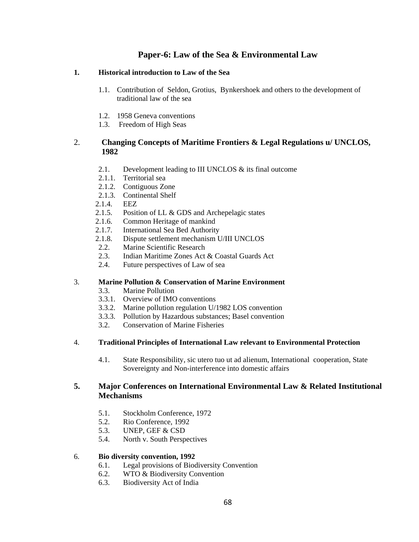# **Paper-6: Law of the Sea & Environmental Law**

# **1. Historical introduction to Law of the Sea**

- 1.1. Contribution of Seldon, Grotius, Bynkershoek and others to the development of traditional law of the sea
- 1.2. 1958 Geneva conventions
- 1.3. Freedom of High Seas

# 2. **Changing Concepts of Maritime Frontiers & Legal Regulations u/ UNCLOS, 1982**

- 2.1. Development leading to III UNCLOS & its final outcome
- 2.1.1. Territorial sea
- 2.1.2. Contiguous Zone
- 2.1.3. Continental Shelf
- 2.1.4. EEZ
- 2.1.5. Position of LL & GDS and Archepelagic states
- 2.1.6. Common Heritage of mankind
- 2.1.7. International Sea Bed Authority
- 2.1.8. Dispute settlement mechanism U/III UNCLOS
- 2.2. Marine Scientific Research
- 2.3. Indian Maritime Zones Act & Coastal Guards Act
- 2.4. Future perspectives of Law of sea

# 3. **Marine Pollution & Conservation of Marine Environment**

- 3.3. Marine Pollution
- 3.3.1. Overview of IMO conventions
- 3.3.2. Marine pollution regulation U/1982 LOS convention
- 3.3.3. Pollution by Hazardous substances; Basel convention
- 3.2. Conservation of Marine Fisheries

# 4. **Traditional Principles of International Law relevant to Environmental Protection**

4.1. State Responsibility, sic utero tuo ut ad alienum, International cooperation, State Sovereignty and Non-interference into domestic affairs

# **5. Major Conferences on International Environmental Law & Related Institutional Mechanisms**

- 5.1. Stockholm Conference, 1972
- 5.2. Rio Conference, 1992
- 5.3. UNEP, GEF & CSD
- 5.4. North v. South Perspectives

# 6. **Bio diversity convention, 1992**

- 6.1. Legal provisions of Biodiversity Convention
- 6.2. WTO & Biodiversity Convention
- 6.3. Biodiversity Act of India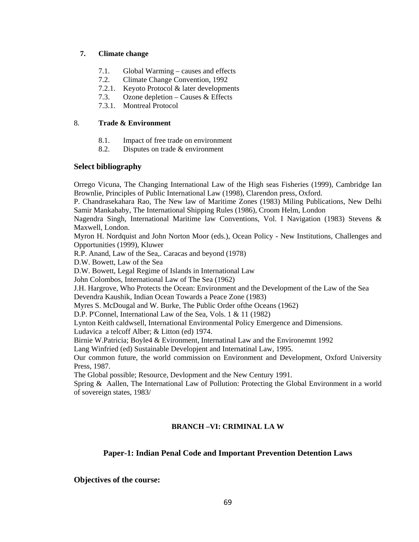# **7. Climate change**

- 7.1. Global Warming causes and effects
- 7.2. Climate Change Convention, 1992
- 7.2.1. Keyoto Protocol & later developments
- 7.3. Ozone depletion Causes & Effects
- 7.3.1. Montreal Protocol

# 8. **Trade & Environment**

- 8.1. Impact of free trade on environment
- 8.2. Disputes on trade & environment

# **Select bibliography**

Orrego Vicuna, The Changing International Law of the High seas Fisheries (1999), Cambridge Ian Brownlie, Principles of Public International Law (1998), Clarendon press, Oxford.

P. Chandrasekahara Rao, The New law of Maritime Zones (1983) Miling Publications, New Delhi Samir Mankababy, The International Shipping Rules (1986), Croom Helm, London

Nagendra Singh, International Maritime law Conventions, Vol. I Navigation (1983) Stevens & Maxwell, London.

Myron H. Nordquist and John Norton Moor (eds.), Ocean Policy - New Institutions, Challenges and Opportunities (1999), Kluwer

R.P. Anand, Law of the Sea,. Caracas and beyond (1978)

D.W. Bowett, Law of the Sea

D.W. Bowett, Legal Regime of Islands in International Law

John Colombos, International Law of The Sea (1962)

J.H. Hargrove, Who Protects the Ocean: Environment and the Development of the Law of the Sea Devendra Kaushik, Indian Ocean Towards a Peace Zone (1983)

Myres S. McDougal and W. Burke, The Public Order ofthe Oceans (1962)

D.P. P'Connel, International Law of the Sea, Vols. 1 & 11 (1982)

Lynton Keith caldwsell, International Environmental Policy Emergence and Dimensions.

Ludavica a telcoff Alber; & Litton (ed) 1974.

Birnie W.Patricia; Boyle4 & Evironment, Internatinal Law and the Environemnt 1992

Lang Winfried (ed) Sustainable Developjent and Internatinal Law, 1995.

Our common future, the world commission on Environment and Development, Oxford University Press, 1987.

The Global possible; Resource, Devlopment and the New Century 1991.

Spring & Aallen, The International Law of Pollution: Protecting the Global Environment in a world of sovereign states, 1983/

# **BRANCH –VI: CRIMINAL LA W**

# **Paper-1: Indian Penal Code and Important Prevention Detention Laws**

**Objectives of the course:**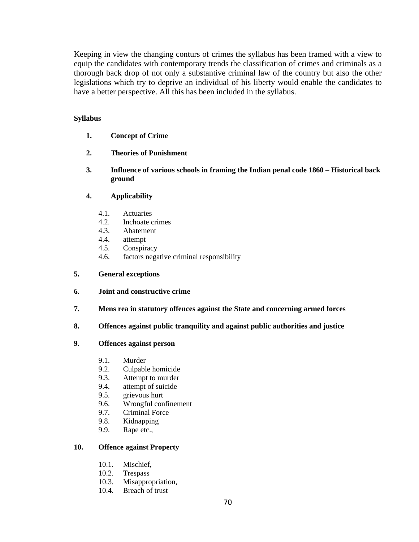Keeping in view the changing conturs of crimes the syllabus has been framed with a view to equip the candidates with contemporary trends the classification of crimes and criminals as a thorough back drop of not only a substantive criminal law of the country but also the other legislations which try to deprive an individual of his liberty would enable the candidates to have a better perspective. All this has been included in the syllabus.

# **Syllabus**

- **1. Concept of Crime**
- **2. Theories of Punishment**
- **3. Influence of various schools in framing the Indian penal code 1860 Historical back ground**

# **4. Applicability**

- 4.1. Actuaries
- 4.2. Inchoate crimes
- 4.3. Abatement
- 4.4. attempt
- 4.5. Conspiracy
- 4.6. factors negative criminal responsibility

# **5. General exceptions**

- **6. Joint and constructive crime**
- **7. Mens rea in statutory offences against the State and concerning armed forces**
- **8. Offences against public tranquility and against public authorities and justice**

# **9. Offences against person**

- 9.1. Murder
- 9.2. Culpable homicide
- 9.3. Attempt to murder
- 9.4. attempt of suicide
- 9.5. grievous hurt
- 9.6. Wrongful confinement
- 9.7. Criminal Force
- 9.8. Kidnapping
- 9.9. Rape etc.,

# **10. Offence against Property**

- 10.1. Mischief,
- 10.2. Trespass
- 10.3. Misappropriation,
- 10.4. Breach of trust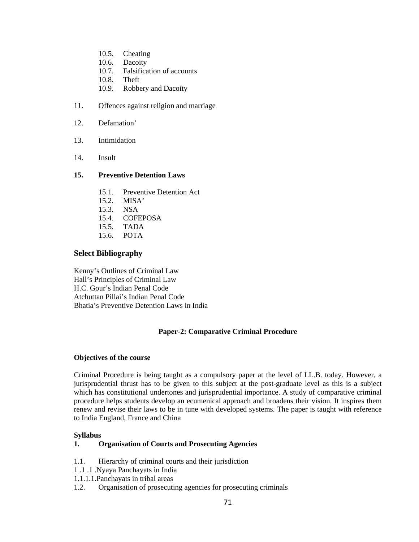- 10.5. Cheating
- 10.6. Dacoity
- 10.7. Falsification of accounts
- 10.8. Theft
- 10.9. Robbery and Dacoity
- 11. Offences against religion and marriage
- 12. Defamation'
- 13. Intimidation
- 14. Insult

### **15. Preventive Detention Laws**

- 15.1. Preventive Detention Act
- 15.2. MISA'
- 15.3. NSA
- 15.4. COFEPOSA
- 15.5. TADA
- 15.6. POTA

### **Select Bibliography**

Kenny's Outlines of Criminal Law Hall's Principles of Criminal Law H.C. Gour's Indian Penal Code Atchuttan Pillai's Indian Penal Code Bhatia's Preventive Detention Laws in India

# **Paper-2: Comparative Criminal Procedure**

### **Objectives of the course**

Criminal Procedure is being taught as a compulsory paper at the level of LL.B. today. However, a jurisprudential thrust has to be given to this subject at the post-graduate level as this is a subject which has constitutional undertones and jurisprudential importance. A study of comparative criminal procedure helps students develop an ecumenical approach and broadens their vision. It inspires them renew and revise their laws to be in tune with developed systems. The paper is taught with reference to India England, France and China

### **Syllabus**

### **1. Organisation of Courts and Prosecuting Agencies**

- 1.1. Hierarchy of criminal courts and their jurisdiction
- 1 .1 .1 .Nyaya Panchayats in India
- 1.1.1.1.Panchayats in tribal areas
- 1.2. Organisation of prosecuting agencies for prosecuting criminals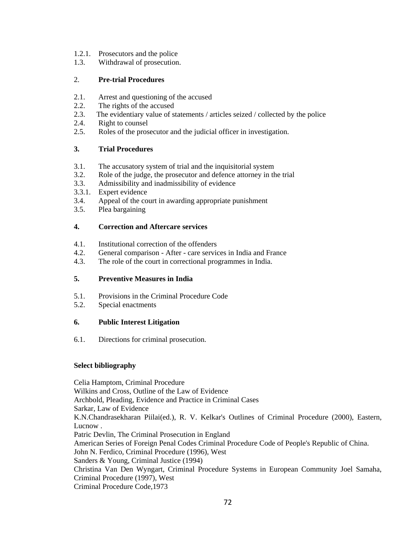- 1.2.1. Prosecutors and the police
- 1.3. Withdrawal of prosecution.

# 2. **Pre-trial Procedures**

- 2.1. Arrest and questioning of the accused
- 2.2. The rights of the accused
- 2.3. The evidentiary value of statements / articles seized / collected by the police
- 2.4. Right to counsel
- 2.5. Roles of the prosecutor and the judicial officer in investigation.

# **3. Trial Procedures**

- 3.1. The accusatory system of trial and the inquisitorial system
- 3.2. Role of the judge, the prosecutor and defence attorney in the trial
- 3.3. Admissibility and inadmissibility of evidence
- 3.3.1. Expert evidence
- 3.4. Appeal of the court in awarding appropriate punishment
- 3.5. Plea bargaining

# **4. Correction and Aftercare services**

- 4.1. Institutional correction of the offenders
- 4.2. General comparison After care services in India and France
- 4.3. The role of the court in correctional programmes in India.

# **5. Preventive Measures in India**

- 5.1. Provisions in the Criminal Procedure Code
- 5.2. Special enactments

# **6. Public Interest Litigation**

6.1. Directions for criminal prosecution.

# **Select bibliography**

Celia Hamptom, Criminal Procedure Wilkins and Cross, Outline of the Law of Evidence Archbold, Pleading, Evidence and Practice in Criminal Cases Sarkar, Law of Evidence K.N.Chandrasekharan Piilai(ed.), R. V. Kelkar's Outlines of Criminal Procedure (2000), Eastern, Lucnow . Patric Devlin, The Criminal Prosecution in England American Series of Foreign Penal Codes Criminal Procedure Code of People's Republic of China. John N. Ferdico, Criminal Procedure (1996), West Sanders & Young, Criminal Justice (1994) Christina Van Den Wyngart, Criminal Procedure Systems in European Community Joel Samaha, Criminal Procedure (1997), West Criminal Procedure Code,1973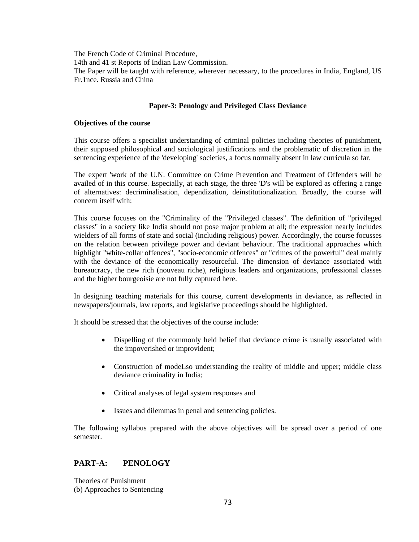The French Code of Criminal Procedure, 14th and 41 st Reports of Indian Law Commission. The Paper will be taught with reference, wherever necessary, to the procedures in India, England, US Fr.1nce. Russia and China

#### **Paper-3: Penology and Privileged Class Deviance**

#### **Objectives of the course**

This course offers a specialist understanding of criminal policies including theories of punishment, their supposed philosophical and sociological justifications and the problematic of discretion in the sentencing experience of the 'developing' societies, a focus normally absent in law curricula so far.

The expert 'work of the U.N. Committee on Crime Prevention and Treatment of Offenders will be availed of in this course. Especially, at each stage, the three 'D's will be explored as offering a range of alternatives: decriminalisation, dependization, deinstitutionalization. Broadly, the course will concern itself with:

This course focuses on the "Criminality of the "Privileged classes". The definition of "privileged classes" in a society like India should not pose major problem at all; the expression nearly includes wielders of all forms of state and social (including religious) power. Accordingly, the course focusses on the relation between privilege power and deviant behaviour. The traditional approaches which highlight "white-collar offences", "socio-economic offences" or "crimes of the powerful" deal mainly with the deviance of the economically resourceful. The dimension of deviance associated with bureaucracy, the new rich (nouveau riche), religious leaders and organizations, professional classes and the higher bourgeoisie are not fully captured here.

In designing teaching materials for this course, current developments in deviance, as reflected in newspapers/journals, law reports, and legislative proceedings should be highlighted.

It should be stressed that the objectives of the course include:

- Dispelling of the commonly held belief that deviance crime is usually associated with the impoverished or improvident;
- Construction of modeLso understanding the reality of middle and upper; middle class deviance criminality in India;
- Critical analyses of legal system responses and
- Issues and dilemmas in penal and sentencing policies.

The following syllabus prepared with the above objectives will be spread over a period of one semester.

### **PART-A: PENOLOGY**

Theories of Punishment (b) Approaches to Sentencing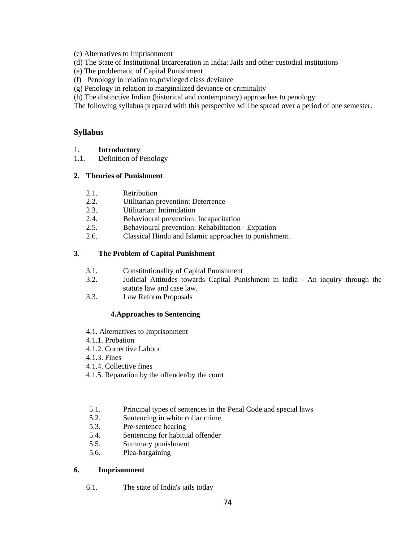(c) Alternatives to Imprisonment

- (d) The State of Institutional Incarceration in India: Jails and other custodial institutions
- (e) The problematic of Capital Punishment
- (f) Penology in relation to,privileged class deviance
- (g) Penology in relation to marginalized deviance or criminality
- (h) The distinctive Indian (historical and contemporary) approaches to penology

The following syllabus prepared with this perspective will be spread over a period of one semester.

### **Syllabus**

- 1. **Introductory**
- 1.1. Definition of Penology

### **2. Theories of Punishment**

- 2.1. Retribution
- 2.2. Utilitarian prevention: Deterrence
- 2.3. Utilitarian: Intimidation
- 2.4. Behavioural prevention: Incapacitation
- 2.5. Behavioural prevention: Rehabilitation Expiation
- 2.6. Classical Hindu and Islamic approaches to punishment.

### **3. The Problem of Capital Punishment**

- 3.1. Constitutionality of Capital Punishment
- 3.2. Judicial Attitudes towards Capital Punishment in India An inquiry through the statute law and case law.
- 3.3. Law Reform Proposals

### **4.Approaches to Sentencing**

- 4.1. Alternatives to Imprisonment
- 4.1.1. Probation
- 4.1.2. Corrective Labour
- 4.1.3. Fines
- 4.1.4. Collective fines
- 4.1.5. Reparation by the offender/by the court
- 5.1. Principal types of sentences in the Penal Code and special laws
- 5.2. Sentencing in white collar crime
- 5.3. Pre-sentence hearing
- 5.4. Sentencing for habitual offender
- 5.5. Summary punishment
- 5.6. Plea-bargaining

#### **6. Imprisonment**

6.1. The state of India's jails today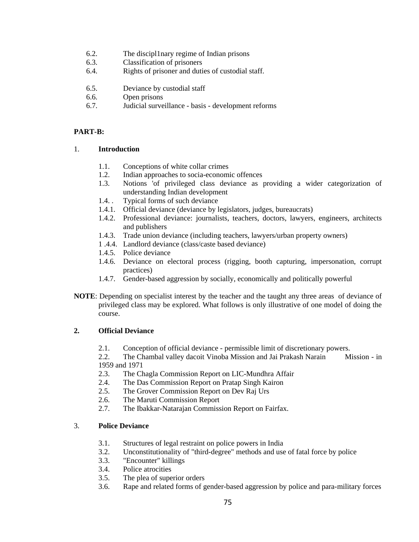- 6.2. The discipl1nary regime of Indian prisons
- 6.3. Classification of prisoners
- 6.4. Rights of prisoner and duties of custodial staff.
- 6.5. Deviance by custodial staff
- 6.6. Open prisons
- 6.7. Judicial surveillance basis development reforms

#### **PART-B:**

#### 1. **Introduction**

- 1.1. Conceptions of white collar crimes
- 1.2. Indian approaches to socia-economic offences
- 1.3. Notions 'of privileged class deviance as providing a wider categorization of understanding Indian development
- 1.4. . Typical forms of such deviance
- 1.4.1. Official deviance (deviance by legislators, judges, bureaucrats)
- 1.4.2. Professional deviance: journalists, teachers, doctors, lawyers, engineers, architects and publishers
- 1.4.3. Trade union deviance (including teachers, lawyers/urban property owners)
- 1 .4.4. Landlord deviance (class/caste based deviance)
- 1.4.5. Police deviance
- 1.4.6. Deviance on electoral process (rigging, booth capturing, impersonation, corrupt practices)
- 1.4.7. Gender-based aggression by socially, economically and politically powerful
- **NOTE**: Depending on specialist interest by the teacher and the taught any three areas of deviance of privileged class may be explored. What follows is only illustrative of one model of doing the course.

#### **2. Official Deviance**

2.1. Conception of official deviance - permissible limit of discretionary powers.

2.2. The Chambal valley dacoit Vinoba Mission and Jai Prakash Narain Mission - in 1959 and 1971

- 2.3. The Chagla Commission Report on LIC-Mundhra Affair
- 2.4. The Das Commission Report on Pratap Singh Kairon
- 2.5. The Grover Commission Report on Dev Raj Urs
- 2.6. The Maruti Commission Report
- 2.7. The Ibakkar-Natarajan Commission Report on Fairfax.

#### 3. **Police Deviance**

- 3.1. Structures of legal restraint on police powers in India
- 3.2. Unconstitutionality of "third-degree" methods and use of fatal force by police
- 3.3. "Encounter" killings
- 3.4. Police atrocities
- 3.5. The plea of superior orders
- 3.6. Rape and related forms of gender-based aggression by police and para-military forces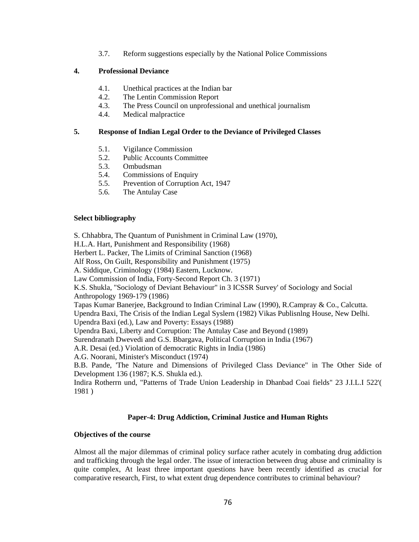3.7. Reform suggestions especially by the National Police Commissions

#### **4. Professional Deviance**

- 4.1. Unethical practices at the Indian bar
- 4.2. The Lentin Commission Report
- 4.3. The Press Council on unprofessional and unethical journalism
- 4.4. Medical malpractice

#### **5. Response of Indian Legal Order to the Deviance of Privileged Classes**

- 5.1. Vigilance Commission
- 5.2. Public Accounts Committee
- 5.3. Ombudsman
- 5.4. Commissions of Enquiry
- 5.5. Prevention of Corruption Act, 1947
- 5.6. The Antulay Case

#### **Select bibliography**

S. Chhabbra, The Quantum of Punishment in Criminal Law (1970),

H.L.A. Hart, Punishment and Responsibility (1968)

Herbert L. Packer, The Limits of Criminal Sanction (1968)

Alf Ross, On Guilt, Responsibility and Punishment (1975)

A. Siddique, Criminology (1984) Eastern, Lucknow.

Law Commission of India, Forty-Second Report Ch. 3 (1971)

K.S. Shukla, "Sociology of Deviant Behaviour" in 3 ICSSR Survey' of Sociology and Social Anthropology 1969-179 (1986)

Tapas Kumar Banerjee, Background to Indian Criminal Law (1990), R.Campray & Co., Calcutta.

Upendra Baxi, The Crisis of the Indian Legal Syslern (1982) Vikas Publisnlng House, New Delhi. Upendra Baxi (ed.), Law and Poverty: Essays (1988)

Upendra Baxi, Liberty and Corruption: The Antulay Case and Beyond (1989)

Surendranath Dwevedi and G.S. Bbargava, Political Corruption in India (1967)

A.R. Desai (ed.) Violation of democratic Rights in India (1986)

A.G. Noorani, Minister's Misconduct (1974)

B.B. Pande, 'The Nature and Dimensions of Privileged Class Deviance" in The Other Side of Development 136 (1987; K.S. Shukla ed.).

Indira Rotherrn und, "Patterns of Trade Union Leadership in Dhanbad Coai fields" 23 J.I.L.I 522'( 1981 )

#### **Paper-4: Drug Addiction, Criminal Justice and Human Rights**

#### **Objectives of the course**

Almost all the major dilemmas of criminal policy surface rather acutely in combating drug addiction and trafficking through the legal order. The issue of interaction between drug abuse and criminality is quite complex, At least three important questions have been recently identified as crucial for comparative research, First, to what extent drug dependence contributes to criminal behaviour?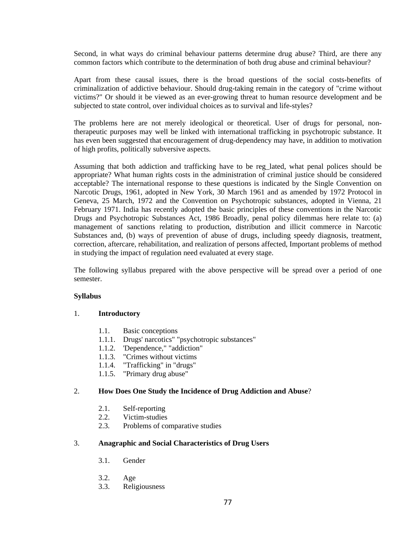Second, in what ways do criminal behaviour patterns determine drug abuse? Third, are there any common factors which contribute to the determination of both drug abuse and criminal behaviour?

Apart from these causal issues, there is the broad questions of the social costs-benefits of criminalization of addictive behaviour. Should drug-taking remain in the category of "crime without victims?" Or should it be viewed as an ever-growing threat to human resource development and be subjected to state control, over individual choices as to survival and life-styles?

The problems here are not merely ideological or theoretical. User of drugs for personal, nontherapeutic purposes may well be linked with international trafficking in psychotropic substance. It has even been suggested that encouragement of drug-dependency may have, in addition to motivation of high profits, politically subversive aspects.

Assuming that both addiction and trafficking have to be reg\_lated, what penal polices should be appropriate? What human rights costs in the administration of criminal justice should be considered acceptable? The international response to these questions is indicated by the Single Convention on Narcotic Drugs, 1961, adopted in New York, 30 March 1961 and as amended by 1972 Protocol in Geneva, 25 March, 1972 and the Convention on Psychotropic substances, adopted in Vienna, 21 February 1971. India has recently adopted the basic principles of these conventions in the Narcotic Drugs and Psychotropic Substances Act, 1986 Broadly, penal policy dilemmas here relate to: (a) management of sanctions relating to production, distribution and illicit commerce in Narcotic Substances and, (b) ways of prevention of abuse of drugs, including speedy diagnosis, treatment, correction, aftercare, rehabilitation, and realization of persons affected, Important problems of method in studying the impact of regulation need evaluated at every stage.

The following syllabus prepared with the above perspective will be spread over a period of one semester.

#### **Syllabus**

#### 1. **Introductory**

- 1.1. Basic conceptions
- 1.1.1. Drugs' narcotics" "psychotropic substances"
- 1.1.2. 'Dependence," "addiction"
- 1.1.3. "Crimes without victims
- 1.1.4. "Trafficking" in "drugs"
- 1.1.5. "Primary drug abuse"

#### 2. **How Does One Study the Incidence of Drug Addiction and Abuse**?

- 2.1. Self-reporting
- 2.2. Victim-studies
- 2.3. Problems of comparative studies

#### 3. **Anagraphic and Social Characteristics of Drug Users**

- 3.1. Gender
- 3.2. Age
- 3.3. Religiousness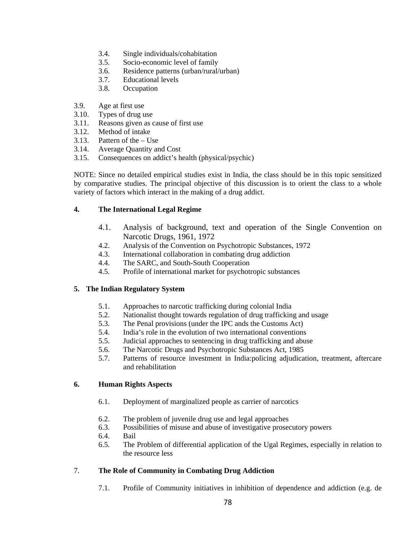- 3.4. Single individuals/cohabitation
- 3.5. Socio-economic level of family
- 3.6. Residence patterns (urban/rural/urban)
- 3.7. Educational levels
- 3.8. Occupation
- 3.9. Age at first use
- 3.10. Types of drug use
- 3.11. Reasons given as cause of first use
- 3.12. Method of intake
- 3.13. Pattern of the Use
- 3.14. Average Quantity and Cost
- 3.15. Consequences on addict's health (physical/psychic)

NOTE: Since no detailed empirical studies exist in India, the class should be in this topic sensitized by comparative studies. The principal objective of this discussion is to orient the class to a whole variety of factors which interact in the making of a drug addict.

### **4. The International Legal Regime**

- 4.1. Analysis of background, text and operation of the Single Convention on Narcotic Drugs, 1961, 1972
- 4.2. Analysis of the Convention on Psychotropic Substances, 1972
- 4.3. International collaboration in combating drug addiction
- 4.4. The SARC, and South-South Cooperation
- 4.5. Profile of international market for psychotropic substances

#### **5. The Indian Regulatory System**

- 5.1. Approaches to narcotic trafficking during colonial India
- 5.2. Nationalist thought towards regulation of drug trafficking and usage
- 5.3. The Penal provisions (under the IPC ands the Customs Act)
- 5.4. India's role in the evolution of two international conventions
- 5.5. Judicial approaches to sentencing in drug trafficking and abuse
- 5.6. The Narcotic Drugs and Psychotropic Substances Act, 1985
- 5.7. Patterns of resource investment in India:policing adjudication, treatment, aftercare and rehabilitation

### **6. Human Rights Aspects**

- 6.1. Deployment of marginalized people as carrier of narcotics
- 6.2. The problem of juvenile drug use and legal approaches
- 6.3. Possibilities of misuse and abuse of investigative prosecutory powers
- 6.4. Bail
- 6.5. The Problem of differential application of the Ugal Regimes, especially in relation to the resource less

### 7. **The Role of Community in Combating Drug Addiction**

7.1. Profile of Community initiatives in inhibition of dependence and addiction (e.g. de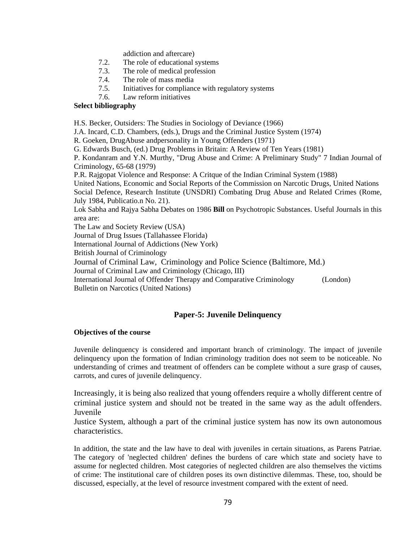addiction and aftercare)

- 7.2. The role of educational systems
- 7.3. The role of medical profession
- 7.4. The role of mass media
- 7.5. Initiatives for compliance with regulatory systems
- 7.6. Law reform initiatives

### **Select bibliography**

H.S. Becker, Outsiders: The Studies in Sociology of Deviance (1966)

J.A. Incard, C.D. Chambers, (eds.), Drugs and the Criminal Justice System (1974)

R. Goeken, DrugAbuse andpersonality in Young Offenders (1971)

G. Edwards Busch, (ed.) Drug Problems in Britain: A Review of Ten Years (1981)

P. Kondanram and Y.N. Murthy, "Drug Abuse and Crime: A Preliminary Study" 7 Indian Journal of Criminology, 65-68 (1979)

P.R. Rajgopat Violence and Response: A Critque of the Indian Criminal System (1988)

United Nations, Economic and Social Reports of the Commission on Narcotic Drugs, United Nations Social Defence, Research Institute (UNSDRI) Combating Drug Abuse and Related Crimes (Rome, July 1984, Publicatio.n No. 21).

Lok Sabha and Rajya Sabha Debates on 1986 **Bill** on Psychotropic Substances. Useful Journals in this area are:

The Law and Society Review (USA)

Journal of Drug Issues (Tallahassee Florida)

International Journal of Addictions (New York)

British Journal of Criminology

Journal of Criminal Law, Criminology and Police Science (Baltimore, Md.)

Journal of Criminal Law and Criminology (Chicago, III)

International Journal of Offender Therapy and Comparative Criminology (London) Bulletin on Narcotics (United Nations)

### **Paper-5: Juvenile Delinquency**

#### **Objectives of the course**

Juvenile delinquency is considered and important branch of criminology. The impact of juvenile delinquency upon the formation of Indian criminology tradition does not seem to be noticeable. No understanding of crimes and treatment of offenders can be complete without a sure grasp of causes, carrots, and cures of juvenile delinquency.

Increasingly, it is being also realized that young offenders require a wholly different centre of criminal justice system and should not be treated in the same way as the adult offenders. Juvenile

Justice System, although a part of the criminal justice system has now its own autonomous characteristics.

In addition, the state and the law have to deal with juveniles in certain situations, as Parens Patriae. The category of 'neglected children' defines the burdens of care which state and society have to assume for neglected children. Most categories of neglected children are also themselves the victims of crime: The institutional care of children poses its own distinctive dilemmas. These, too, should be discussed, especially, at the level of resource investment compared with the extent of need.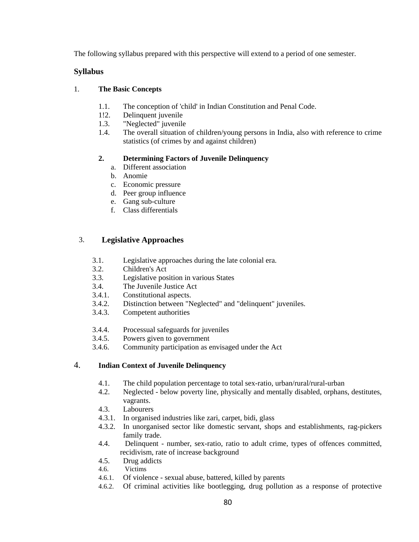The following syllabus prepared with this perspective will extend to a period of one semester.

### **Syllabus**

### 1. **The Basic Concepts**

- 1.1. The conception of 'child' in Indian Constitution and Penal Code.
- 1!2. Delinquent juvenile
- 1.3. "Neglected" juvenile
- 1.4. The overall situation of children/young persons in India, also with reference to crime statistics (of crimes by and against children)

## **2. Determining Factors of Juvenile Delinquency**

- a. Different association
- b. Anomie
- c. Economic pressure
- d. Peer group influence
- e. Gang sub-culture
- f. Class differentials

## 3. **Legislative Approaches**

- 3.1. Legislative approaches during the late colonial era.
- 3.2. Children's Act
- 3.3. Legislative position in various States
- 3.4. The Juvenile Justice Act
- 3.4.1. Constitutional aspects.
- 3.4.2. Distinction between "Neglected" and "delinquent" juveniles.
- 3.4.3. Competent authorities
- 3.4.4. Processual safeguards for juveniles
- 3.4.5. Powers given to government
- 3.4.6. Community participation as envisaged under the Act

## 4. **Indian Context of Juvenile Delinquency**

- 4.1. The child population percentage to total sex-ratio, urban/rural/rural-urban
- 4.2. Neglected below poverty line, physically and mentally disabled, orphans, destitutes, vagrants.
- 4.3. Labourers
- 4.3.1. In organised industries like zari, carpet, bidi, glass
- 4.3.2. In unorganised sector like domestic servant, shops and establishments, rag-pickers family trade.
- 4.4. Delinquent number, sex-ratio, ratio to adult crime, types of offences committed, recidivism, rate of increase background
- 4.5. Drug addicts
- 4.6. Victims
- 4.6.1. Of violence sexual abuse, battered, killed by parents
- 4.6.2. Of criminal activities like bootlegging, drug pollution as a response of protective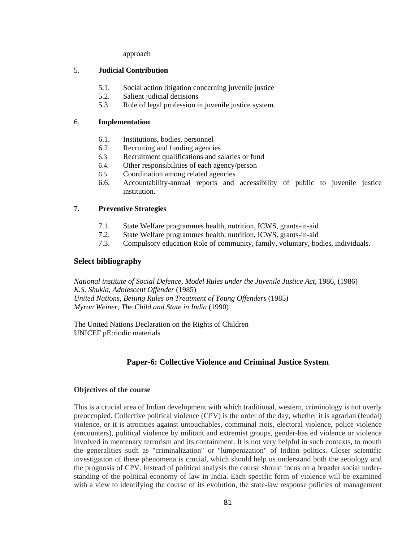approach

#### 5. **Judicial Contribution**

- 5.1. Social action litigation concerning juvenile justice
- 5.2. Salient judicial decisions
- 5.3. Role of legal profession in juvenile justice system.

### 6. **Implementation**

- 6.1. Institutions, bodies, personnel
- 6.2. Recruiting and funding agencies
- 6.3. Recruitment qualifications and salaries or fund
- 6.4. Other responsibilities of each agency/person
- 6.5. Coordination among related agencies
- 6.6. Accountability-annual reports and accessibility of public to juvenile justice institution.

### 7. **Preventive Strategies**

- 7.1. State Welfare programmes health, nutrition, ICWS, grants-in-aid
- 7.2. State Welfare programmes health, nutrition, ICWS, grants-in-aid
- 7.3. Compulsory education Role of community, family, voluntary, bodies, individuals.

### **Select bibliography**

*National institute of Social Defence, Model Rules under the Juvenile Justice Act, 1986, (1986) K.S. Shukla, Adolescent Offender* (1985) *United Nations, Beijing Rules on Treatment of Young Offenders* (1985) *Myron Weiner, The Child and State in India* (1990)

The United Nations Declaration on the Rights of Children UNICEF pE:riodic materials

# **Paper-6: Collective Violence and Criminal Justice System**

#### **Objectives of the course**

This is a crucial area of Indian development with which traditional, western, criminology is not overly preoccupied. Collective political violence (CPV) is the order of the day, whether it is agrarian (feudal) violence, or it is atrocities against untouchables, communal riots, electoral violence, police violence (encounters), political violence by militant and extremist groups, gender-bas ed violence or violence involved in mercenary terrorism and its containment. It is not very helpful in such contexts, to mouth the generalities such as "criminalization" or "lumpenization" of Indian politics. Closer scientific investigation of these phenomena is crucial, which should help us understand both the aetiology and the prognosis of CPV. Instead of political analysis the course should focus on a broader social understanding of the political economy of law in India. Each specific form of violence will be examined with a view to identifying the course of its evolution, the state-law response policies of management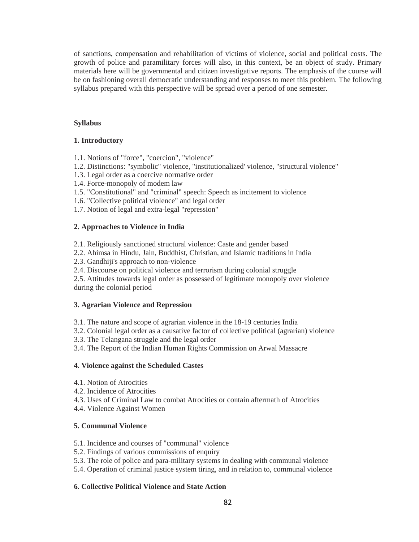of sanctions, compensation and rehabilitation of victims of violence, social and political costs. The growth of police and paramilitary forces will also, in this context, be an object of study. Primary materials here will be governmental and citizen investigative reports. The emphasis of the course will be on fashioning overall democratic understanding and responses to meet this problem. The following syllabus prepared with this perspective will be spread over a period of one semester.

#### **Syllabus**

#### **1. Introductory**

- 1.1. Notions of "force", "coercion", "violence"
- 1.2. Distinctions: "symbolic" violence, "institutionalized' violence, "structural violence"
- 1.3. Legal order as a coercive normative order
- 1.4. Force-monopoly of modem law
- 1.5. "Constitutional" and "criminal" speech: Speech as incitement to violence
- 1.6. "Collective political violence" and legal order
- 1.7. Notion of legal and extra-legal "repression"

#### **2. Approaches to Violence in India**

- 2.1. Religiously sanctioned structural violence: Caste and gender based
- 2.2. Ahimsa in Hindu, Jain, Buddhist, Christian, and Islamic traditions in India
- 2.3. Gandhiji's approach to non-violence
- 2.4. Discourse on political violence and terrorism during colonial struggle

2.5. Attitudes towards legal order as possessed of legitimate monopoly over violence during the colonial period

#### **3. Agrarian Violence and Repression**

- 3.1. The nature and scope of agrarian violence in the 18-19 centuries India
- 3.2. Colonial legal order as a causative factor of collective political (agrarian) violence
- 3.3. The Telangana struggle and the legal order
- 3.4. The Report of the Indian Human Rights Commission on Arwal Massacre

#### **4. Violence against the Scheduled Castes**

- 4.1. Notion of Atrocities
- 4.2. Incidence of Atrocities
- 4.3. Uses of Criminal Law to combat Atrocities or contain aftermath of Atrocities
- 4.4. Violence Against Women

#### **5. Communal Violence**

- 5.1. Incidence and courses of "communal" violence
- 5.2. Findings of various commissions of enquiry
- 5.3. The role of police and para-military systems in dealing with communal violence
- 5.4. Operation of criminal justice system tiring, and in relation to, communal violence

#### **6. Collective Political Violence and State Action**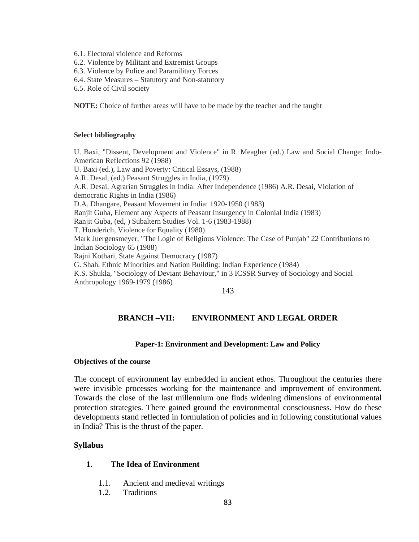- 6.1. Electoral violence and Reforms
- 6.2. Violence by Militant and Extremist Groups
- 6.3. Violence by Police and Paramilitary Forces
- 6.4. State Measures Statutory and Non-statutory
- 6.5. Role of Civil society

**NOTE:** Choice of further areas will have to be made by the teacher and the taught

#### **Select bibliography**

U. Baxi, "Dissent, Development and Violence" in R. Meagher (ed.) Law and Social Change: Indo-American Reflections 92 (1988) U. Baxi (ed.), Law and Poverty: Critical Essays, (1988) A.R. Desal, (ed.) Peasant Struggles in India, (1979) A.R. Desai, Agrarian Struggles in India: After Independence (1986) A.R. Desai, Violation of democratic Rights in India (1986) D.A. Dhangare, Peasant Movement in India: 1920-1950 (1983) Ranjit Guha, Element any Aspects of Peasant Insurgency in Colonial India (1983) Ranjit Guba, (ed, ) Subaltern Studies Vol. 1-6 (1983-1988) T. Honderich, Violence for Equality (1980) Mark Juergensmeyer, "The Logic of Religious Violence: The Case of Punjab" 22 Contributions to Indian Sociology 65 (1988) Rajni Kothari, State Against Democracy (1987) G. Shah, Ethnic Minorities and Nation Building: Indian Experience (1984) K.S. Shukla, "Sociology of Deviant Behaviour," in 3 ICSSR Survey of Sociology and Social Anthropology 1969-1979 (1986)

143

### **BRANCH –VII: ENVIRONMENT AND LEGAL ORDER**

#### **Paper-1: Environment and Development: Law and Policy**

#### **Objectives of the course**

The concept of environment lay embedded in ancient ethos. Throughout the centuries there were invisible processes working for the maintenance and improvement of environment. Towards the close of the last millennium one finds widening dimensions of environmental protection strategies. There gained ground the environmental consciousness. How do these developments stand reflected in formulation of policies and in following constitutional values in India? This is the thrust of the paper.

#### **Syllabus**

### **1. The Idea of Environment**

- 1.1. Ancient and medieval writings
- 1.2. Traditions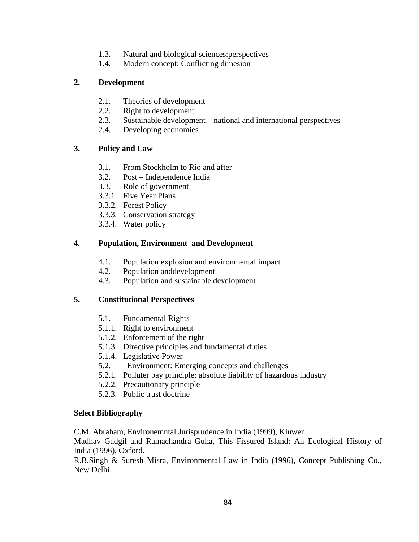- 1.3. Natural and biological sciences:perspectives
- 1.4. Modern concept: Conflicting dimesion

## **2. Development**

- 2.1. Theories of development
- 2.2. Right to development
- 2.3. Sustainable development national and international perspectives
- 2.4. Developing economies

## **3. Policy and Law**

- 3.1. From Stockholm to Rio and after
- 3.2. Post Independence India
- 3.3. Role of government
- 3.3.1. Five Year Plans
- 3.3.2. Forest Policy
- 3.3.3. Conservation strategy
- 3.3.4. Water policy

## **4. Population, Environment and Development**

- 4.1. Population explosion and environmental impact
- 4.2. Population anddevelopment
- 4.3. Population and sustainable development

### **5. Constitutional Perspectives**

- 5.1. Fundamental Rights
- 5.1.1. Right to environment
- 5.1.2. Enforcement of the right
- 5.1.3. Directive principles and fundamental duties
- 5.1.4. Legislative Power
- 5.2. Environment: Emerging concepts and challenges
- 5.2.1. Polluter pay principle: absolute liability of hazardous industry
- 5.2.2. Precautionary principle
- 5.2.3. Public trust doctrine

### **Select Bibliography**

C.M. Abraham, Environemntal Jurisprudence in India (1999), Kluwer

Madhav Gadgil and Ramachandra Guha, This Fissured Island: An Ecological History of India (1996), Oxford.

R.B.Singh & Suresh Misra, Environmental Law in India (1996), Concept Publishing Co., New Delhi.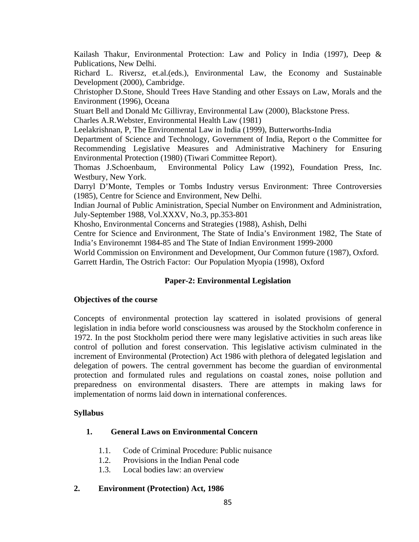Kailash Thakur, Environmental Protection: Law and Policy in India (1997), Deep & Publications, New Delhi.

Richard L. Riversz, et.al.(eds.), Environmental Law, the Economy and Sustainable Development (2000), Cambridge.

Christopher D.Stone, Should Trees Have Standing and other Essays on Law, Morals and the Environment (1996), Oceana

Stuart Bell and Donald Mc Gillivray, Environmental Law (2000), Blackstone Press.

Charles A.R.Webster, Environmental Health Law (1981)

Leelakrishnan, P, The Environmental Law in India (1999), Butterworths-India

Department of Science and Technology, Government of India, Report o the Committee for Recommending Legislative Measures and Administrative Machinery for Ensuring Environmental Protection (1980) (Tiwari Committee Report).

Thomas J.Schoenbaum, Environmental Policy Law (1992), Foundation Press, Inc. Westbury, New York.

Darryl D'Monte, Temples or Tombs Industry versus Environment: Three Controversies (1985), Centre for Science and Environment, New Delhi.

Indian Journal of Public Aministration, Special Number on Environment and Administration, July-September 1988, Vol.XXXV, No.3, pp.353-801

Khosho, Environmental Concerns and Strategies (1988), Ashish, Delhi

Centre for Science and Environment, The State of India's Environment 1982, The State of India's Environemnt 1984-85 and The State of Indian Environment 1999-2000

World Commission on Environment and Development, Our Common future (1987), Oxford. Garrett Hardin, The Ostrich Factor: Our Population Myopia (1998), Oxford

# **Paper-2: Environmental Legislation**

# **Objectives of the course**

Concepts of environmental protection lay scattered in isolated provisions of general legislation in india before world consciousness was aroused by the Stockholm conference in 1972. In the post Stockholm period there were many legislative activities in such areas like control of pollution and forest conservation. This legislative activism culminated in the increment of Environmental (Protection) Act 1986 with plethora of delegated legislation and delegation of powers. The central government has become the guardian of environmental protection and formulated rules and regulations on coastal zones, noise pollution and preparedness on environmental disasters. There are attempts in making laws for implementation of norms laid down in international conferences.

# **Syllabus**

# **1. General Laws on Environmental Concern**

- 1.1. Code of Criminal Procedure: Public nuisance
- 1.2. Provisions in the Indian Penal code
- 1.3. Local bodies law: an overview

# **2. Environment (Protection) Act, 1986**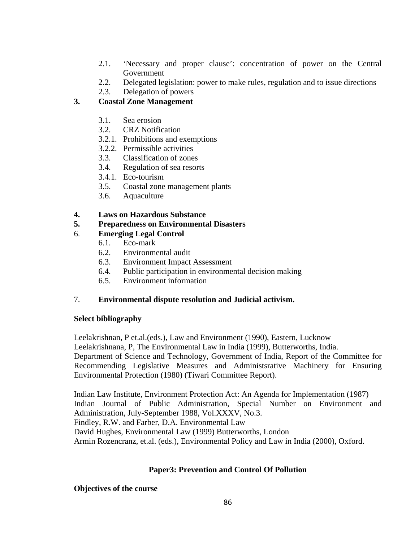- 2.1. 'Necessary and proper clause': concentration of power on the Central Government
- 2.2. Delegated legislation: power to make rules, regulation and to issue directions
- 2.3. Delegation of powers

# **3. Coastal Zone Management**

- 3.1. Sea erosion
- 3.2. CRZ Notification
- 3.2.1. Prohibitions and exemptions
- 3.2.2. Permissible activities
- 3.3. Classification of zones
- 3.4. Regulation of sea resorts
- 3.4.1. Eco-tourism
- 3.5. Coastal zone management plants
- 3.6. Aquaculture

# **4. Laws on Hazardous Substance**

# **5. Preparedness on Environmental Disasters**

# 6. **Emerging Legal Control**

- 6.1. Eco-mark
- 6.2. Environmental audit
- 6.3. Environment Impact Assessment
- 6.4. Public participation in environmental decision making
- 6.5. Environment information

# 7. **Environmental dispute resolution and Judicial activism.**

# **Select bibliography**

Leelakrishnan, P et.al.(eds.), Law and Environment (1990), Eastern, Lucknow Leelakrishnana, P, The Environmental Law in India (1999), Butterworths, India. Department of Science and Technology, Government of India, Report of the Committee for Recommending Legislative Measures and Administsrative Machinery for Ensuring Environmental Protection (1980) (Tiwari Committee Report).

Indian Law Institute, Environment Protection Act: An Agenda for Implementation (1987) Indian Journal of Public Administration, Special Number on Environment and Administration, July-September 1988, Vol.XXXV, No.3. Findley, R.W. and Farber, D.A. Environmental Law David Hughes, Environmental Law (1999) Butterworths, London Armin Rozencranz, et.al. (eds.), Environmental Policy and Law in India (2000), Oxford.

# **Paper3: Prevention and Control Of Pollution**

# **Objectives of the course**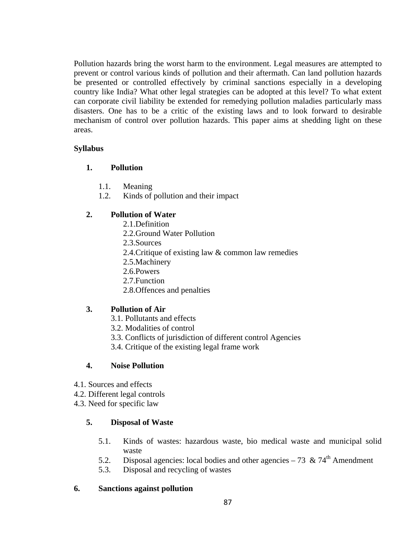Pollution hazards bring the worst harm to the environment. Legal measures are attempted to prevent or control various kinds of pollution and their aftermath. Can land pollution hazards be presented or controlled effectively by criminal sanctions especially in a developing country like India? What other legal strategies can be adopted at this level? To what extent can corporate civil liability be extended for remedying pollution maladies particularly mass disasters. One has to be a critic of the existing laws and to look forward to desirable mechanism of control over pollution hazards. This paper aims at shedding light on these areas.

## **Syllabus**

## **1. Pollution**

- 1.1. Meaning
- 1.2. Kinds of pollution and their impact

# **2. Pollution of Water**

- 2.1.Definition
- 2.2.Ground Water Pollution
- 2.3.Sources
- 2.4.Critique of existing law & common law remedies
- 2.5.Machinery
- 2.6.Powers
- 2.7.Function
- 2.8.Offences and penalties

# **3. Pollution of Air**

- 3.1. Pollutants and effects
- 3.2. Modalities of control
- 3.3. Conflicts of jurisdiction of different control Agencies
- 3.4. Critique of the existing legal frame work

# **4. Noise Pollution**

- 4.1. Sources and effects
- 4.2. Different legal controls
- 4.3. Need for specific law

# **5. Disposal of Waste**

- 5.1. Kinds of wastes: hazardous waste, bio medical waste and municipal solid waste
- 5.2. Disposal agencies: local bodies and other agencies 73 & 74<sup>th</sup> Amendment
- 5.3. Disposal and recycling of wastes

# **6. Sanctions against pollution**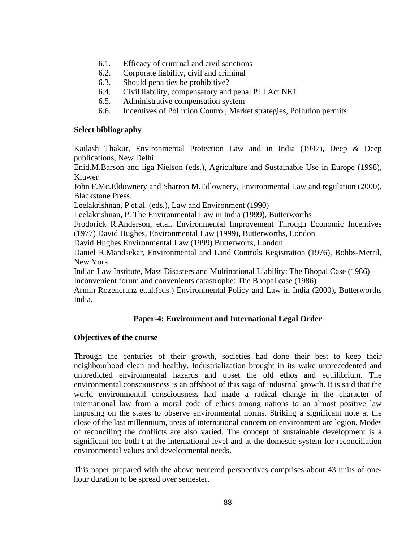- 6.1. Efficacy of criminal and civil sanctions
- 6.2. Corporate liability, civil and criminal
- 6.3. Should penalties be prohibitive?
- 6.4. Civil liability, compensatory and penal PLI Act NET
- 6.5. Administrative compensation system
- 6.6. Incentives of Pollution Control, Market strategies, Pollution permits

#### **Select bibliography**

Kailash Thakur, Environmental Protection Law and in India (1997), Deep & Deep publications, New Delhi

Enid.M.Barson and iiga Nielson (eds.), Agriculture and Sustainable Use in Europe (1998), Kluwer

John F.Mc.Eldownery and Sharron M.Edlownery, Environmental Law and regulation (2000), Blackstone Press.

Leelakrishnan, P et.al. (eds.), Law and Environment (1990)

Leelakrishnan, P. The Environmental Law in India (1999), Butterworths

Frodorick R.Anderson, et.al. Environmental Improvement Through Economic Incentives (1977) David Hughes, Environmental Law (1999), Butterworths, London

David Hughes Environmental Law (1999) Butterworts, London

Daniel R.Mandsekar, Environmental and Land Controls Registration (1976), Bobbs-Merril, New York

Indian Law Institute, Mass Disasters and Multinational Liability: The Bhopal Case (1986) Inconvenient forum and convenients catastrophe: The Bhopal case (1986)

Armin Rozencranz et.al.(eds.) Environmental Policy and Law in India (2000), Butterworths India.

### **Paper-4: Environment and International Legal Order**

### **Objectives of the course**

Through the centuries of their growth, societies had done their best to keep their neighbourhood clean and healthy. Industrialization brought in its wake unprecedented and unpredicted environmental hazards and upset the old ethos and equilibrium. The environmental consciousness is an offshoot of this saga of industrial growth. It is said that the world environmental consciousness had made a radical change in the character of international law from a moral code of ethics among nations to an almost positive law imposing on the states to observe environmental norms. Striking a significant note at the close of the last millennium, areas of international concern on environment are legion. Modes of reconciling the conflicts are also varied. The concept of sustainable development is a significant too both t at the international level and at the domestic system for reconciliation environmental values and developmental needs.

This paper prepared with the above neutered perspectives comprises about 43 units of onehour duration to be spread over semester.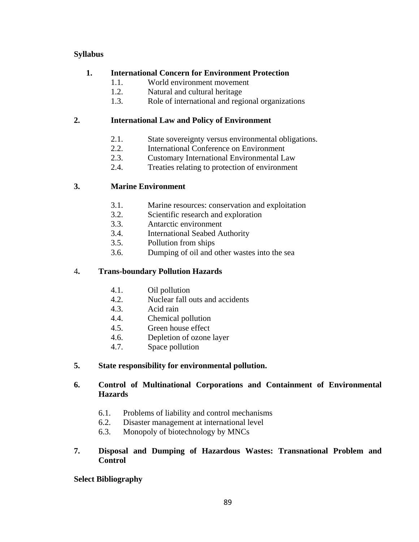# **Syllabus**

# **1. International Concern for Environment Protection**

- 1.1. World environment movement
- 1.2. Natural and cultural heritage
- 1.3. Role of international and regional organizations

# **2. International Law and Policy of Environment**

- 2.1. State sovereignty versus environmental obligations.
- 2.2. International Conference on Environment
- 2.3. Customary International Environmental Law
- 2.4. Treaties relating to protection of environment

# **3. Marine Environment**

- 3.1. Marine resources: conservation and exploitation
- 3.2. Scientific research and exploration
- 3.3. Antarctic environment
- 3.4. International Seabed Authority
- 3.5. Pollution from ships
- 3.6. Dumping of oil and other wastes into the sea

## 4**. Trans-boundary Pollution Hazards**

- 4.1. Oil pollution
- 4.2. Nuclear fall outs and accidents
- 4.3. Acid rain
- 4.4. Chemical pollution
- 4.5. Green house effect
- 4.6. Depletion of ozone layer
- 4.7. Space pollution

# **5. State responsibility for environmental pollution.**

# **6. Control of Multinational Corporations and Containment of Environmental Hazards**

- 6.1. Problems of liability and control mechanisms
- 6.2. Disaster management at international level
- 6.3. Monopoly of biotechnology by MNCs

## **7. Disposal and Dumping of Hazardous Wastes: Transnational Problem and Control**

**Select Bibliography**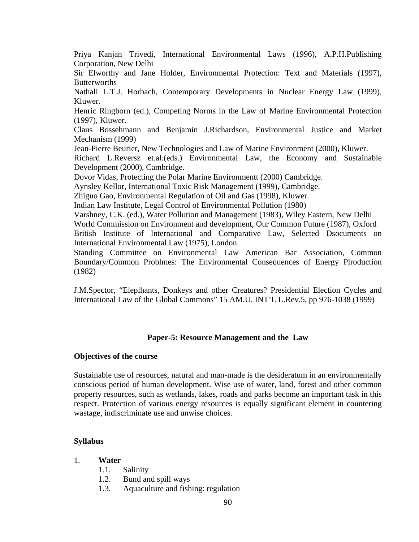Priya Kanjan Trivedi, International Environmental Laws (1996), A.P.H.Publishing Corporation, New Delhi

Sir Elworthy and Jane Holder, Environmental Protection: Text and Materials (1997), **Butterworths** 

Nathali L.T.J. Horbach, Contemporary Developments in Nuclear Energy Law (1999), Kluwer.

Henric Ringborn (ed.), Competing Norms in the Law of Marine Environmental Protection (1997), Kluwer.

Claus Bossehmann and Benjamin J.Richardson, Environmental Justice and Market Mechanism (1999)

Jean-Pierre Beurier, New Technologies and Law of Marine Environment (2000), Kluwer.

Richard L.Reversz et.al.(eds.) Environmental Law, the Economy and Sustainable Development (2000), Cambridge.

Dovor Vidas, Protecting the Polar Marine Environmentt (2000) Cambridge.

Aynsley Kellor, International Toxic Risk Management (1999), Cambridge.

Zhiguo Gao, Environmental Regulation of Oil and Gas (1998), Kluwer.

Indian Law Institute, Legal Control of Environmental Pollution (1980)

Varshney, C.K. (ed.), Water Pollution and Management (1983), Wiley Eastern, New Delhi World Commission on Environment and development, Our Common Future (1987), Oxford British Institute of International and Comparative Law, Selected Dsocuments on International Environmental Law (1975), London

Standing Committee on Environmental Law American Bar Association, Common Boundary/Common Problmes: The Environmental Consequences of Energy Plroduction (1982)

J.M.Spector, "Eleplhants, Donkeys and other Creatures? Presidential Election Cycles and International Law of the Global Commons" 15 AM.U. INT'L L.Rev.5, pp 976-1038 (1999)

### **Paper-5: Resource Management and the Law**

### **Objectives of the course**

Sustainable use of resources, natural and man-made is the desideratum in an environmentally conscious period of human development. Wise use of water, land, forest and other common property resources, such as wetlands, lakes, roads and parks become an important task in this respect. Protection of various energy resources is equally significant element in countering wastage, indiscriminate use and unwise choices.

### **Syllabus**

- 1. **Water** 
	- 1.1. Salinity
	- 1.2. Bund and spill ways
	- 1.3. Aquaculture and fishing: regulation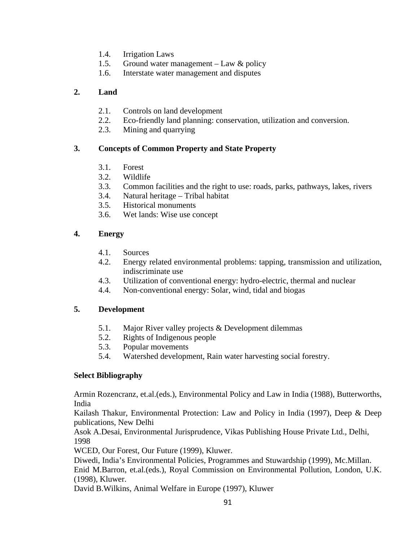- 1.4. Irrigation Laws
- 1.5. Ground water management Law & policy
- 1.6. Interstate water management and disputes

# **2. Land**

- 2.1. Controls on land development
- 2.2. Eco-friendly land planning: conservation, utilization and conversion.
- 2.3. Mining and quarrying

# **3. Concepts of Common Property and State Property**

- 3.1. Forest
- 3.2. Wildlife
- 3.3. Common facilities and the right to use: roads, parks, pathways, lakes, rivers
- 3.4. Natural heritage Tribal habitat
- 3.5. Historical monuments
- 3.6. Wet lands: Wise use concept

# **4. Energy**

- 4.1. Sources
- 4.2. Energy related environmental problems: tapping, transmission and utilization, indiscriminate use
- 4.3. Utilization of conventional energy: hydro-electric, thermal and nuclear
- 4.4. Non-conventional energy: Solar, wind, tidal and biogas

# **5. Development**

- 5.1. Major River valley projects & Development dilemmas
- 5.2. Rights of Indigenous people
- 5.3. Popular movements
- 5.4. Watershed development, Rain water harvesting social forestry.

# **Select Bibliography**

Armin Rozencranz, et.al.(eds.), Environmental Policy and Law in India (1988), Butterworths, India

Kailash Thakur, Environmental Protection: Law and Policy in India (1997), Deep & Deep publications, New Delhi

Asok A.Desai, Environmental Jurisprudence, Vikas Publishing House Private Ltd., Delhi, 1998

WCED, Our Forest, Our Future (1999), Kluwer.

Diwedi, India's Environmental Policies, Programmes and Stuwardship (1999), Mc.Millan.

Enid M.Barron, et.al.(eds.), Royal Commission on Environmental Pollution, London, U.K. (1998), Kluwer.

David B.Wilkins, Animal Welfare in Europe (1997), Kluwer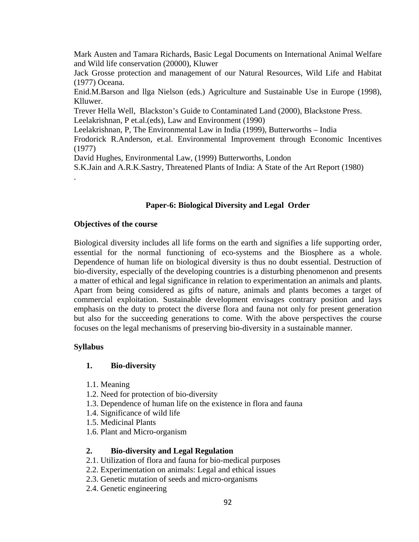Mark Austen and Tamara Richards, Basic Legal Documents on International Animal Welfare and Wild life conservation (20000), Kluwer

Jack Grosse protection and management of our Natural Resources, Wild Life and Habitat (1977) Oceana.

Enid.M.Barson and llga Nielson (eds.) Agriculture and Sustainable Use in Europe (1998), Klluwer.

Trever Hella Well, Blackston's Guide to Contaminated Land (2000), Blackstone Press. Leelakrishnan, P et.al.(eds), Law and Environment (1990)

Leelakrishnan, P, The Environmental Law in India (1999), Butterworths – India

Frodorick R.Anderson, et.al. Environmental Improvement through Economic Incentives (1977)

David Hughes, Environmental Law, (1999) Butterworths, London

S.K.Jain and A.R.K.Sastry, Threatened Plants of India: A State of the Art Report (1980)

## **Paper-6: Biological Diversity and Legal Order**

#### **Objectives of the course**

Biological diversity includes all life forms on the earth and signifies a life supporting order, essential for the normal functioning of eco-systems and the Biosphere as a whole. Dependence of human life on biological diversity is thus no doubt essential. Destruction of bio-diversity, especially of the developing countries is a disturbing phenomenon and presents a matter of ethical and legal significance in relation to experimentation an animals and plants. Apart from being considered as gifts of nature, animals and plants becomes a target of commercial exploitation. Sustainable development envisages contrary position and lays emphasis on the duty to protect the diverse flora and fauna not only for present generation but also for the succeeding generations to come. With the above perspectives the course focuses on the legal mechanisms of preserving bio-diversity in a sustainable manner.

#### **Syllabus**

.

### **1. Bio-diversity**

- 1.1. Meaning
- 1.2. Need for protection of bio-diversity
- 1.3. Dependence of human life on the existence in flora and fauna
- 1.4. Significance of wild life
- 1.5. Medicinal Plants
- 1.6. Plant and Micro-organism

### **2. Bio-diversity and Legal Regulation**

- 2.1. Utilization of flora and fauna for bio-medical purposes
- 2.2. Experimentation on animals: Legal and ethical issues
- 2.3. Genetic mutation of seeds and micro-organisms
- 2.4. Genetic engineering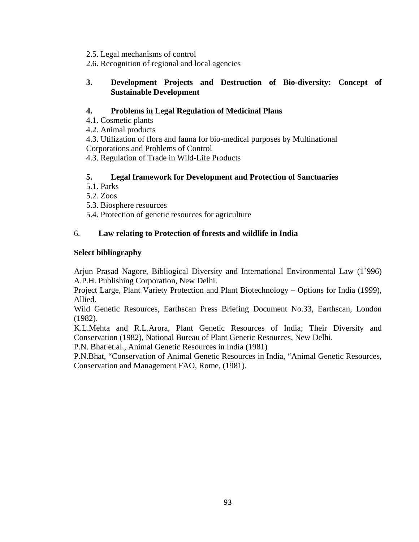- 2.5. Legal mechanisms of control
- 2.6. Recognition of regional and local agencies

# **3. Development Projects and Destruction of Bio-diversity: Concept of Sustainable Development**

# **4. Problems in Legal Regulation of Medicinal Plans**

4.1. Cosmetic plants

4.2. Animal products

4.3. Utilization of flora and fauna for bio-medical purposes by Multinational Corporations and Problems of Control

4.3. Regulation of Trade in Wild-Life Products

# **5. Legal framework for Development and Protection of Sanctuaries**

- 5.1. Parks
- 5.2. Zoos

5.3. Biosphere resources

5.4. Protection of genetic resources for agriculture

# 6. **Law relating to Protection of forests and wildlife in India**

# **Select bibliography**

Arjun Prasad Nagore, Bibliogical Diversity and International Environmental Law (1`996) A.P.H. Publishing Corporation, New Delhi.

Project Large, Plant Variety Protection and Plant Biotechnology – Options for India (1999), Allied.

Wild Genetic Resources, Earthscan Press Briefing Document No.33, Earthscan, London (1982).

K.L.Mehta and R.L.Arora, Plant Genetic Resources of India; Their Diversity and Conservation (1982), National Bureau of Plant Genetic Resources, New Delhi.

P.N. Bhat et.al., Animal Genetic Resources in India (1981)

P.N.Bhat, "Conservation of Animal Genetic Resources in India, "Animal Genetic Resources, Conservation and Management FAO, Rome, (1981).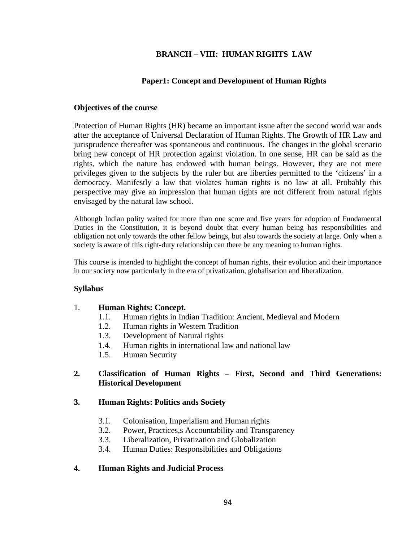# **BRANCH – VIII: HUMAN RIGHTS LAW**

## **Paper1: Concept and Development of Human Rights**

### **Objectives of the course**

Protection of Human Rights (HR) became an important issue after the second world war ands after the acceptance of Universal Declaration of Human Rights. The Growth of HR Law and jurisprudence thereafter was spontaneous and continuous. The changes in the global scenario bring new concept of HR protection against violation. In one sense, HR can be said as the rights, which the nature has endowed with human beings. However, they are not mere privileges given to the subjects by the ruler but are liberties permitted to the 'citizens' in a democracy. Manifestly a law that violates human rights is no law at all. Probably this perspective may give an impression that human rights are not different from natural rights envisaged by the natural law school.

Although Indian polity waited for more than one score and five years for adoption of Fundamental Duties in the Constitution, it is beyond doubt that every human being has responsibilities and obligation not only towards the other fellow beings, but also towards the society at large. Only when a society is aware of this right-duty relationship can there be any meaning to human rights.

This course is intended to highlight the concept of human rights, their evolution and their importance in our society now particularly in the era of privatization, globalisation and liberalization.

#### **Syllabus**

#### 1. **Human Rights: Concept.**

- 1.1. Human rights in Indian Tradition: Ancient, Medieval and Modern
- 1.2. Human rights in Western Tradition
- 1.3. Development of Natural rights
- 1.4. Human rights in international law and national law
- 1.5. Human Security

## **2. Classification of Human Rights – First, Second and Third Generations: Historical Development**

#### **3. Human Rights: Politics ands Society**

- 3.1. Colonisation, Imperialism and Human rights
- 3.2. Power, Practices,s Accountability and Transparency
- 3.3. Liberalization, Privatization and Globalization
- 3.4. Human Duties: Responsibilities and Obligations

#### **4. Human Rights and Judicial Process**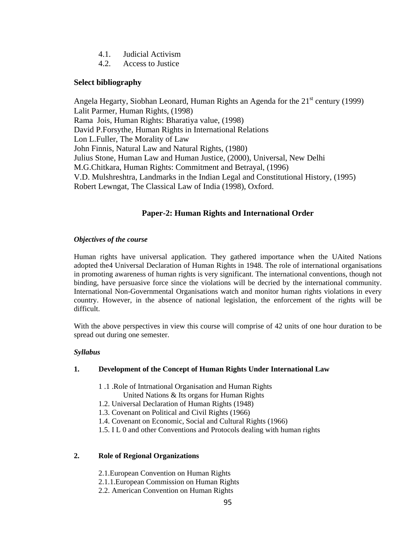- 4.1. Judicial Activism
- 4.2. Access to Justice

## **Select bibliography**

Angela Hegarty, Siobhan Leonard, Human Rights an Agenda for the  $21<sup>st</sup>$  century (1999) Lalit Parmer, Human Rights, (1998) Rama Jois, Human Rights: Bharatiya value, (1998) David P.Forsythe, Human Rights in International Relations Lon L.Fuller, The Morality of Law John Finnis, Natural Law and Natural Rights, (1980) Julius Stone, Human Law and Human Justice, (2000), Universal, New Delhi M.G.Chitkara, Human Rights: Commitment and Betrayal, (1996) V.D. Mulshreshtra, Landmarks in the Indian Legal and Constitutional History, (1995) Robert Lewngat, The Classical Law of India (1998), Oxford.

# **Paper-2: Human Rights and International Order**

### *Objectives of the course*

Human rights have universal application. They gathered importance when the UAited Nations adopted the4 Universal Declaration of Human Rights in 1948. The role of international organisations in promoting awareness of human rights is very significant. The international conventions, though not binding, have persuasive force since the violations will be decried by the international community. International Non-Governmental Organisations watch and monitor human rights violations in every country. However, in the absence of national legislation, the enforcement of the rights will be difficult.

With the above perspectives in view this course will comprise of 42 units of one hour duration to be spread out during one semester.

### *Syllabus*

### **1. Development of the Concept of Human Rights Under International Law**

- 1 .1 .Role of Intrnational Organisation and Human Rights
	- United Nations & Its organs for Human Rights
- 1.2. Universal Declaration of Human Rights (1948)
- 1.3. Covenant on Political and Civil Rights (1966)
- 1.4. Covenant on Economic, Social and Cultural Rights (1966)
- 1.5. I L 0 and other Conventions and Protocols dealing with human rights

### **2. Role of Regional Organizations**

- 2.1.European Convention on Human Rights
- 2.1.1.European Commission on Human Rights
- 2.2. American Convention on Human Rights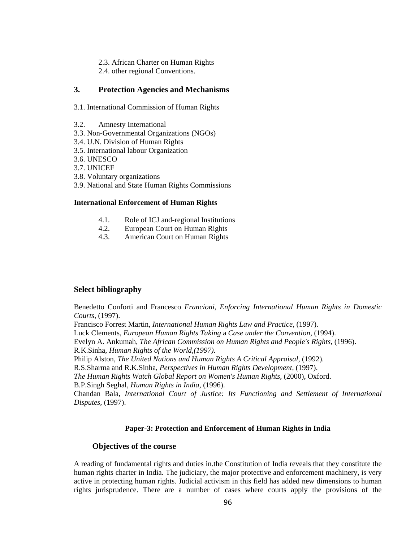- 2.3. African Charter on Human Rights
- 2.4. other regional Conventions.

### **3. Protection Agencies and Mechanisms**

- 3.1. International Commission of Human Rights
- 3.2. Amnesty International
- 3.3. Non-Governmental Organizations (NGOs)
- 3.4. U.N. Division of Human Rights
- 3.5. International labour Organization
- 3.6. UNESCO
- 3.7. UNICEF
- 3.8. Voluntary organizations
- 3.9. National and State Human Rights Commissions

### **International Enforcement of Human Rights**

- 4.1. Role of ICJ and-regional Institutions
- 4.2. European Court on Human Rights
- 4.3. American Court on Human Rights

### **Select bibliography**

Benedetto Conforti and Francesco *Francioni, Enforcing International Human Rights in Domestic Courts,* (1997).

Francisco Forrest Martin, *International Human Rights Law and Practice,* (1997).

Luck Clements, *European Human Rights Taking* a *Case under the Convention,* (1994).

Evelyn A. Ankumah, *The African Commission on Human Rights and People's Rights,* (1996).

R.K.Sinha, *Human Rights of the World,(1997).* 

Philip Alston, *The United Nations and Human Rights A Critical Appraisal,* (1992).

R.S.Sharma and R.K.Sinha, *Perspectives in Human Rights Development,* (1997).

*The Human Rights Watch Global Report on Women's Human Rights,* (2000), Oxford.

B.P.Singh Seghal, *Human Rights in India,* (1996).

Chandan Bala, *International Court of Justice: Its Functioning and Settlement of International Disputes,* (1997).

### **Paper-3: Protection and Enforcement of Human Rights in India**

### **Objectives of the course**

A reading of fundamental rights and duties in.the Constitution of India reveals that they constitute the human rights charter in India. The judiciary, the major protective and enforcement machinery, is very active in protecting human rights. Judicial activism in this field has added new dimensions to human rights jurisprudence. There are a number of cases where courts apply the provisions of the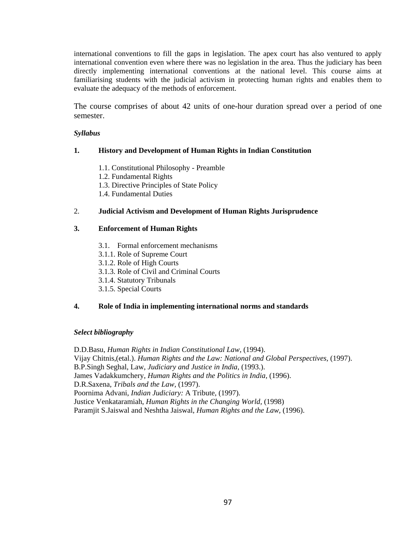international conventions to fill the gaps in legislation. The apex court has also ventured to apply international convention even where there was no legislation in the area. Thus the judiciary has been directly implementing international conventions at the national level. This course aims at familiarising students with the judicial activism in protecting human rights and enables them to evaluate the adequacy of the methods of enforcement.

The course comprises of about 42 units of one-hour duration spread over a period of one semester.

#### *Syllabus*

#### **1. History and Development of Human Rights in Indian Constitution**

- 1.1. Constitutional Philosophy Preamble
- 1.2. Fundamental Rights
- 1.3. Directive Principles of State Policy
- 1.4. Fundamental Duties

#### 2. **Judicial Activism and Development of Human Rights Jurisprudence**

#### **3. Enforcement of Human Rights**

- 3.1. Formal enforcement mechanisms
- 3.1.1. Role of Supreme Court
- 3.1.2. Role of High Courts
- 3.1.3. Role of Civil and Criminal Courts
- 3.1.4. Statutory Tribunals
- 3.1.5. Special Courts

#### **4. Role of India in implementing international norms and standards**

#### *Select bibliography*

D.D.Basu, *Human Rights in Indian Constitutional Law,* (1994). Vijay Chitnis,(etal.). *Human Rights and the Law: National and Global Perspectives,* (1997). B.P.Singh Seghal, Law, *Judiciary and Justice in India,* (1993.). James Vadakkumchery, *Human Rights and the Politics in India,* (1996). D.R.Saxena, *Tribals and the Law,* (1997). Poornima Advani, *Indian Judiciary:* A Tribute, (1997). Justice Venkataramiah, *Human Rights in the Changing World,* (1998) Paramjit S.Jaiswal and Neshtha Jaiswal, *Human Rights and the Law,* (1996).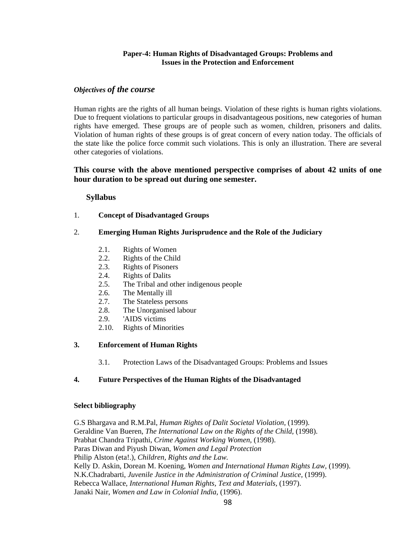#### **Paper-4: Human Rights of Disadvantaged Groups: Problems and Issues in the Protection and Enforcement**

#### *Objectives of the course*

Human rights are the rights of all human beings. Violation of these rights is human rights violations. Due to frequent violations to particular groups in disadvantageous positions, new categories of human rights have emerged. These groups are of people such as women, children, prisoners and dalits. Violation of human rights of these groups is of great concern of every nation today. The officials of the state like the police force commit such violations. This is only an illustration. There are several other categories of violations.

### **This course with the above mentioned perspective comprises of about 42 units of one hour duration to be spread out during one semester.**

#### **Syllabus**

- 1. **Concept of Disadvantaged Groups**
- 2. **Emerging Human Rights Jurisprudence and the Role of the Judiciary** 
	- 2.1. Rights of Women
	- 2.2. Rights of the Child
	- 2.3. Rights of Pisoners
	- 2.4. Rights of Dalits
	- 2.5. The Tribal and other indigenous people
	- 2.6. The Mentally ill
	- 2.7. The Stateless persons
	- 2.8. The Unorganised labour
	- 2.9. 'AIDS victims
	- 2.10. Rights of Minorities

#### **3. Enforcement of Human Rights**

3.1. Protection Laws of the Disadvantaged Groups: Problems and Issues

#### **4. Future Perspectives of the Human Rights of the Disadvantaged**

#### **Select bibliography**

G.S Bhargava and R.M.Pal, *Human Rights of Dalit Societal Violation,* (1999). Geraldine Van Bueren, *The International Law on the Rights of the Child,* (1998). Prabhat Chandra Tripathi, *Crime Against Working Women,* (1998). Paras Diwan and Piyush Diwan, *Women and Legal Protection*  Philip Alston (eta!.), *Children, Rights and the Law.*  Kelly D. Askin, Dorean M. Koening, *Women and International Human Rights Law,* (1999). N.K.Chadrabarti, *Juvenile Justice in the Administration of Criminal Justice,* (1999). Rebecca Wallace, *International Human Rights, Text and Materials,* (1997). Janaki Nair, *Women and Law in Colonial India,* (1996).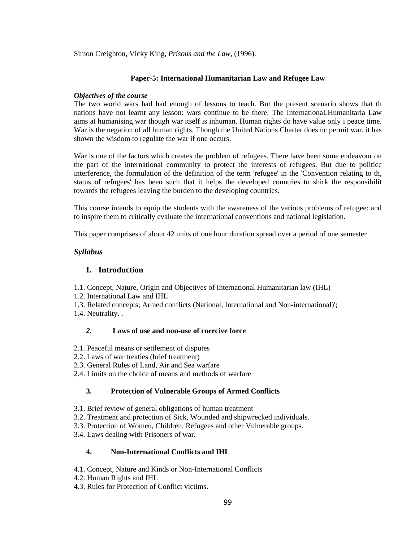Simon Creighton, Vicky King, *Prisons and the Law,* (1996).

#### **Paper-5: International Humanitarian Law and Refugee Law**

#### *Objectives of the course*

The two world wars had had enough of lessons to teach. But the present scenario shows that th nations have not learnt any lesson: wars continue to be there. The InternationaLHumanitaria Law aims at humanising war though war itself is inhuman. Human rights do have value only i peace time. War is the negation of all human rights. Though the United Nations Charter does nc permit war, it has shown the wisdom to regulate the war if one occurs.

War is one of the factors which creates the problem of refugees. There have been some endeavour on the part of the international community to protect the interests of refugees. But due to politicc interference, the formulation of the definition of the term 'refugee' in the 'Convention relating to th, status of refugees' has been such that it helps the developed countries to shirk the responsibilit towards the refugees leaving the burden to the developing countries.

This course intends to equip the students with the awareness of the various problems of refugee: and to inspire them to critically evaluate the international conventions and national legislation.

This paper comprises of about 42 units of one hour duration spread over a period of one semester

#### *Syllabus*

#### **I. Introduction**

1.1. Concept, Nature, Origin and Objectives of International Humanitarian law (IHL)

- 1.2. International Law and IHL
- 1.3. Related concepts; Armed conflicts (National, International and Non-international)';
- 1.4. Neutrality. .

#### *2.* **Laws of use and non-use of coercive force**

- 2.1. Peaceful means or settlement of disputes
- 2.2. Laws of war treaties (brief treatment)
- 2.3. General Rules of Land, Air and Sea warfare
- 2.4. Limits on the choice of means and methods of warfare

### **3. Protection of Vulnerable Groups of Armed Conflicts**

- 3.1. Brief review of general obligations of human treatment
- 3.2. Treatment and protection of Sick, Wounded and shipwrecked individuals.
- 3.3. Protection of Women, Children, Refugees and other Vulnerable groups.
- 3.4. Laws dealing with Prisoners of war.

#### **4. Non-International Conflicts and IHL**

- 4.1. Concept, Nature and Kinds or Non-International Conflicts
- 4.2. Human Rights and IHL
- 4.3. Rules for Protection of Conflict victims.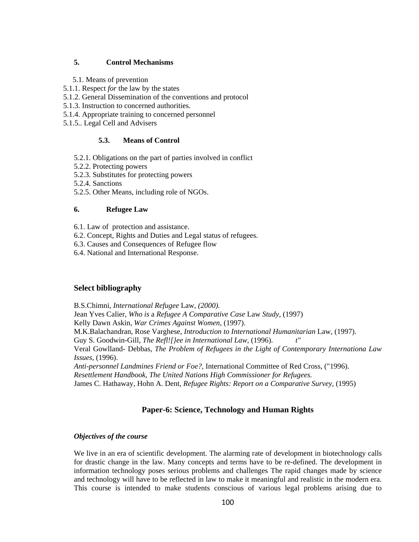### **5. Control Mechanisms**

- 5.1. Means of prevention
- 5.1.1. Respect *for* the law by the states
- 5.1.2. General Dissemination of the conventions and protocol
- 5.1.3. Instruction to concerned authorities.
- 5.1.4. Appropriate training to concerned personnel
- 5.1.5.. Legal Cell and Advisers

#### **5.3. Means of Control**

- 5.2.1. Obligations on the part of parties involved in conflict
- 5.2.2. Protecting powers
- 5.2.3. Substitutes for protecting powers
- 5.2.4. Sanctions
- 5.2.5. Other Means, including role of NGOs.

#### **6. Refugee Law**

- 6.1. Law of protection and assistance.
- 6.2. Concept, Rights and Duties and Legal status of refugees.
- 6.3. Causes and Consequences of Refugee flow
- 6.4. National and International Response.

#### **Select bibliography**

B.S.Chimni, *International Refugee* Law, *(2000).*  Jean Yves Calier, *Who is* a *Refugee A Comparative Case* Law *Study,* (1997) Kelly Dawn Askin, *War Crimes Against Women,* (1997). M.K.Balachandran, Rose Varghese, *Introduction to International Humanitarian* Law, (1997). Guy S. Goodwin-Gill, *The Refl![}ee in International Law,* (1996). Veral Gowlland- Debbas, *The Problem of Refugees in the Light of Contemporary Internationa Law Issues,* (1996). *Anti-personnel Landmines Friend or Foe?,* International Committee of Red Cross, ("1996). *Resettlement Handbook, The United Nations High Commissioner for Refugees.* 

James C. Hathaway, Hohn A. Dent, *Refugee Rights: Report on a Comparative Survey,* (1995)

### **Paper-6: Science, Technology and Human Rights**

#### *Objectives of the course*

We live in an era of scientific development. The alarming rate of development in biotechnology calls for drastic change in the law. Many concepts and terms have to be re-defined. The development in information technology poses serious problems and challenges The rapid changes made by science and technology will have to be reflected in law to make it meaningful and realistic in the modern era. This course is intended to make students conscious of various legal problems arising due to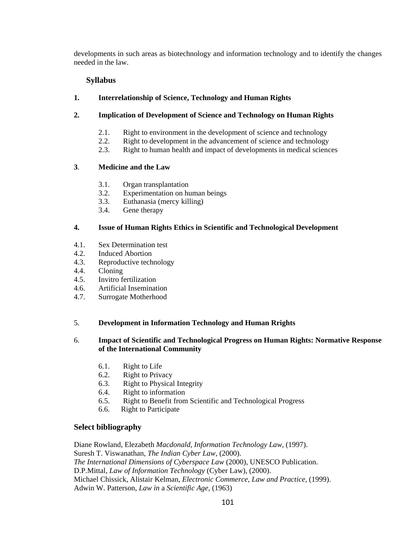developments in such areas as biotechnology and information technology and to identify the changes needed in the law.

### **Syllabus**

### **1. Interrelationship of Science, Technology and Human Rights**

### **2. Implication of Development of Science and Technology on Human Rights**

- 2.1. Right to environment in the development of science and technology
- 2.2. Right to development in the advancement of science and technology
- 2.3. Right to human health and impact of developments in medical sciences

## **3**. **Medicine and the Law**

- 3.1. Organ transplantation
- 3.2. Experimentation on human beings
- 3.3. Euthanasia (mercy killing)
- 3.4. Gene therapy

### **4. Issue of Human Rights Ethics in Scientific and Technological Development**

- 4.1. Sex Determination test
- 4.2. Induced Abortion
- 4.3. Reproductive technology
- 4.4. Cloning
- 4.5. Invitro fertilization
- 4.6. Artificial Insemination
- 4.7. Surrogate Motherhood

### 5. **Development in Information Technology and Human Rrights**

### 6. **Impact of Scientific and Technological Progress on Human Rights: Normative Response of the International Community**

- 6.1. Right to Life
- 6.2. Right to Privacy
- 6.3. Right to Physical Integrity
- 6.4. Right to information
- 6.5. Right to Benefit from Scientific and Technological Progress
- 6.6. Right to Participate

# **Select bibliography**

Diane Rowland, Elezabeth *Macdonald, Information Technology Law,* (1997). Suresh T. Viswanathan, *The Indian Cyber Law,* (2000). *The International Dimensions of Cyberspace Law* (2000), UNESCO Publication. D.P.Mittal, *Law of Information Technology* (Cyber Law), (2000). Michael Chissick, Alistair Kelman, *Electronic Commerce, Law and Practice,* (1999). Adwin W. Patterson, *Law in* a *Scientific Age,* (1963)